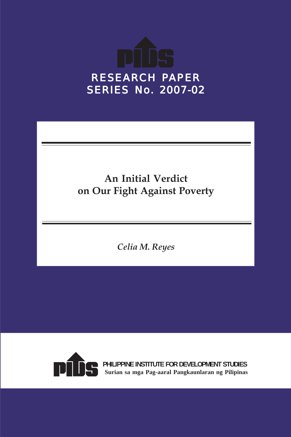

## **An Initial Verdict on Our Fight Against Poverty**

*Celia M. Reyes*



**PHILIPPINE INSTITUTE FOR DEVELOPMENT STUDIES Surian sa mga Pag-aaral Pangkaunlaran ng Pilipinas**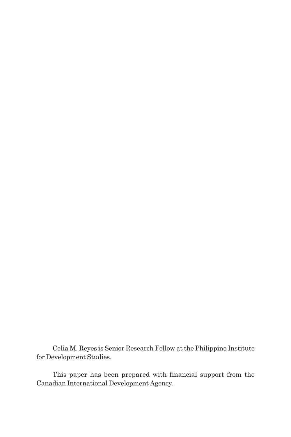Celia M. Reyes is Senior Research Fellow at the Philippine Institute for Development Studies.

This paper has been prepared with financial support from the Canadian International Development Agency.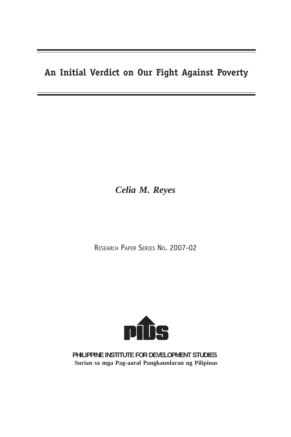### **An Initial Verdict on Our Fight Against Poverty**

*Celia M. Reyes*

RESEARCH PAPER SERIES NO. 2007-02



**PHILIPPINE INSTITUTE FOR DEVELOPMENT STUDIES Surian sa mga Pag-aaral Pangkaunlaran ng Pilipinas**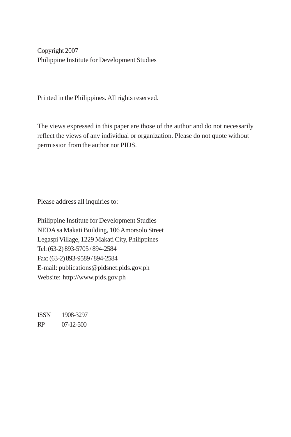Copyright 2007 Philippine Institute for Development Studies

Printed in the Philippines. All rights reserved.

The views expressed in this paper are those of the author and do not necessarily reflect the views of any individual or organization. Please do not quote without permission from the author nor PIDS.

Please address all inquiries to:

Philippine Institute for Development Studies NEDA sa Makati Building, 106 Amorsolo Street Legaspi Village, 1229 Makati City, Philippines Tel: (63-2) 893-5705 / 894-2584 Fax: (63-2) 893-9589 / 894-2584 E-mail: publications@pidsnet.pids.gov.ph Website: http://www.pids.gov.ph

ISSN 1908-3297 RP 07-12-500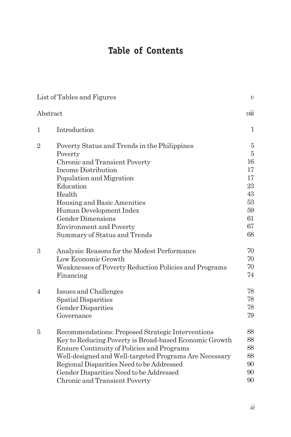## **Table of Contents**

|                | List of Tables and Figures                             | $\upsilon$ |
|----------------|--------------------------------------------------------|------------|
|                | Abstract                                               | viii       |
| 1              | Introduction                                           | 1          |
| $\overline{2}$ | Poverty Status and Trends in the Philippines           | 5          |
|                | Poverty                                                | 5          |
|                | Chronic and Transient Poverty                          | 16         |
|                | Income Distribution                                    | 17         |
|                | Population and Migration                               | 17         |
|                | Education                                              | 23         |
|                | Health                                                 | 43         |
|                | Housing and Basic Amenities                            | 53         |
|                | Human Development Index                                | 59         |
|                | <b>Gender Dimensions</b>                               | 61         |
|                | <b>Environment and Poverty</b>                         | 67         |
|                | Summary of Status and Trends                           | 68         |
| 3              | Analysis: Reasons for the Modest Performance           | 70         |
|                | Low Economic Growth                                    | 70         |
|                | Weaknesses of Poverty Reduction Policies and Programs  | 70         |
|                | Financing                                              | 74         |
| $\overline{4}$ | Issues and Challenges                                  | 78         |
|                | Spatial Disparities                                    | 78         |
|                | <b>Gender Disparities</b>                              | 78         |
|                | Governance                                             | 79         |
| 5              | Recommendations: Proposed Strategic Interventions      | 88         |
|                | Key to Reducing Poverty is Broad-based Economic Growth | 88         |
|                | Ensure Continuity of Policies and Programs             | 88         |
|                | Well-designed and Well-targeted Programs Are Necessary | 88         |
|                | Regional Disparities Need to be Addressed              | 90         |
|                | Gender Disparities Need to be Addressed                | 90         |
|                | Chronic and Transient Poverty                          | 90         |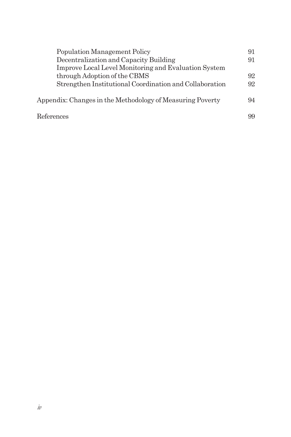| Population Management Policy                              | 91 |
|-----------------------------------------------------------|----|
| Decentralization and Capacity Building                    | 91 |
| Improve Local Level Monitoring and Evaluation System      |    |
| through Adoption of the CBMS                              | 92 |
| Strengthen Institutional Coordination and Collaboration   | 92 |
| Appendix: Changes in the Methodology of Measuring Poverty | 94 |
| References                                                | 99 |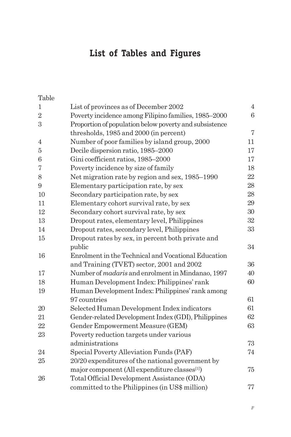## **List of Tables and Figures**

Table

| $\mathbf{1}$     | List of provinces as of December 2002                     | $\overline{4}$   |
|------------------|-----------------------------------------------------------|------------------|
| $\sqrt{2}$       | Poverty incidence among Filipino families, 1985-2000      | $\boldsymbol{6}$ |
| $\boldsymbol{3}$ | Proportion of population below poverty and subsistence    |                  |
|                  | thresholds, 1985 and 2000 (in percent)                    | $\overline{7}$   |
| 4                | Number of poor families by island group, 2000             | 11               |
| 5                | Decile dispersion ratio, 1985-2000                        | 17               |
| 6                | Gini coefficient ratios, 1985-2000                        | 17               |
| 7                | Poverty incidence by size of family                       | 18               |
| 8                | Net migration rate by region and sex, 1985–1990           | 22               |
| 9                | Elementary participation rate, by sex                     | 28               |
| 10               | Secondary participation rate, by sex                      | 28               |
| 11               | Elementary cohort survival rate, by sex                   | 29               |
| 12               | Secondary cohort survival rate, by sex                    | 30               |
| 13               | Dropout rates, elementary level, Philippines              | 32               |
| 14               | Dropout rates, secondary level, Philippines               | 33               |
| 15               | Dropout rates by sex, in percent both private and         |                  |
|                  | public                                                    | 34               |
| 16               | Enrolment in the Technical and Vocational Education       |                  |
|                  | and Training (TVET) sector, 2001 and 2002                 | 36               |
| 17               | Number of <i>madaris</i> and enrolment in Mindanao, 1997  | 40               |
| 18               | Human Development Index: Philippines' rank                | 60               |
| 19               | Human Development Index: Philippines' rank among          |                  |
|                  | 97 countries                                              | 61               |
| 20               | Selected Human Development Index indicators               | 61               |
| 21               | Gender-related Development Index (GDI), Philippines       | 62               |
| 22               | Gender Empowerment Measure (GEM)                          | 63               |
| 23               | Poverty reduction targets under various                   |                  |
|                  | administrations                                           | 73               |
| 24               | Special Poverty Alleviation Funds (PAF)                   | 74               |
| 25               | 20/20 expenditures of the national government by          |                  |
|                  | major component (All expenditure classes <sup>[1]</sup> ) | $75\,$           |
| 26               | Total Official Development Assistance (ODA)               |                  |
|                  | committed to the Philippines (in US\$ million)            | 77               |

*v*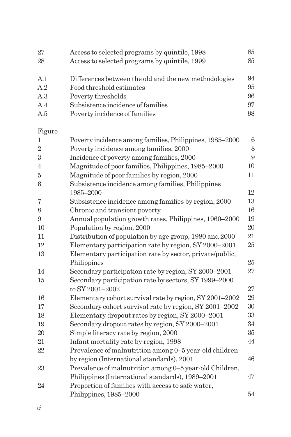| Access to selected programs by quintile, 1998 | 85                                                                                |
|-----------------------------------------------|-----------------------------------------------------------------------------------|
| Access to selected programs by quintile, 1999 | 85                                                                                |
|                                               | 94                                                                                |
|                                               |                                                                                   |
|                                               | 95                                                                                |
| Poverty thresholds                            | 96                                                                                |
| Subsistence incidence of families             | 97                                                                                |
| Poverty incidence of families                 | 98                                                                                |
|                                               | Differences between the old and the new methodologies<br>Food threshold estimates |

Figure

| 1              | Poverty incidence among families, Philippines, 1985–2000 | $6\phantom{1}6$ |
|----------------|----------------------------------------------------------|-----------------|
| $\overline{2}$ | Poverty incidence among families, 2000                   | 8               |
| 3              | Incidence of poverty among families, 2000                | 9               |
| $\overline{4}$ | Magnitude of poor families, Philippines, 1985-2000       | 10              |
| 5              | Magnitude of poor families by region, 2000               | 11              |
| 6              | Subsistence incidence among families, Philippines        |                 |
|                | 1985-2000                                                | 12              |
| 7              | Subsistence incidence among families by region, 2000     | 13              |
| 8              | Chronic and transient poverty                            | 16              |
| 9              | Annual population growth rates, Philippines, 1960–2000   | 19              |
| 10             | Population by region, 2000                               | $20\,$          |
| 11             | Distribution of population by age group, 1980 and 2000   | 21              |
| 12             | Elementary participation rate by region, SY 2000-2001    | 25              |
| 13             | Elementary participation rate by sector, private/public, |                 |
|                | Philippines                                              | 25              |
| 14             | Secondary participation rate by region, SY 2000–2001     | 27              |
| 15             | Secondary participation rate by sectors, SY 1999-2000    |                 |
|                | to SY 2001-2002                                          | 27              |
| 16             | Elementary cohort survival rate by region, SY 2001-2002  | 29              |
| 17             | Secondary cohort survival rate by region, SY 2001-2002   | $30\,$          |
| 18             | Elementary dropout rates by region, SY 2000-2001         | 33              |
| 19             | Secondary dropout rates by region, SY 2000-2001          | 34              |
| 20             | Simple literacy rate by region, 2000                     | $35\,$          |
| 21             | Infant mortality rate by region, 1998                    | 44              |
| 22             | Prevalence of malnutrition among 0-5 year-old children   |                 |
|                | by region (International standards), 2001                | 46              |
| 23             | Prevalence of malnutrition among 0–5 year-old Children,  |                 |
|                | Philippines (International standards), 1989–2001         | 47              |
| 24             | Proportion of families with access to safe water,        |                 |
|                | Philippines, 1985-2000                                   | 54              |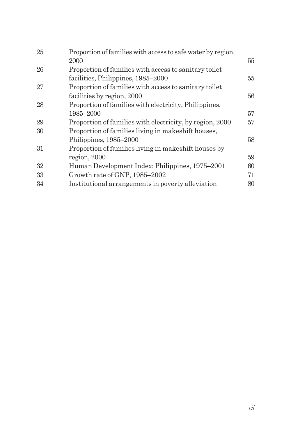| Proportion of families with access to safe water by region, |    |
|-------------------------------------------------------------|----|
| 2000                                                        | 55 |
| Proportion of families with access to sanitary toilet       |    |
| facilities, Philippines, 1985–2000                          | 55 |
| Proportion of families with access to sanitary toilet       |    |
| facilities by region, 2000                                  | 56 |
| Proportion of families with electricity, Philippines,       |    |
| 1985–2000                                                   | 57 |
| Proportion of families with electricity, by region, 2000    | 57 |
| Proportion of families living in makeshift houses,          |    |
| Philippines, 1985–2000                                      | 58 |
| Proportion of families living in makeshift houses by        |    |
| region, 2000                                                | 59 |
| Human Development Index: Philippines, 1975–2001             | 60 |
| Growth rate of GNP, 1985-2002                               | 71 |
| Institutional arrangements in poverty alleviation           | 80 |
|                                                             |    |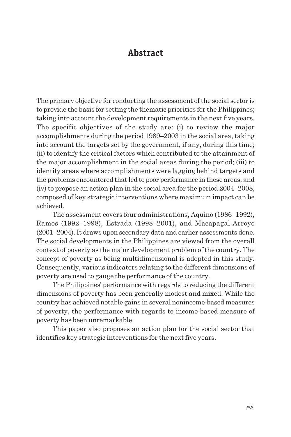#### **Abstract**

The primary objective for conducting the assessment of the social sector is to provide the basis for setting the thematic priorities for the Philippines; taking into account the development requirements in the next five years. The specific objectives of the study are: (i) to review the major accomplishments during the period 1989–2003 in the social area, taking into account the targets set by the government, if any, during this time; (ii) to identify the critical factors which contributed to the attainment of the major accomplishment in the social areas during the period; (iii) to identify areas where accomplishments were lagging behind targets and the problems encountered that led to poor performance in these areas; and (iv) to propose an action plan in the social area for the period 2004–2008, composed of key strategic interventions where maximum impact can be achieved.

The assessment covers four administrations, Aquino (1986–1992), Ramos (1992–1998), Estrada (1998–2001), and Macapagal-Arroyo (2001–2004). It draws upon secondary data and earlier assessments done. The social developments in the Philippines are viewed from the overall context of poverty as the major development problem of the country. The concept of poverty as being multidimensional is adopted in this study. Consequently, various indicators relating to the different dimensions of poverty are used to gauge the performance of the country.

The Philippines' performance with regards to reducing the different dimensions of poverty has been generally modest and mixed. While the country has achieved notable gains in several nonincome-based measures of poverty, the performance with regards to income-based measure of poverty has been unremarkable.

This paper also proposes an action plan for the social sector that identifies key strategic interventions for the next five years.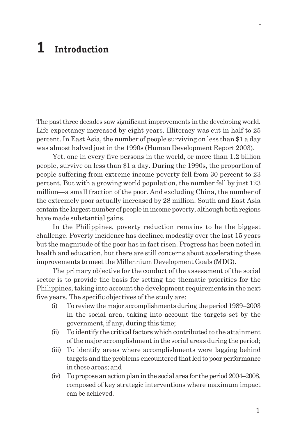# **1 Introduction**

The past three decades saw significant improvements in the developing world. Life expectancy increased by eight years. Illiteracy was cut in half to 25 percent. In East Asia, the number of people surviving on less than \$1 a day was almost halved just in the 1990s (Human Development Report 2003).

Yet, one in every five persons in the world, or more than 1.2 billion people, survive on less than \$1 a day. During the 1990s, the proportion of people suffering from extreme income poverty fell from 30 percent to 23 percent. But with a growing world population, the number fell by just 123 million—a small fraction of the poor. And excluding China, the number of the extremely poor actually increased by 28 million. South and East Asia contain the largest number of people in income poverty, although both regions have made substantial gains.

In the Philippines, poverty reduction remains to be the biggest challenge. Poverty incidence has declined modestly over the last 15 years but the magnitude of the poor has in fact risen. Progress has been noted in health and education, but there are still concerns about accelerating these improvements to meet the Millennium Development Goals (MDG).

The primary objective for the conduct of the assessment of the social sector is to provide the basis for setting the thematic priorities for the Philippines, taking into account the development requirements in the next five years. The specific objectives of the study are:

- (i) To review the major accomplishments during the period 1989–2003 in the social area, taking into account the targets set by the government, if any, during this time;
- (ii) To identify the critical factors which contributed to the attainment of the major accomplishment in the social areas during the period;
- (iii) To identify areas where accomplishments were lagging behind targets and the problems encountered that led to poor performance in these areas; and
- (iv) To propose an action plan in the social area for the period 2004–2008, composed of key strategic interventions where maximum impact can be achieved.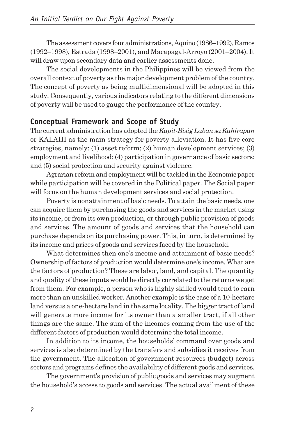The assessment covers four administrations, Aquino (1986–1992), Ramos (1992–1998), Estrada (1998–2001), and Macapagal-Arroyo (2001–2004). It will draw upon secondary data and earlier assessments done.

The social developments in the Philippines will be viewed from the overall context of poverty as the major development problem of the country. The concept of poverty as being multidimensional will be adopted in this study. Consequently, various indicators relating to the different dimensions of poverty will be used to gauge the performance of the country.

#### **Conceptual Framework and Scope of Study**

The current administration has adopted the *Kapit-Bisig Laban sa Kahirapan* or KALAHI as the main strategy for poverty alleviation. It has five core strategies, namely: (1) asset reform; (2) human development services; (3) employment and livelihood; (4) participation in governance of basic sectors; and (5) social protection and security against violence.

Agrarian reform and employment will be tackled in the Economic paper while participation will be covered in the Political paper. The Social paper will focus on the human development services and social protection.

Poverty is nonattainment of basic needs. To attain the basic needs, one can acquire them by purchasing the goods and services in the market using its income, or from its own production, or through public provision of goods and services. The amount of goods and services that the household can purchase depends on its purchasing power. This, in turn, is determined by its income and prices of goods and services faced by the household.

What determines then one's income and attainment of basic needs? Ownership of factors of production would determine one's income. What are the factors of production? These are labor, land, and capital. The quantity and quality of these inputs would be directly correlated to the returns we get from them. For example, a person who is highly skilled would tend to earn more than an unskilled worker. Another example is the case of a 10-hectare land versus a one-hectare land in the same locality. The bigger tract of land will generate more income for its owner than a smaller tract, if all other things are the same. The sum of the incomes coming from the use of the different factors of production would determine the total income.

In addition to its income, the households' command over goods and services is also determined by the transfers and subsidies it receives from the government. The allocation of government resources (budget) across sectors and programs defines the availability of different goods and services.

The government's provision of public goods and services may augment the household's access to goods and services. The actual availment of these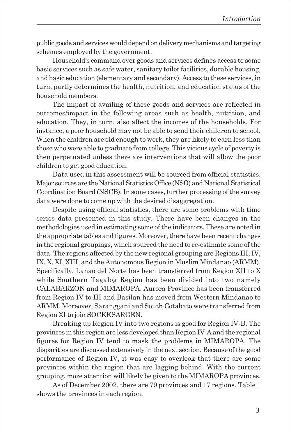public goods and services would depend on delivery mechanisms and targeting schemes employed by the government.

Household's command over goods and services defines access to some basic services such as safe water, sanitary toilet facilities, durable housing, and basic education (elementary and secondary). Access to these services, in turn, partly determines the health, nutrition, and education status of the household members.

The impact of availing of these goods and services are reflected in outcomes/impact in the following areas such as health, nutrition, and education. They, in turn, also affect the incomes of the households. For instance, a poor household may not be able to send their children to school. When the children are old enough to work, they are likely to earn less than those who were able to graduate from college. This vicious cycle of poverty is then perpetuated unless there are interventions that will allow the poor children to get good education.

Data used in this assessment will be sourced from official statistics. Major sources are the National Statistics Office (NSO) and National Statistical Coordination Board (NSCB). In some cases, further processing of the survey data were done to come up with the desired disaggregation.

Despite using official statistics, there are some problems with time series data presented in this study. There have been changes in the methodologies used in estimating some of the indicators. These are noted in the appropriate tables and figures. Moreover, there have been recent changes in the regional groupings, which spurred the need to re-estimate some of the data. The regions affected by the new regional grouping are Regions III, IV, IX, X, XI, XIII, and the Autonomous Region in Muslim Mindanao (ARMM). Specifically, Lanao del Norte has been transferred from Region XII to X while Southern Tagalog Region has been divided into two namely CALABARZON and MIMAROPA. Aurora Province has been transferred from Region IV to III and Basilan has moved from Western Mindanao to ARMM. Moreover, Saranggani and South Cotabato were transferred from Region XI to join SOCKKSARGEN.

Breaking up Region IV into two regions is good for Region IV-B. The provinces in this region are less developed than Region IV-A and the regional figures for Region IV tend to mask the problems in MIMAROPA. The disparities are discussed extensively in the next section. Because of the good performance of Region IV, it was easy to overlook that there are some provinces within the region that are lagging behind. With the current grouping, more attention will likely be given to the MIMAROPA provinces.

As of December 2002, there are 79 provinces and 17 regions. Table 1 shows the provinces in each region.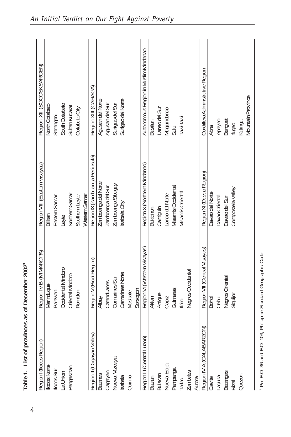| Region I (Ilocos Region)                       | Region IV-B (MIMAROPA)       | Region VIII (Eastern Visayas)   | Region XII (SOCCSKSARGEN)            |
|------------------------------------------------|------------------------------|---------------------------------|--------------------------------------|
| locos Norte                                    | Marinduque                   | Biliran                         | North Cotabato                       |
|                                                | Palawan                      | Eastern Samar                   | Sarangani                            |
| llocos Sur<br>La Union                         | Occidental Mindoro           | Leyte                           | South Cotabato                       |
| Pangasinan                                     | Oriental Mindoro             | Northern Samar                  | Sultan Kudarat                       |
|                                                | Romblon                      | Southern Leyte                  | Cotabato City                        |
|                                                |                              | Western Samar                   |                                      |
| Region II (Cagayan Valley                      | Region V (Bicol Region)      | Region IX (Zamboanga Peninsula) | Region XIII (CARAGA)                 |
|                                                | Nlbay                        | Zamboanga del Norte             | Agusan del Norte                     |
|                                                | Catanduanes                  | Zamboanga del Sur               | Agusan del Sur                       |
|                                                | Camarines Sur                | Zamboanga Sibugay               |                                      |
| Batanes<br>Cagayan<br>Nueva Vizcaya<br>Isabela | Camarines Norte              | sabela City                     | Surigao del Sur<br>Surigao del Norte |
| Quirino                                        | Masbate                      |                                 |                                      |
|                                                | Sorsogon                     |                                 |                                      |
|                                                | Region VI (Western Visayas)  | Region X (Northern Mindanao)    | Autonomous Region in Muslim Mindanao |
| Region III (Central Luzon)<br>Bataan           | Aklan                        | <b>Bukidnon</b>                 | <b>Basilan</b>                       |
|                                                | Antique                      | Camiguin                        | anao del Sur                         |
| Bulacan<br>Nueva Ecija<br>Pampanga<br>Tarlac   | Capiz                        | anao del Norte                  | Vlaguindanao                         |
|                                                | Guimaras                     | Misamis Occidental              | Sulu                                 |
|                                                | $\frac{1}{10}$               | Misamis Oriental                | Tawi-tawi                            |
| Zambales<br>Aurora                             | Negros Occidental            |                                 |                                      |
|                                                |                              |                                 |                                      |
| (NO                                            | Region VII (Central Visayas) | Region XI (Davao Region)        | Cordillera Administrative Region     |
| Region IV-A (CALABARZ<br>Cavite                | <b>Bohol</b>                 | Davao del Norte                 | Abra                                 |
|                                                | Cebu                         | Davao Oriental                  |                                      |
| Laguna<br>Batangas                             | Negros Oriental              | Davao del Sur                   | Apayao<br>Benguet                    |
| Rizal                                          | Siquijor                     | Compostela Valley               | ffugao<br>Kalinga                    |
| Quezon                                         |                              |                                 |                                      |
|                                                |                              |                                 | <b>Mountain Province</b>             |

1 Per E.O. 36 and E.O. 103, Philippine Standard Geographic Code 1 Per E.O. 36 and E.O. 103, Philippine Standard Geographic Code

4

**Table 1. List of provinces as of December 20021**

Table 1. List of provinces as of December 20021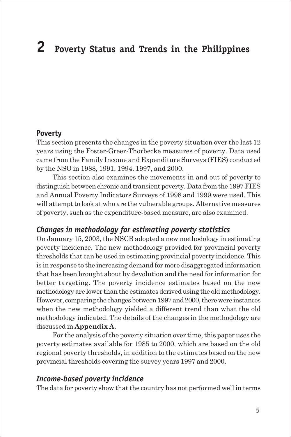# **2 Poverty Status and Trends in the Philippines**

#### **Poverty**

This section presents the changes in the poverty situation over the last 12 years using the Foster-Greer-Thorbecke measures of poverty. Data used came from the Family Income and Expenditure Surveys (FIES) conducted by the NSO in 1988, 1991, 1994, 1997, and 2000.

This section also examines the movements in and out of poverty to distinguish between chronic and transient poverty. Data from the 1997 FIES and Annual Poverty Indicators Surveys of 1998 and 1999 were used. This will attempt to look at who are the vulnerable groups. Alternative measures of poverty, such as the expenditure-based measure, are also examined.

#### *Changes in methodology for estimating poverty statistics*

On January 15, 2003, the NSCB adopted a new methodology in estimating poverty incidence. The new methodology provided for provincial poverty thresholds that can be used in estimating provincial poverty incidence. This is in response to the increasing demand for more disaggregated information that has been brought about by devolution and the need for information for better targeting. The poverty incidence estimates based on the new methodology are lower than the estimates derived using the old methodology. However, comparing the changes between 1997 and 2000, there were instances when the new methodology yielded a different trend than what the old methodology indicated. The details of the changes in the methodology are discussed in **Appendix A**.

For the analysis of the poverty situation over time, this paper uses the poverty estimates available for 1985 to 2000, which are based on the old regional poverty thresholds, in addition to the estimates based on the new provincial thresholds covering the survey years 1997 and 2000.

#### *Income-based poverty incidence*

The data for poverty show that the country has not performed well in terms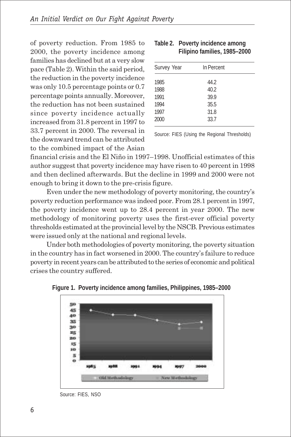of poverty reduction. From 1985 to 2000, the poverty incidence among families has declined but at a very slow pace (Table 2). Within the said period, the reduction in the poverty incidence was only 10.5 percentage points or 0.7 percentage points annually. Moreover, the reduction has not been sustained since poverty incidence actually increased from 31.8 percent in 1997 to 33.7 percent in 2000. The reversal in the downward trend can be attributed to the combined impact of the Asian

| Survey Year | In Percent |  |
|-------------|------------|--|
| 1985        | 44.2       |  |
| 1988        | 40.2       |  |
| 1991        | 39.9       |  |
| 1994        | 35.5       |  |
| 1997        | 31.8       |  |
| 2000        | 33.7       |  |
|             |            |  |

| Table 2. Poverty incidence among |
|----------------------------------|
| Filipino families, 1985-2000     |

Source: FIES (Using the Regional Thresholds)

financial crisis and the El Niño in 1997–1998. Unofficial estimates of this author suggest that poverty incidence may have risen to 40 percent in 1998 and then declined afterwards. But the decline in 1999 and 2000 were not enough to bring it down to the pre-crisis figure.

Even under the new methodology of poverty monitoring, the country's poverty reduction performance was indeed poor. From 28.1 percent in 1997, the poverty incidence went up to 28.4 percent in year 2000. The new methodology of monitoring poverty uses the first-ever official poverty thresholds estimated at the provincial level by the NSCB. Previous estimates were issued only at the national and regional levels.

Under both methodologies of poverty monitoring, the poverty situation in the country has in fact worsened in 2000. The country's failure to reduce poverty in recent years can be attributed to the series of economic and political crises the country suffered.



**Figure 1. Poverty incidence among families, Philippines, 1985–2000**

Source: FIES, NSO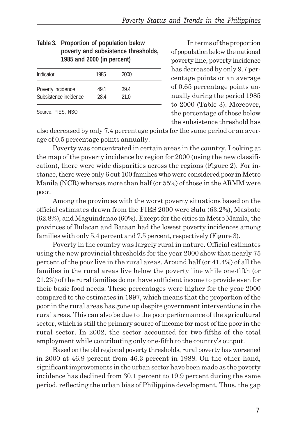| 1985 and 2000 (in percent) |      |      |  |  |  |
|----------------------------|------|------|--|--|--|
| Indicator                  | 1985 | 2000 |  |  |  |
| Poverty incidence          | 49.1 | 39.4 |  |  |  |
| Subsistence incidence      | 28.4 | 21.0 |  |  |  |
|                            |      |      |  |  |  |

|  | Table 3. Proportion of population below |
|--|-----------------------------------------|
|  | poverty and subsistence thresholds,     |
|  | 1985 and 2000 (in percent)              |

Source: FIES, NSO

In terms of the proportion of population below the national poverty line, poverty incidence has decreased by only 9.7 percentage points or an average of 0.65 percentage points annually during the period 1985 to 2000 (Table 3). Moreover, the percentage of those below the subsistence threshold has

also decreased by only 7.4 percentage points for the same period or an average of 0.5 percentage points annually.

Poverty was concentrated in certain areas in the country. Looking at the map of the poverty incidence by region for 2000 (using the new classification), there were wide disparities across the regions (Figure 2). For instance, there were only 6 out 100 families who were considered poor in Metro Manila (NCR) whereas more than half (or 55%) of those in the ARMM were poor.

Among the provinces with the worst poverty situations based on the official estimates drawn from the FIES 2000 were Sulu (63.2%), Masbate (62.8%), and Maguindanao (60%). Except for the cities in Metro Manila, the provinces of Bulacan and Bataan had the lowest poverty incidences among families with only 5.4 percent and 7.5 percent, respectively (Figure 3).

Poverty in the country was largely rural in nature. Official estimates using the new provincial thresholds for the year 2000 show that nearly 75 percent of the poor live in the rural areas. Around half (or 41.4%) of all the families in the rural areas live below the poverty line while one-fifth (or 21.2%) of the rural families do not have sufficient income to provide even for their basic food needs. These percentages were higher for the year 2000 compared to the estimates in 1997, which means that the proportion of the poor in the rural areas has gone up despite government interventions in the rural areas. This can also be due to the poor performance of the agricultural sector, which is still the primary source of income for most of the poor in the rural sector. In 2002, the sector accounted for two-fifths of the total employment while contributing only one-fifth to the country's output.

Based on the old regional poverty thresholds, rural poverty has worsened in 2000 at 46.9 percent from 46.3 percent in 1988. On the other hand, significant improvements in the urban sector have been made as the poverty incidence has declined from 30.1 percent to 19.9 percent during the same period, reflecting the urban bias of Philippine development. Thus, the gap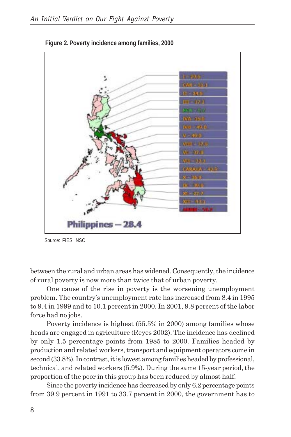

**Figure 2. Poverty incidence among families, 2000**

Source: FIES, NSO

between the rural and urban areas has widened. Consequently, the incidence of rural poverty is now more than twice that of urban poverty.

One cause of the rise in poverty is the worsening unemployment problem. The country's unemployment rate has increased from 8.4 in 1995 to 9.4 in 1999 and to 10.1 percent in 2000. In 2001, 9.8 percent of the labor force had no jobs.

Poverty incidence is highest (55.5% in 2000) among families whose heads are engaged in agriculture (Reyes 2002). The incidence has declined by only 1.5 percentage points from 1985 to 2000. Families headed by production and related workers, transport and equipment operators come in second (33.8%). In contrast, it is lowest among families headed by professional, technical, and related workers (5.9%). During the same 15-year period, the proportion of the poor in this group has been reduced by almost half.

Since the poverty incidence has decreased by only 6.2 percentage points from 39.9 percent in 1991 to 33.7 percent in 2000, the government has to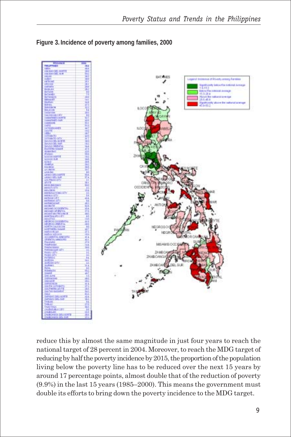

**Figure 3. Incidence of poverty among families, 2000**

reduce this by almost the same magnitude in just four years to reach the national target of 28 percent in 2004. Moreover, to reach the MDG target of reducing by half the poverty incidence by 2015, the proportion of the population living below the poverty line has to be reduced over the next 15 years by around 17 percentage points, almost double that of the reduction of poverty (9.9%) in the last 15 years (1985–2000). This means the government must double its efforts to bring down the poverty incidence to the MDG target.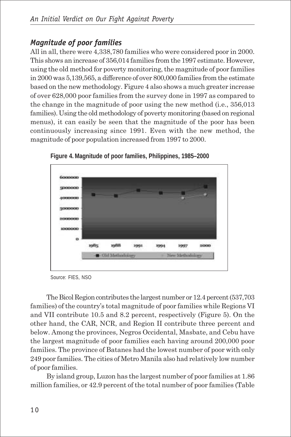#### *Magnitude of poor families*

All in all, there were 4,338,780 families who were considered poor in 2000. This shows an increase of 356,014 families from the 1997 estimate. However, using the old method for poverty monitoring, the magnitude of poor families in 2000 was 5,139,565, a difference of over 800,000 families from the estimate based on the new methodology. Figure 4 also shows a much greater increase of over 628,000 poor families from the survey done in 1997 as compared to the change in the magnitude of poor using the new method (i.e., 356,013 families). Using the old methodology of poverty monitoring (based on regional menus), it can easily be seen that the magnitude of the poor has been continuously increasing since 1991. Even with the new method, the magnitude of poor population increased from 1997 to 2000.



**Figure 4. Magnitude of poor families, Philippines, 1985–2000**

Source: FIES, NSO

The Bicol Region contributes the largest number or 12.4 percent (537,703 families) of the country's total magnitude of poor families while Regions VI and VII contribute 10.5 and 8.2 percent, respectively (Figure 5). On the other hand, the CAR, NCR, and Region II contribute three percent and below. Among the provinces, Negros Occidental, Masbate, and Cebu have the largest magnitude of poor families each having around 200,000 poor families. The province of Batanes had the lowest number of poor with only 249 poor families. The cities of Metro Manila also had relatively low number of poor families.

By island group, Luzon has the largest number of poor families at 1.86 million families, or 42.9 percent of the total number of poor families (Table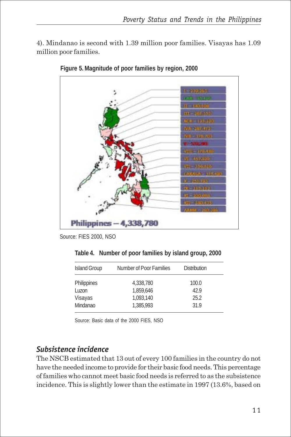4). Mindanao is second with 1.39 million poor families. Visayas has 1.09 million poor families.



**Figure 5. Magnitude of poor families by region, 2000**

Source: FIES 2000, NSO

|  | Table 4. Number of poor families by island group, 2000 |  |  |  |  |  |  |
|--|--------------------------------------------------------|--|--|--|--|--|--|
|--|--------------------------------------------------------|--|--|--|--|--|--|

| <b>Island Group</b> | Number of Poor Families |       |  |
|---------------------|-------------------------|-------|--|
| Philippines         | 4.338.780               | 100.0 |  |
| Luzon               | 1.859.646               | 42.9  |  |
| Visayas             | 1.093.140               | 25.2  |  |
| Mindanao            | 1,385,993               | 31.9  |  |

Source: Basic data of the 2000 FIES, NSO

#### *Subsistence incidence*

The NSCB estimated that 13 out of every 100 families in the country do not have the needed income to provide for their basic food needs. This percentage of families who cannot meet basic food needs is referred to as the subsistence incidence. This is slightly lower than the estimate in 1997 (13.6%, based on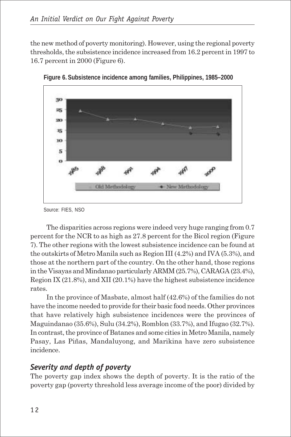the new method of poverty monitoring). However, using the regional poverty thresholds, the subsistence incidence increased from 16.2 percent in 1997 to 16.7 percent in 2000 (Figure 6).





The disparities across regions were indeed very huge ranging from 0.7 percent for the NCR to as high as 27.8 percent for the Bicol region (Figure 7). The other regions with the lowest subsistence incidence can be found at the outskirts of Metro Manila such as Region III (4.2%) and IVA (5.3%), and those at the northern part of the country. On the other hand, those regions in the Visayas and Mindanao particularly ARMM (25.7%), CARAGA (23.4%), Region IX (21.8%), and XII (20.1%) have the highest subsistence incidence rates.

In the province of Masbate, almost half (42.6%) of the families do not have the income needed to provide for their basic food needs. Other provinces that have relatively high subsistence incidences were the provinces of Maguindanao (35.6%), Sulu (34.2%), Romblon (33.7%), and Ifugao (32.7%). In contrast, the province of Batanes and some cities in Metro Manila, namely Pasay, Las Piñas, Mandaluyong, and Marikina have zero subsistence incidence.

#### *Severity and depth of poverty*

The poverty gap index shows the depth of poverty. It is the ratio of the poverty gap (poverty threshold less average income of the poor) divided by

Source: FIES, NSO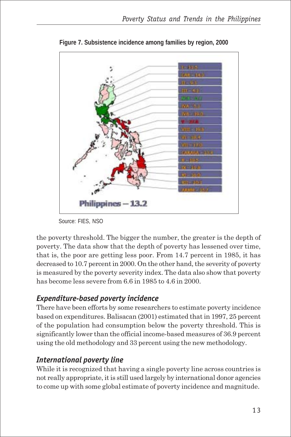

**Figure 7. Subsistence incidence among families by region, 2000**

Source: FIES, NSO

the poverty threshold. The bigger the number, the greater is the depth of poverty. The data show that the depth of poverty has lessened over time, that is, the poor are getting less poor. From 14.7 percent in 1985, it has decreased to 10.7 percent in 2000. On the other hand, the severity of poverty is measured by the poverty severity index. The data also show that poverty has become less severe from 6.6 in 1985 to 4.6 in 2000.

#### *Expenditure-based poverty incidence*

There have been efforts by some researchers to estimate poverty incidence based on expenditures. Balisacan (2001) estimated that in 1997, 25 percent of the population had consumption below the poverty threshold. This is significantly lower than the official income-based measures of 36.9 percent using the old methodology and 33 percent using the new methodology.

#### *International poverty line*

While it is recognized that having a single poverty line across countries is not really appropriate, it is still used largely by international donor agencies to come up with some global estimate of poverty incidence and magnitude.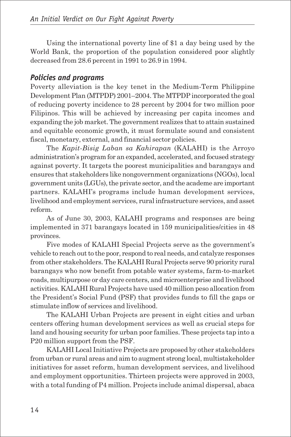Using the international poverty line of \$1 a day being used by the World Bank, the proportion of the population considered poor slightly decreased from 28.6 percent in 1991 to 26.9 in 1994.

#### *Policies and programs*

Poverty alleviation is the key tenet in the Medium-Term Philippine Development Plan (MTPDP) 2001–2004. The MTPDP incorporated the goal of reducing poverty incidence to 28 percent by 2004 for two million poor Filipinos. This will be achieved by increasing per capita incomes and expanding the job market. The government realizes that to attain sustained and equitable economic growth, it must formulate sound and consistent fiscal, monetary, external, and financial sector policies.

The *Kapit-Bisig Laban sa Kahirapan* (KALAHI) is the Arroyo administration's program for an expanded, accelerated, and focused strategy against poverty. It targets the poorest municipalities and barangays and ensures that stakeholders like nongovernment organizations (NGOs), local government units (LGUs), the private sector, and the academe are important partners. KALAHI's programs include human development services, livelihood and employment services, rural infrastructure services, and asset reform.

As of June 30, 2003, KALAHI programs and responses are being implemented in 371 barangays located in 159 municipalities/cities in 48 provinces.

Five modes of KALAHI Special Projects serve as the government's vehicle to reach out to the poor, respond to real needs, and catalyze responses from other stakeholders. The KALAHI Rural Projects serve 90 priority rural barangays who now benefit from potable water systems, farm-to-market roads, multipurpose or day care centers, and microenterprise and livelihood activities. KALAHI Rural Projects have used 40 million peso allocation from the President's Social Fund (PSF) that provides funds to fill the gaps or stimulate inflow of services and livelihood.

The KALAHI Urban Projects are present in eight cities and urban centers offering human development services as well as crucial steps for land and housing security for urban poor families. These projects tap into a P20 million support from the PSF.

KALAHI Local Initiative Projects are proposed by other stakeholders from urban or rural areas and aim to augment strong local, multistakeholder initiatives for asset reform, human development services, and livelihood and employment opportunities. Thirteen projects were approved in 2003, with a total funding of P4 million. Projects include animal dispersal, abaca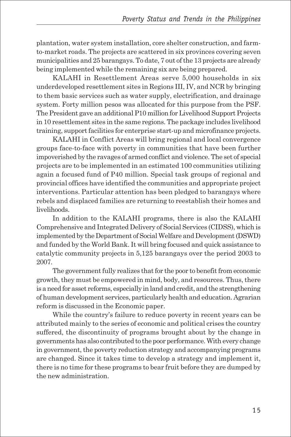plantation, water system installation, core shelter construction, and farmto-market roads. The projects are scattered in six provinces covering seven municipalities and 25 barangays. To date, 7 out of the 13 projects are already being implemented while the remaining six are being prepared.

KALAHI in Resettlement Areas serve 5,000 households in six underdeveloped resettlement sites in Regions III, IV, and NCR by bringing to them basic services such as water supply, electrification, and drainage system. Forty million pesos was allocated for this purpose from the PSF. The President gave an additional P10 million for Livelihood Support Projects in 10 resettlement sites in the same regions. The package includes livelihood training, support facilities for enterprise start-up and microfinance projects.

KALAHI in Conflict Areas will bring regional and local convergence groups face-to-face with poverty in communities that have been further impoverished by the ravages of armed conflict and violence. The set of special projects are to be implemented in an estimated 100 communities utilizing again a focused fund of P40 million. Special task groups of regional and provincial offices have identified the communities and appropriate project interventions. Particular attention has been pledged to barangays where rebels and displaced families are returning to reestablish their homes and livelihoods.

In addition to the KALAHI programs, there is also the KALAHI Comprehensive and Integrated Delivery of Social Services (CIDSS), which is implemented by the Department of Social Welfare and Development (DSWD) and funded by the World Bank. It will bring focused and quick assistance to catalytic community projects in 5,125 barangays over the period 2003 to 2007.

The government fully realizes that for the poor to benefit from economic growth, they must be empowered in mind, body, and resources. Thus, there is a need for asset reforms, especially in land and credit, and the strengthening of human development services, particularly health and education. Agrarian reform is discussed in the Economic paper.

While the country's failure to reduce poverty in recent years can be attributed mainly to the series of economic and political crises the country suffered, the discontinuity of programs brought about by the change in governments has also contributed to the poor performance. With every change in government, the poverty reduction strategy and accompanying programs are changed. Since it takes time to develop a strategy and implement it, there is no time for these programs to bear fruit before they are dumped by the new administration.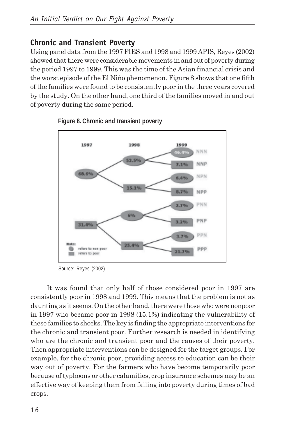### **Chronic and Transient Poverty**

Using panel data from the 1997 FIES and 1998 and 1999 APIS, Reyes (2002) showed that there were considerable movements in and out of poverty during the period 1997 to 1999. This was the time of the Asian financial crisis and the worst episode of the El Niño phenomenon. Figure 8 shows that one fifth of the families were found to be consistently poor in the three years covered by the study. On the other hand, one third of the families moved in and out of poverty during the same period.



**Figure 8. Chronic and transient poverty**

Source: Reyes (2002)

It was found that only half of those considered poor in 1997 are consistently poor in 1998 and 1999. This means that the problem is not as daunting as it seems. On the other hand, there were those who were nonpoor in 1997 who became poor in 1998 (15.1%) indicating the vulnerability of these families to shocks. The key is finding the appropriate interventions for the chronic and transient poor. Further research is needed in identifying who are the chronic and transient poor and the causes of their poverty. Then appropriate interventions can be designed for the target groups. For example, for the chronic poor, providing access to education can be their way out of poverty. For the farmers who have become temporarily poor because of typhoons or other calamities, crop insurance schemes may be an effective way of keeping them from falling into poverty during times of bad crops.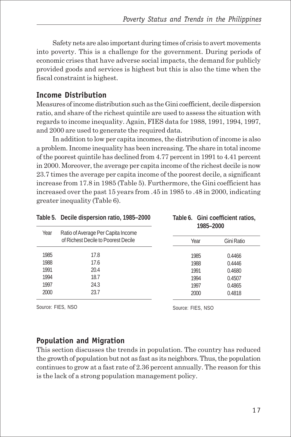Safety nets are also important during times of crisis to avert movements into poverty. This is a challenge for the government. During periods of economic crises that have adverse social impacts, the demand for publicly provided goods and services is highest but this is also the time when the fiscal constraint is highest.

#### **Income Distribution**

Measures of income distribution such as the Gini coefficient, decile dispersion ratio, and share of the richest quintile are used to assess the situation with regards to income inequality. Again, FIES data for 1988, 1991, 1994, 1997, and 2000 are used to generate the required data.

In addition to low per capita incomes, the distribution of income is also a problem. Income inequality has been increasing. The share in total income of the poorest quintile has declined from 4.77 percent in 1991 to 4.41 percent in 2000. Moreover, the average per capita income of the richest decile is now 23.7 times the average per capita income of the poorest decile, a significant increase from 17.8 in 1985 (Table 5). Furthermore, the Gini coefficient has increased over the past 15 years from .45 in 1985 to .48 in 2000, indicating greater inequality (Table 6).

|      | Table 5. Decile dispersion ratio, 1985-2000                               |      | Table 6. Gini coefficient ratios,<br>1985-2000 |  |
|------|---------------------------------------------------------------------------|------|------------------------------------------------|--|
| Year | Ratio of Average Per Capita Income<br>of Richest Decile to Poorest Decile | Year | Gini Ratio                                     |  |
| 1985 | 17.8                                                                      | 1985 | 0.4466                                         |  |
| 1988 | 17.6                                                                      | 1988 | 0.4446                                         |  |
| 1991 | 20.4                                                                      | 1991 | 0.4680                                         |  |
| 1994 | 18.7                                                                      | 1994 | 0.4507                                         |  |
| 1997 | 24.3                                                                      | 1997 | 0.4865                                         |  |
| 2000 | 23.7                                                                      | 2000 | 0.4818                                         |  |

Source: FIES, NSO

Source: FIES, NSO

#### **Population and Migration**

This section discusses the trends in population. The country has reduced the growth of population but not as fast as its neighbors. Thus, the population continues to grow at a fast rate of 2.36 percent annually. The reason for this is the lack of a strong population management policy.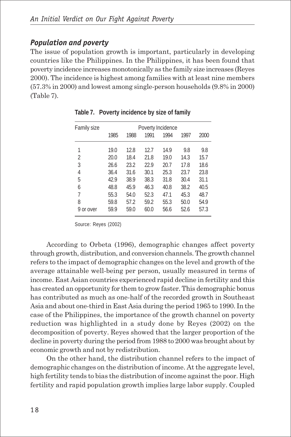#### *Population and poverty*

The issue of population growth is important, particularly in developing countries like the Philippines. In the Philippines, it has been found that poverty incidence increases monotonically as the family size increases (Reyes 2000). The incidence is highest among families with at least nine members (57.3% in 2000) and lowest among single-person households (9.8% in 2000) (Table 7).

| Family size | Poverty Incidence |      |      |      |      |      |
|-------------|-------------------|------|------|------|------|------|
|             | 1985              | 1988 | 1991 | 1994 | 1997 | 2000 |
| 1           | 19.0              | 12.8 | 12.7 | 14.9 | 9.8  | 9.8  |
| 2           | 20.0              | 18.4 | 21.8 | 19.0 | 14.3 | 15.7 |
| 3           | 26.6              | 23.2 | 22.9 | 20.7 | 17.8 | 18.6 |
| 4           | 36.4              | 31.6 | 30.1 | 25.3 | 23.7 | 23.8 |
| 5           | 42.9              | 38.9 | 38.3 | 31.8 | 30.4 | 31.1 |
| 6           | 48.8              | 45.9 | 46.3 | 40.8 | 38.2 | 40.5 |
| 7           | 55.3              | 54.0 | 52.3 | 47.1 | 45.3 | 48.7 |
| 8           | 59.8              | 57.2 | 59.2 | 55.3 | 50.0 | 54.9 |
| 9 or over   | 59.9              | 59.0 | 60.0 | 56.6 | 52.6 | 57.3 |

**Table 7. Poverty incidence by size of family**

Source: Reyes (2002)

According to Orbeta (1996), demographic changes affect poverty through growth, distribution, and conversion channels. The growth channel refers to the impact of demographic changes on the level and growth of the average attainable well-being per person, usually measured in terms of income. East Asian countries experienced rapid decline in fertility and this has created an opportunity for them to grow faster. This demographic bonus has contributed as much as one-half of the recorded growth in Southeast Asia and about one-third in East Asia during the period 1965 to 1990. In the case of the Philippines, the importance of the growth channel on poverty reduction was highlighted in a study done by Reyes (2002) on the decomposition of poverty. Reyes showed that the larger proportion of the decline in poverty during the period from 1988 to 2000 was brought about by economic growth and not by redistribution.

On the other hand, the distribution channel refers to the impact of demographic changes on the distribution of income. At the aggregate level, high fertility tends to bias the distribution of income against the poor. High fertility and rapid population growth implies large labor supply. Coupled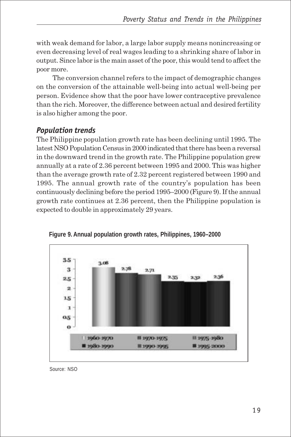with weak demand for labor, a large labor supply means nonincreasing or even decreasing level of real wages leading to a shrinking share of labor in output. Since labor is the main asset of the poor, this would tend to affect the poor more.

The conversion channel refers to the impact of demographic changes on the conversion of the attainable well-being into actual well-being per person. Evidence show that the poor have lower contraceptive prevalence than the rich. Moreover, the difference between actual and desired fertility is also higher among the poor.

### *Population trends*

The Philippine population growth rate has been declining until 1995. The latest NSO Population Census in 2000 indicated that there has been a reversal in the downward trend in the growth rate. The Philippine population grew annually at a rate of 2.36 percent between 1995 and 2000. This was higher than the average growth rate of 2.32 percent registered between 1990 and 1995. The annual growth rate of the country's population has been continuously declining before the period 1995–2000 (Figure 9). If the annual growth rate continues at 2.36 percent, then the Philippine population is expected to double in approximately 29 years.





Source: NSO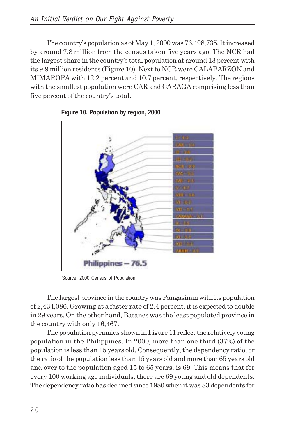The country's population as of May 1, 2000 was 76,498,735. It increased by around 7.8 million from the census taken five years ago. The NCR had the largest share in the country's total population at around 13 percent with its 9.9 million residents (Figure 10). Next to NCR were CALABARZON and MIMAROPA with 12.2 percent and 10.7 percent, respectively. The regions with the smallest population were CAR and CARAGA comprising less than five percent of the country's total.



**Figure 10. Population by region, 2000**

Source: 2000 Census of Population

The largest province in the country was Pangasinan with its population of 2,434,086. Growing at a faster rate of 2.4 percent, it is expected to double in 29 years. On the other hand, Batanes was the least populated province in the country with only 16,467.

The population pyramids shown in Figure 11 reflect the relatively young population in the Philippines. In 2000, more than one third (37%) of the population is less than 15 years old. Consequently, the dependency ratio, or the ratio of the population less than 15 years old and more than 65 years old and over to the population aged 15 to 65 years, is 69. This means that for every 100 working age individuals, there are 69 young and old dependents. The dependency ratio has declined since 1980 when it was 83 dependents for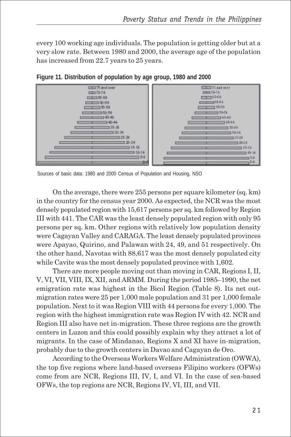every 100 working age individuals. The population is getting older but at a very slow rate. Between 1980 and 2000, the average age of the population has increased from 22.7 years to 25 years.



**Figure 11. Distribution of population by age group, 1980 and 2000**

On the average, there were 255 persons per square kilometer (sq. km) in the country for the census year 2000. As expected, the NCR was the most densely populated region with 15,617 persons per sq. km followed by Region III with 441. The CAR was the least densely populated region with only 95 persons per sq. km. Other regions with relatively low population density were Cagayan Valley and CARAGA. The least densely populated provinces were Apayao, Quirino, and Palawan with 24, 49, and 51 respectively. On the other hand, Navotas with 88,617 was the most densely populated city while Cavite was the most densely populated province with 1,602.

There are more people moving out than moving in CAR, Regions I, II, V, VI, VII, VIII, IX, XII, and ARMM. During the period 1985–1990, the net emigration rate was highest in the Bicol Region (Table 8). Its net outmigration rates were 25 per 1,000 male population and 31 per 1,000 female population. Next to it was Region VIII with 44 persons for every 1,000. The region with the highest immigration rate was Region IV with 42. NCR and Region III also have net in-migration. These three regions are the growth centers in Luzon and this could possibly explain why they attract a lot of migrants. In the case of Mindanao, Regions X and XI have in-migration, probably due to the growth centers in Davao and Cagayan de Oro.

According to the Overseas Workers Welfare Administration (OWWA), the top five regions where land-based overseas Filipino workers (OFWs) come from are NCR, Regions III, IV, I, and VI. In the case of sea-based OFWs, the top regions are NCR, Regions IV, VI, III, and VII.

Sources of basic data: 1980 and 2000 Census of Population and Housing, NSO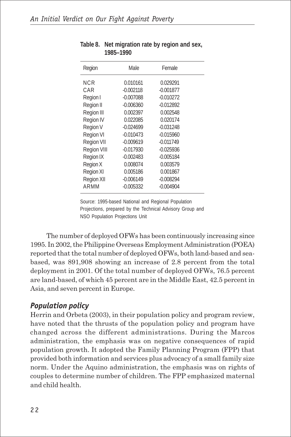| Region             | Male        | Female      |  |
|--------------------|-------------|-------------|--|
| NCR                | 0.010161    | 0.029291    |  |
| CAR                | $-0.002118$ | $-0.001877$ |  |
| Region I           | $-0.007088$ | $-0.010272$ |  |
| Region II          | $-0.006360$ | $-0.012892$ |  |
| Region III         | 0.002397    | 0.002548    |  |
| Region IV          | 0.022085    | 0.020174    |  |
| Region V           | $-0.024699$ | $-0.031248$ |  |
| <b>Region VI</b>   | $-0.010473$ | $-0.015960$ |  |
| <b>Region VII</b>  | $-0.009619$ | $-0.011749$ |  |
| <b>Region VIII</b> | $-0.017930$ | $-0.025936$ |  |
| Region IX          | $-0.002483$ | $-0.005184$ |  |
| Region X           | 0.008074    | 0.003579    |  |
| Region XI          | 0.005186    | 0.001867    |  |
| Region XII         | $-0.006149$ | $-0.008294$ |  |
| ARMM               | $-0.005332$ | $-0.004904$ |  |

**Table 8. Net migration rate by region and sex, 1985–1990**

Source: 1995-based National and Regional Population Projections, prepared by the Technical Advisory Group and NSO Population Projections Unit

The number of deployed OFWs has been continuously increasing since 1995. In 2002, the Philippine Overseas Employment Administration (POEA) reported that the total number of deployed OFWs, both land-based and seabased, was 891,908 showing an increase of 2.8 percent from the total deployment in 2001. Of the total number of deployed OFWs, 76.5 percent are land-based, of which 45 percent are in the Middle East, 42.5 percent in Asia, and seven percent in Europe.

#### *Population policy*

Herrin and Orbeta (2003), in their population policy and program review, have noted that the thrusts of the population policy and program have changed across the different administrations. During the Marcos administration, the emphasis was on negative consequences of rapid population growth. It adopted the Family Planning Program (FPP) that provided both information and services plus advocacy of a small family size norm. Under the Aquino administration, the emphasis was on rights of couples to determine number of children. The FPP emphasized maternal and child health.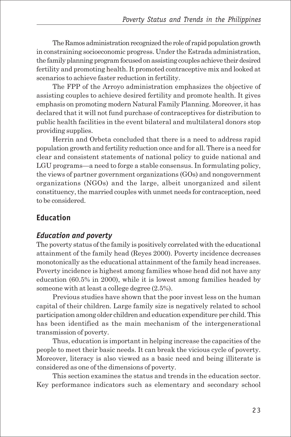The Ramos administration recognized the role of rapid population growth in constraining socioeconomic progress. Under the Estrada administration, the family planning program focused on assisting couples achieve their desired fertility and promoting health. It promoted contraceptive mix and looked at scenarios to achieve faster reduction in fertility.

The FPP of the Arroyo administration emphasizes the objective of assisting couples to achieve desired fertility and promote health. It gives emphasis on promoting modern Natural Family Planning. Moreover, it has declared that it will not fund purchase of contraceptives for distribution to public health facilities in the event bilateral and multilateral donors stop providing supplies.

Herrin and Orbeta concluded that there is a need to address rapid population growth and fertility reduction once and for all. There is a need for clear and consistent statements of national policy to guide national and LGU programs—a need to forge a stable consensus. In formulating policy, the views of partner government organizations (GOs) and nongovernment organizations (NGOs) and the large, albeit unorganized and silent constituency, the married couples with unmet needs for contraception, need to be considered.

#### **Education**

#### *Education and poverty*

The poverty status of the family is positively correlated with the educational attainment of the family head (Reyes 2000). Poverty incidence decreases monotonically as the educational attainment of the family head increases. Poverty incidence is highest among families whose head did not have any education (60.5% in 2000), while it is lowest among families headed by someone with at least a college degree (2.5%).

Previous studies have shown that the poor invest less on the human capital of their children. Large family size is negatively related to school participation among older children and education expenditure per child. This has been identified as the main mechanism of the intergenerational transmission of poverty.

Thus, education is important in helping increase the capacities of the people to meet their basic needs. It can break the vicious cycle of poverty. Moreover, literacy is also viewed as a basic need and being illiterate is considered as one of the dimensions of poverty.

This section examines the status and trends in the education sector. Key performance indicators such as elementary and secondary school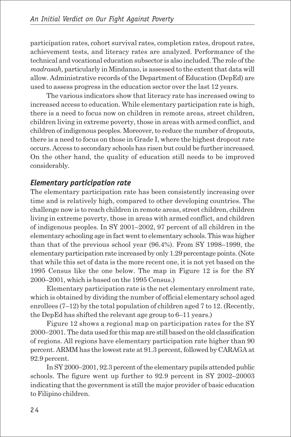participation rates, cohort survival rates, completion rates, dropout rates, achievement tests, and literacy rates are analyzed. Performance of the technical and vocational education subsector is also included. The role of the *madrasah*, particularly in Mindanao, is assessed to the extent that data will allow. Administrative records of the Department of Education (DepEd) are used to assess progress in the education sector over the last 12 years.

The various indicators show that literacy rate has increased owing to increased access to education. While elementary participation rate is high, there is a need to focus now on children in remote areas, street children, children living in extreme poverty, those in areas with armed conflict, and children of indigenous peoples. Moreover, to reduce the number of dropouts, there is a need to focus on those in Grade I, where the highest dropout rate occurs. Access to secondary schools has risen but could be further increased. On the other hand, the quality of education still needs to be improved considerably.

#### *Elementary participation rate*

The elementary participation rate has been consistently increasing over time and is relatively high, compared to other developing countries. The challenge now is to reach children in remote areas, street children, children living in extreme poverty, those in areas with armed conflict, and children of indigenous peoples. In SY 2001–2002, 97 percent of all children in the elementary schooling age in fact went to elementary schools. This was higher than that of the previous school year (96.4%). From SY 1998–1999, the elementary participation rate increased by only 1.29 percentage points. (Note that while this set of data is the more recent one, it is not yet based on the 1995 Census like the one below. The map in Figure 12 is for the SY 2000–2001, which is based on the 1995 Census.)

Elementary participation rate is the net elementary enrolment rate, which is obtained by dividing the number of official elementary school aged enrollees (7–12) by the total population of children aged 7 to 12. (Recently, the DepEd has shifted the relevant age group to 6–11 years.)

Figure 12 shows a regional map on participation rates for the SY 2000–2001. The data used for this map are still based on the old classification of regions. All regions have elementary participation rate higher than 90 percent. ARMM has the lowest rate at 91.3 percent, followed by CARAGA at 92.9 percent.

In SY 2000–2001, 92.3 percent of the elementary pupils attended public schools. The figure went up further to 92.9 percent in SY 2002–20003 indicating that the government is still the major provider of basic education to Filipino children.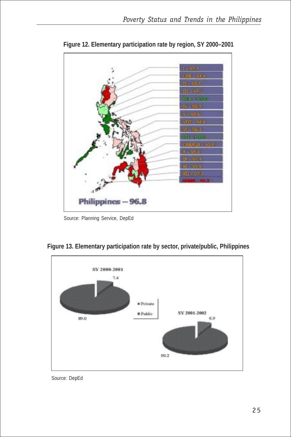

**Figure 12. Elementary participation rate by region, SY 2000–2001**

Source: Planning Service, DepEd



**Figure 13. Elementary participation rate by sector, private/public, Philippines**

Source: DepEd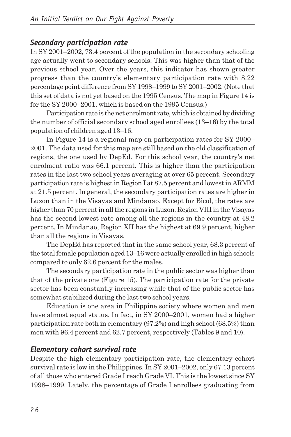#### *Secondary participation rate*

In SY 2001–2002, 73.4 percent of the population in the secondary schooling age actually went to secondary schools. This was higher than that of the previous school year. Over the years, this indicator has shown greater progress than the country's elementary participation rate with 8.22 percentage point difference from SY 1998–1999 to SY 2001–2002. (Note that this set of data is not yet based on the 1995 Census. The map in Figure 14 is for the SY 2000–2001, which is based on the 1995 Census.)

Participation rate is the net enrolment rate, which is obtained by dividing the number of official secondary school aged enrollees (13–16) by the total population of children aged 13–16.

In Figure 14 is a regional map on participation rates for SY 2000– 2001. The data used for this map are still based on the old classification of regions, the one used by DepEd. For this school year, the country's net enrolment ratio was 66.1 percent. This is higher than the participation rates in the last two school years averaging at over 65 percent. Secondary participation rate is highest in Region I at 87.5 percent and lowest in ARMM at 21.5 percent. In general, the secondary participation rates are higher in Luzon than in the Visayas and Mindanao. Except for Bicol, the rates are higher than 70 percent in all the regions in Luzon. Region VIII in the Visayas has the second lowest rate among all the regions in the country at 48.2 percent. In Mindanao, Region XII has the highest at 69.9 percent, higher than all the regions in Visayas.

The DepEd has reported that in the same school year, 68.3 percent of the total female population aged 13–16 were actually enrolled in high schools compared to only 62.6 percent for the males.

The secondary participation rate in the public sector was higher than that of the private one (Figure 15). The participation rate for the private sector has been constantly increasing while that of the public sector has somewhat stabilized during the last two school years.

Education is one area in Philippine society where women and men have almost equal status. In fact, in SY 2000–2001, women had a higher participation rate both in elementary (97.2%) and high school (68.5%) than men with 96.4 percent and 62.7 percent, respectively (Tables 9 and 10).

#### *Elementary cohort survival rate*

Despite the high elementary participation rate, the elementary cohort survival rate is low in the Philippines. In SY 2001–2002, only 67.13 percent of all those who entered Grade I reach Grade VI. This is the lowest since SY 1998–1999. Lately, the percentage of Grade I enrollees graduating from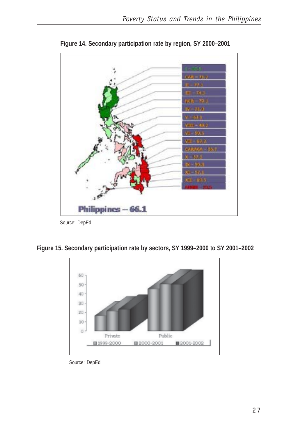

**Figure 14. Secondary participation rate by region, SY 2000–2001**

Source: DepEd

**Figure 15. Secondary participation rate by sectors, SY 1999–2000 to SY 2001–2002**



Source: DepEd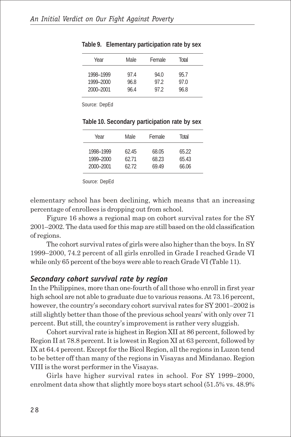| Female<br>Total<br>Male<br>Year                                                                             |  |
|-------------------------------------------------------------------------------------------------------------|--|
|                                                                                                             |  |
| 1998-1999<br>97.4<br>94.0<br>95.7<br>1999-2000<br>97.0<br>96.8<br>97.2<br>2000-2001<br>96.8<br>96.4<br>97.2 |  |

|  |  | Table 9. Elementary participation rate by sex |  |
|--|--|-----------------------------------------------|--|
|--|--|-----------------------------------------------|--|

| Year                                | Male.                   | Female                  | Total                   |  |
|-------------------------------------|-------------------------|-------------------------|-------------------------|--|
| 1998-1999<br>1999-2000<br>2000-2001 | 62.45<br>62.71<br>62 72 | 68.05<br>68.23<br>69.49 | 65.22<br>65.43<br>66.06 |  |
|                                     |                         |                         |                         |  |

**Table 10. Secondary participation rate by sex**

Source: DepEd

elementary school has been declining, which means that an increasing percentage of enrollees is dropping out from school.

Figure 16 shows a regional map on cohort survival rates for the SY 2001–2002. The data used for this map are still based on the old classification of regions.

The cohort survival rates of girls were also higher than the boys. In SY 1999–2000, 74.2 percent of all girls enrolled in Grade I reached Grade VI while only 65 percent of the boys were able to reach Grade VI (Table 11).

#### *Secondary cohort survival rate by region*

In the Philippines, more than one-fourth of all those who enroll in first year high school are not able to graduate due to various reasons. At 73.16 percent, however, the country's secondary cohort survival rates for SY 2001–2002 is still slightly better than those of the previous school years' with only over 71 percent. But still, the country's improvement is rather very sluggish.

Cohort survival rate is highest in Region XII at 86 percent, followed by Region II at 78.8 percent. It is lowest in Region XI at 63 percent, followed by IX at 64.4 percent. Except for the Bicol Region, all the regions in Luzon tend to be better off than many of the regions in Visayas and Mindanao. Region VIII is the worst performer in the Visayas.

Girls have higher survival rates in school. For SY 1999–2000, enrolment data show that slightly more boys start school (51.5% vs. 48.9%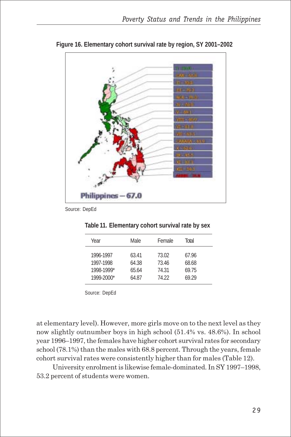

**Figure 16. Elementary cohort survival rate by region, SY 2001–2002**

| Year                                 | Male.                   | Female                  | Total                   |
|--------------------------------------|-------------------------|-------------------------|-------------------------|
| 1996-1997<br>1997-1998<br>1998-1999* | 63.41<br>64.38<br>65.64 | 73.02<br>73.46<br>74.31 | 67.96<br>68.68<br>69.75 |
| 1999-2000*                           | 64.87                   | 74.22                   | 69.29                   |
|                                      |                         |                         |                         |

**Table 11. Elementary cohort survival rate by sex**

Source: DepEd

at elementary level). However, more girls move on to the next level as they now slightly outnumber boys in high school (51.4% vs. 48.6%). In school year 1996–1997, the females have higher cohort survival rates for secondary school (78.1%) than the males with 68.8 percent. Through the years, female cohort survival rates were consistently higher than for males (Table 12).

University enrolment is likewise female-dominated. In SY 1997–1998, 53.2 percent of students were women.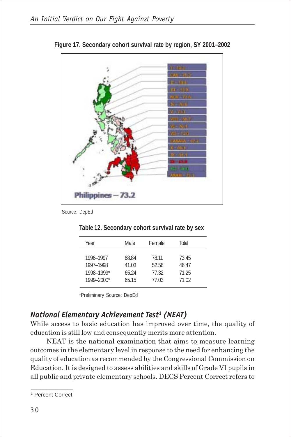

**Figure 17. Secondary cohort survival rate by region, SY 2001–2002**

|      | Table 12. Secondary cohort survival rate by sex |               |       |  |
|------|-------------------------------------------------|---------------|-------|--|
| Voor | M <sub>2</sub>                                  | <b>Eamala</b> | Total |  |

| Year                                               | Male.                            | Female                           | Total                            |  |
|----------------------------------------------------|----------------------------------|----------------------------------|----------------------------------|--|
| 1996-1997<br>1997-1998<br>1998-1999*<br>1999-2000* | 68.84<br>41.03<br>65.24<br>65.15 | 78.11<br>52.56<br>77.32<br>77.03 | 73.45<br>46.47<br>71.25<br>71.02 |  |
|                                                    |                                  |                                  |                                  |  |

\*Preliminary Source: DepEd

# *National Elementary Achievement Test***<sup>1</sup>**  *(NEAT)*

While access to basic education has improved over time, the quality of education is still low and consequently merits more attention.

NEAT is the national examination that aims to measure learning outcomes in the elementary level in response to the need for enhancing the quality of education as recommended by the Congressional Commission on Education. It is designed to assess abilities and skills of Grade VI pupils in all public and private elementary schools. DECS Percent Correct refers to

 $\overline{\phantom{a}}$  , where  $\overline{\phantom{a}}$ 1 Percent Correct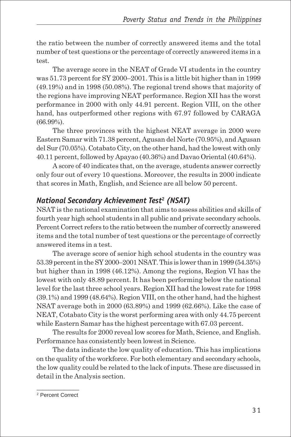the ratio between the number of correctly answered items and the total number of test questions or the percentage of correctly answered items in a test.

The average score in the NEAT of Grade VI students in the country was 51.73 percent for SY 2000–2001. This is a little bit higher than in 1999 (49.19%) and in 1998 (50.08%). The regional trend shows that majority of the regions have improving NEAT performance. Region XII has the worst performance in 2000 with only 44.91 percent. Region VIII, on the other hand, has outperformed other regions with 67.97 followed by CARAGA (66.99%).

The three provinces with the highest NEAT average in 2000 were Eastern Samar with 71.38 percent, Agusan del Norte (70.95%), and Agusan del Sur (70.05%). Cotabato City, on the other hand, had the lowest with only 40.11 percent, followed by Apayao (40.36%) and Davao Oriental (40.64%).

A score of 40 indicates that, on the average, students answer correctly only four out of every 10 questions. Moreover, the results in 2000 indicate that scores in Math, English, and Science are all below 50 percent.

# *National Secondary Achievement Test***<sup>2</sup>**  *(NSAT)*

NSAT is the national examination that aims to assess abilities and skills of fourth year high school students in all public and private secondary schools. Percent Correct refers to the ratio between the number of correctly answered items and the total number of test questions or the percentage of correctly answered items in a test.

The average score of senior high school students in the country was 53.39 percent in the SY 2000–2001 NSAT. This is lower than in 1999 (54.35%) but higher than in 1998 (46.12%). Among the regions, Region VI has the lowest with only 48.89 percent. It has been performing below the national level for the last three school years. Region XII had the lowest rate for 1998 (39.1%) and 1999 (48.64%). Region VIII, on the other hand, had the highest NSAT average both in 2000 (63.89%) and 1999 (62.66%). Like the case of NEAT, Cotabato City is the worst performing area with only 44.75 percent while Eastern Samar has the highest percentage with 67.03 percent.

The results for 2000 reveal low scores for Math, Science, and English. Performance has consistently been lowest in Science.

The data indicate the low quality of education. This has implications on the quality of the workforce. For both elementary and secondary schools, the low quality could be related to the lack of inputs. These are discussed in detail in the Analysis section.

\_\_\_\_\_\_\_\_\_\_\_\_\_\_ 2 Percent Correct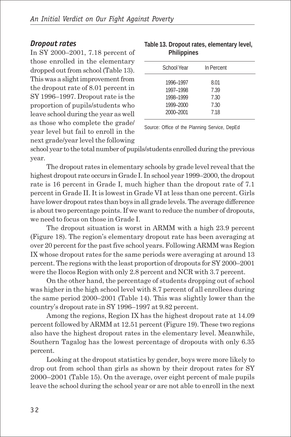### *Dropout rates*

In SY 2000–2001, 7.18 percent of those enrolled in the elementary dropped out from school (Table 13). This was a slight improvement from the dropout rate of 8.01 percent in SY 1996–1997. Dropout rate is the proportion of pupils/students who leave school during the year as well as those who complete the grade/ year level but fail to enroll in the next grade/year level the following

| Table 13. Dropout rates, elementary level, |  |
|--------------------------------------------|--|
| <b>Philippines</b>                         |  |

| School Year                                                   | In Percent                           |  |
|---------------------------------------------------------------|--------------------------------------|--|
| 1996-1997<br>1997-1998<br>1998-1999<br>1999-2000<br>2000-2001 | 8.01<br>7.39<br>7.30<br>7.30<br>7.18 |  |
|                                                               |                                      |  |

Source: Office of the Planning Service, DepEd

school year to the total number of pupils/students enrolled during the previous year.

The dropout rates in elementary schools by grade level reveal that the highest dropout rate occurs in Grade I. In school year 1999–2000, the dropout rate is 16 percent in Grade I, much higher than the dropout rate of 7.1 percent in Grade II. It is lowest in Grade VI at less than one percent. Girls have lower dropout rates than boys in all grade levels. The average difference is about two percentage points. If we want to reduce the number of dropouts, we need to focus on those in Grade I.

The dropout situation is worst in ARMM with a high 23.9 percent (Figure 18). The region's elementary dropout rate has been averaging at over 20 percent for the past five school years. Following ARMM was Region IX whose dropout rates for the same periods were averaging at around 13 percent. The regions with the least proportion of dropouts for SY 2000–2001 were the Ilocos Region with only 2.8 percent and NCR with 3.7 percent.

On the other hand, the percentage of students dropping out of school was higher in the high school level with 8.7 percent of all enrollees during the same period 2000–2001 (Table 14). This was slightly lower than the country's dropout rate in SY 1996–1997 at 9.82 percent.

Among the regions, Region IX has the highest dropout rate at 14.09 percent followed by ARMM at 12.51 percent (Figure 19). These two regions also have the highest dropout rates in the elementary level. Meanwhile, Southern Tagalog has the lowest percentage of dropouts with only 6.35 percent.

Looking at the dropout statistics by gender, boys were more likely to drop out from school than girls as shown by their dropout rates for SY 2000–2001 (Table 15). On the average, over eight percent of male pupils leave the school during the school year or are not able to enroll in the next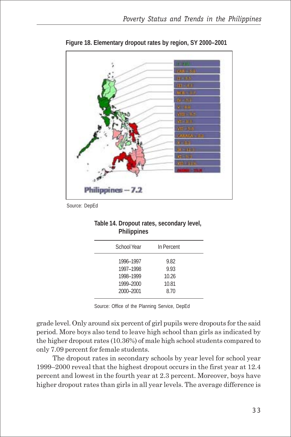

**Figure 18. Elementary dropout rates by region, SY 2000–2001**

| Table 14. Dropout rates, secondary level, |  |
|-------------------------------------------|--|
| <b>Philippines</b>                        |  |

| School Year                                                   | In Percent                             |  |
|---------------------------------------------------------------|----------------------------------------|--|
| 1996-1997<br>1997-1998<br>1998-1999<br>1999-2000<br>2000-2001 | 9.82<br>9.93<br>10.26<br>10.81<br>8.70 |  |
|                                                               |                                        |  |

Source: Office of the Planning Service, DepEd

grade level. Only around six percent of girl pupils were dropouts for the said period. More boys also tend to leave high school than girls as indicated by the higher dropout rates (10.36%) of male high school students compared to only 7.09 percent for female students.

The dropout rates in secondary schools by year level for school year 1999–2000 reveal that the highest dropout occurs in the first year at 12.4 percent and lowest in the fourth year at 2.3 percent. Moreover, boys have higher dropout rates than girls in all year levels. The average difference is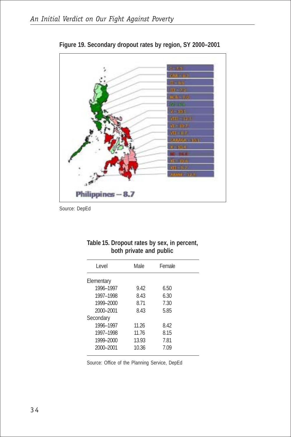

**Figure 19. Secondary dropout rates by region, SY 2000–2001**

| <b>DOUT PITTURE UND PUDIT</b> |       |        |  |  |
|-------------------------------|-------|--------|--|--|
| Level                         | Male  | Female |  |  |
| Elementary                    |       |        |  |  |
| 1996-1997                     | 9.42  | 6.50   |  |  |
| 1997-1998                     | 8.43  | 6.30   |  |  |
| 1999-2000                     | 8.71  | 7.30   |  |  |
| 2000-2001                     | 8.43  | 5.85   |  |  |
| Secondary                     |       |        |  |  |
| 1996-1997                     | 11.26 | 8.42   |  |  |
| 1997-1998                     | 11.76 | 8.15   |  |  |
| 1999-2000                     | 13.93 | 7.81   |  |  |
| 2000-2001                     | 10.36 | 7.09   |  |  |
|                               |       |        |  |  |

#### **Table 15. Dropout rates by sex, in percent, both private and public**

Source: Office of the Planning Service, DepEd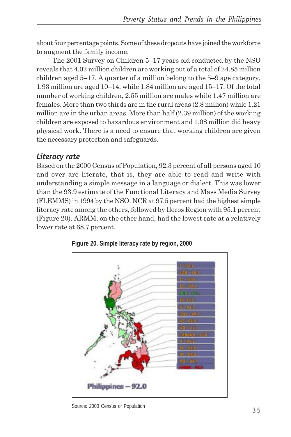about four percentage points. Some of these dropouts have joined the workforce to augment the family income.

The 2001 Survey on Children 5–17 years old conducted by the NSO reveals that 4.02 million children are working out of a total of 24.85 million children aged 5–17. A quarter of a million belong to the 5–9 age category, 1.93 million are aged 10–14, while 1.84 million are aged 15–17. Of the total number of working children, 2.55 million are males while 1.47 million are females. More than two thirds are in the rural areas (2.8 million) while 1.21 million are in the urban areas. More than half (2.39 million) of the working children are exposed to hazardous environment and 1.08 million did heavy physical work. There is a need to ensure that working children are given the necessary protection and safeguards.

## *Literacy rate*

Based on the 2000 Census of Population, 92.3 percent of all persons aged 10 and over are literate, that is, they are able to read and write with understanding a simple message in a language or dialect. This was lower than the 93.9 estimate of the Functional Literacy and Mass Media Survey (FLEMMS) in 1994 by the NSO. NCR at 97.5 percent had the highest simple literacy rate among the others, followed by Ilocos Region with 95.1 percent (Figure 20). ARMM, on the other hand, had the lowest rate at a relatively lower rate at 68.7 percent.



**Figure 20. Simple literacy rate by region, 2000**

Source: 2000 Census of Population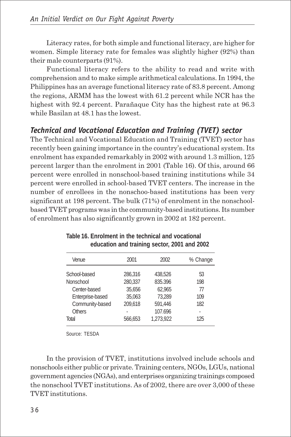Literacy rates, for both simple and functional literacy, are higher for women. Simple literacy rate for females was slightly higher (92%) than their male counterparts (91%).

Functional literacy refers to the ability to read and write with comprehension and to make simple arithmetical calculations. In 1994, the Philippines has an average functional literacy rate of 83.8 percent. Among the regions, ARMM has the lowest with 61.2 percent while NCR has the highest with 92.4 percent. Parañaque City has the highest rate at 96.3 while Basilan at 48.1 has the lowest.

# *Technical and Vocational Education and Training (TVET) sector*

The Technical and Vocational Education and Training (TVET) sector has recently been gaining importance in the country's educational system. Its enrolment has expanded remarkably in 2002 with around 1.3 million, 125 percent larger than the enrolment in 2001 (Table 16). Of this, around 66 percent were enrolled in nonschool-based training institutions while 34 percent were enrolled in school-based TVET centers. The increase in the number of enrollees in the nonschoo-based institutions has been very significant at 198 percent. The bulk (71%) of enrolment in the nonschoolbased TVET programs was in the community-based institutions. Its number of enrolment has also significantly grown in 2002 at 182 percent.

| Venue            | 2001    | 2002      | % Change |
|------------------|---------|-----------|----------|
| School-based     | 286.316 | 438.526   | 53       |
| Nonschool        | 280,337 | 835.396   | 198      |
| Center-based     | 35.656  | 62.965    | 77       |
| Enterprise-based | 35,063  | 73.289    | 109      |
| Community-based  | 209.618 | 591.446   | 182      |
| Others           |         | 107.696   |          |
| Total            | 566.653 | 1,273,922 | 125      |
|                  |         |           |          |

**Table 16. Enrolment in the technical and vocational education and training sector, 2001 and 2002**

Source: TESDA

In the provision of TVET, institutions involved include schools and nonschools either public or private. Training centers, NGOs, LGUs, national government agencies (NGAs), and enterprises organizing trainings composed the nonschool TVET institutions. As of 2002, there are over 3,000 of these TVET institutions.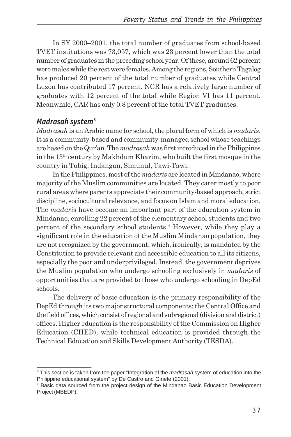In SY 2000–2001, the total number of graduates from school-based TVET institutions was 73,057, which was 23 percent lower than the total number of graduates in the preceding school year. Of these, around 62 percent were males while the rest were females. Among the regions, Southern Tagalog has produced 20 percent of the total number of graduates while Central Luzon has contributed 17 percent. NCR has a relatively large number of graduates with 12 percent of the total while Region VI has 11 percent. Meanwhile, CAR has only 0.8 percent of the total TVET graduates.

### *Madrasah system***<sup>3</sup>**

 $\_$ 

*Madrasah* is an Arabic name for school, the plural form of which is *madaris*. It is a community-based and community-managed school whose teachings are based on the Qur'an. The *madrasah* was first introduced in the Philippines in the 13th century by Makhdum Kharim, who built the first mosque in the country in Tubig, Indangan, Simunul, Tawi-Tawi.

In the Philippines, most of the *madaris* are located in Mindanao, where majority of the Muslim communities are located. They cater mostly to poor rural areas where parents appreciate their community-based approach, strict discipline, sociocultural relevance, and focus on Islam and moral education. The *madaris* have become an important part of the education system in Mindanao, enrolling 22 percent of the elementary school students and two percent of the secondary school students.4 However, while they play a significant role in the education of the Muslim Mindanao population, they are not recognized by the government, which, ironically, is mandated by the Constitution to provide relevant and accessible education to all its citizens, especially the poor and underprivileged. Instead, the government deprives the Muslim population who undergo schooling exclusively in *madaris* of opportunities that are provided to those who undergo schooling in DepEd schools.

The delivery of basic education is the primary responsibility of the DepEd through its two major structural components: the Central Office and the field offices, which consist of regional and subregional (division and district) offices. Higher education is the responsibility of the Commission on Higher Education (CHED), while technical education is provided through the Technical Education and Skills Development Authority (TESDA).

<sup>3</sup> This section is taken from the paper "Integration of the *madrasah* system of education into the Philippine educational system" by De Castro and Ginete (2001).

<sup>4</sup> Basic data sourced from the project design of the Mindanao Basic Education Development Project (MBEDP).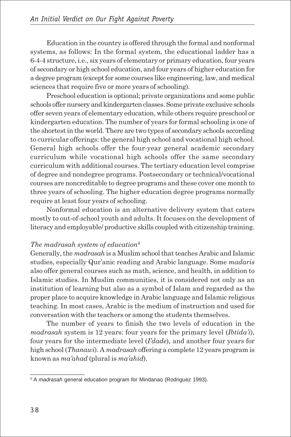Education in the country is offered through the formal and nonformal systems, as follows: In the formal system, the educational ladder has a 6-4-4 structure, i.e., six years of elementary or primary education, four years of secondary or high school education, and four years of higher education for a degree program (except for some courses like engineering, law, and medical sciences that require five or more years of schooling).

Preschool education is optional; private organizations and some public schools offer nursery and kindergarten classes. Some private exclusive schools offer seven years of elementary education, while others require preschool or kindergarten education. The number of years for formal schooling is one of the shortest in the world. There are two types of secondary schools according to curricular offerings: the general high school and vocational high school. General high schools offer the four-year general academic secondary curriculum while vocational high schools offer the same secondary curriculum with additional courses. The tertiary education level comprise of degree and nondegree programs. Postsecondary or technical/vocational courses are noncreditable to degree programs and these cover one month to three years of schooling. The higher education degree programs normally require at least four years of schooling.

Nonformal education is an alternative delivery system that caters mostly to out-of-school youth and adults. It focuses on the development of literacy and employable/ productive skills coupled with citizenship training.

#### *The madrasah system of education<sup>5</sup>*

Generally, the *madrasah* is a Muslim school that teaches Arabic and Islamic studies, especially Qur'anic reading and Arabic language. Some *madaris* also offer general courses such as math, science, and health, in addition to Islamic studies. In Muslim communities, it is considered not only as an institution of learning but also as a symbol of Islam and regarded as the proper place to acquire knowledge in Arabic language and Islamic religious teaching. In most cases, Arabic is the medium of instruction and used for conversation with the teachers or among the students themselves.

The number of years to finish the two levels of education in the *madrasah* system is 12 years: four years for the primary level (*Ibtida'i*), four years for the intermediate level (*I'dade*), and another four years for high school (*Thanawi*). A *madrasah* offering a complete 12 years program is known as *ma'ahad* (plural is *ma'ahid*).

 $\_$ 

<sup>5</sup> A *madrasah* general education program for Mindanao (Rodriguez 1993).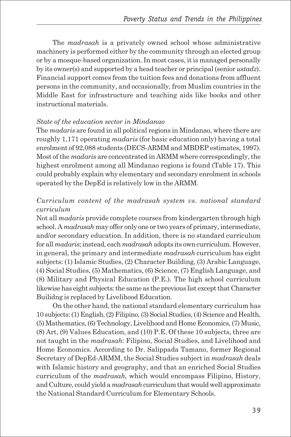The *madrasah* is a privately owned school whose administrative machinery is performed either by the community through an elected group or by a mosque-based organization. In most cases, it is managed personally by its owner(s) and supported by a head teacher or principal (senior *ustadz*). Financial support comes from the tuition fees and donations from affluent persons in the community, and occasionally, from Muslim countries in the Middle East for infrastructure and teaching aids like books and other instructional materials.

#### *State of the education sector in Mindanao*

The *madaris* are found in all political regions in Mindanao, where there are roughly 1,171 operating *madaris* (for basic education only) having a total enrolment of 92,088 students (DECS-ARMM and MBDEP estimates, 1997). Most of the *madaris* are concentrated in ARMM where correspondingly, the highest enrolment among all Mindanao regions is found (Table 17). This could probably explain why elementary and secondary enrolment in schools operated by the DepEd is relatively low in the ARMM.

### *Curriculum content of the madrasah system vs. national standard curriculum*

Not all *madaris* provide complete courses from kindergarten through high school. A *madrasah* may offer only one or two years of primary, intermediate, and/or secondary education. In addition, there is no standard curriculum for all *madaris*; instead, each *madrasah* adopts its own curriculum. However, in general, the primary and intermediate *madrasah* curriculum has eight subjects: (1) Islamic Studies, (2) Character Building, (3) Arabic Language, (4) Social Studies, (5) Mathematics, (6) Science, (7) English Language, and (8) Military and Physical Education (P.E.). The high school curriculum likewise has eight subjects: the same as the previous list except that Character Builidng is replaced by Livelihood Education.

On the other hand, the national standard elementary curriculum has 10 subjects: (1) English, (2) Filipino, (3) Social Studies, (4) Science and Health, (5) Mathematics, (6) Technology, Livelihood and Home Economics, (7) Music, (8) Art, (9) Values Education, and (10) P.E. Of these 10 subjects, three are not taught in the *madrasah*: Filipino, Social Studies, and Livelihood and Home Economics. According to Dr. Salippada Tamano, former Regional Secretary of DepEd-ARMM, the Social Studies subject in *madrasah* deals with Islamic history and geography, and that an enriched Social Studies curriculum of the *madrasah,* which would encompass Filipino, History, and Culture, could yield a *madrasah* curriculum that would well approximate the National Standard Curriculum for Elementary Schools.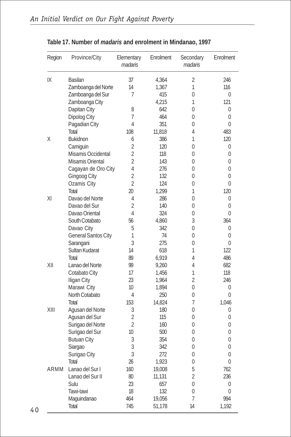| Region | Province/City            | Elementary<br>madaris | Enrolment | Secondary<br>madaris | Enrolment        |
|--------|--------------------------|-----------------------|-----------|----------------------|------------------|
| IX     | Basilan                  | 37                    | 4,364     | 2                    | 246              |
|        | Zamboanga del Norte      | 14                    | 1,367     | 1                    | 116              |
|        | Zamboanga del Sur        | 7                     | 415       | 0                    | 0                |
|        | Zamboanga City           |                       | 4,215     | 1                    | 121              |
|        | Dapitan City             | 8                     | 642       | 0                    | 0                |
|        | Dipolog City             | 7                     | 464       | 0                    | 0                |
|        | Pagadian City            | 4                     | 351       | 0                    | $\Omega$         |
|        | Total                    | 108                   | 11,818    | 4                    | 483              |
| Χ      | <b>Bukidnon</b>          | 6                     | 386       | 1                    | 120              |
|        | Camiguin                 | $\overline{2}$        | 120       | 0                    | 0                |
|        | Misamis Occidental       | $\overline{2}$        | 118       | 0                    | 0                |
|        | Misamis Oriental         | $\overline{2}$        | 143       | 0                    | 0                |
|        |                          | 4                     | 276       | 0                    | 0                |
|        | Cagayan de Oro City      | $\overline{2}$        | 132       | 0                    | 0                |
|        | Gingoog City             | $\overline{2}$        | 124       | 0                    | 0                |
|        | Ozamis City              |                       |           | 1                    |                  |
|        | Total<br>Davao del Norte | 20                    | 1,299     |                      | 120              |
| XI     |                          | 4                     | 286       | 0                    | 0                |
|        | Davao del Sur            | $\overline{2}$        | 140       | 0                    | 0                |
|        | Davao Oriental           | 4                     | 324       | 0                    | 0                |
|        | South Cotabato           | 56                    | 4,860     | 3                    | 364              |
|        | Davao City               | 5                     | 342       | 0                    | 0                |
|        | General Santos City      | 1                     | 74        | 0                    | 0                |
|        | Sarangani                | 3                     | 275       | 0                    | 0                |
|        | Sultan Kudarat           | 14                    | 618       | 1                    | 122              |
|        | Total                    | 89                    | 6,919     | 4                    | 486              |
| XII    | Lanao del Norte          | 99                    | 9,260     | 4                    | 682              |
|        | Cotabato City            | 17                    | 1,456     | 1                    | 118              |
|        | Iligan City              | 23                    | 1,964     | $\overline{2}$       | 246              |
|        | Marawi City              | 10                    | 1,894     | 0                    | 0                |
|        | North Cotabato           | 4                     | 250       | 0                    | 0                |
|        | Total                    | 153                   | 14,824    | 7                    | 1,046            |
| XIII   | Agusan del Norte         | 3                     | 180       | 0                    | 0                |
|        | Agusan del Sur           | $\overline{2}$        | 115       | 0                    | 0                |
|        | Surigao del Norte        | $\overline{2}$        | 160       | 0                    | 0                |
|        | Surigao del Sur          | 10                    | 500       | $\Omega$             | $\Omega$         |
|        | <b>Butuan City</b>       | 3                     | 354       | 0                    | 0                |
|        | Siargao                  | 3                     | 342       | 0                    | 0                |
|        | Surigao City             | $\sqrt{3}$            | 272       | 0                    | 0                |
|        | Total                    | 26                    | 1,923     | 0                    | $\boldsymbol{0}$ |
| ARMM   | Lanao del Sur I          | 160                   | 19,008    | 5                    | 762              |
|        | Lanao del Sur II         | 80                    | 11,131    | $\overline{2}$       | 236              |
|        | Sulu                     | 23                    | 657       | $\boldsymbol{0}$     | 0                |
|        | Tawi-tawi                | 18                    | 132       | $\boldsymbol{0}$     | $\mathbf 0$      |
|        | Maguindanao              | 464                   | 19,056    | 7                    | 994              |
|        | Total                    | 745                   | 51,178    | 14                   | 1,192            |

### **Table 17. Number of** *madaris* **and enrolment in Mindanao, 1997**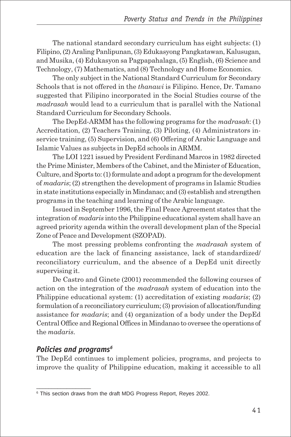The national standard secondary curriculum has eight subjects: (1) Filipino, (2) Araling Panlipunan, (3) Edukasyong Pangkatawan, Kalusugan, and Musika, (4) Edukasyon sa Pagpapahalaga, (5) English, (6) Science and Technology, (7) Mathematics, and (8) Technology and Home Economics.

The only subject in the National Standard Curriculum for Secondary Schools that is not offered in the *thanawi* is Filipino. Hence, Dr. Tamano suggested that Filipino incorporated in the Social Studies course of the *madrasah* would lead to a curriculum that is parallel with the National Standard Curriculum for Secondary Schools.

The DepEd-ARMM has the following programs for the *madrasah*: (1) Accreditation, (2) Teachers Training, (3) Piloting, (4) Administrators inservice training, (5) Supervision, and (6) Offering of Arabic Language and Islamic Values as subjects in DepEd schools in ARMM.

The LOI 1221 issued by President Ferdinand Marcos in 1982 directed the Prime Minister, Members of the Cabinet, and the Minister of Education, Culture, and Sports to: (1) formulate and adopt a program for the development of *madaris*; (2) strengthen the development of programs in Islamic Studies in state institutions especially in Mindanao; and (3) establish and strengthen programs in the teaching and learning of the Arabic language.

Issued in September 1996, the Final Peace Agreement states that the integration of *madaris* into the Philippine educational system shall have an agreed priority agenda within the overall development plan of the Special Zone of Peace and Development (SZOPAD).

The most pressing problems confronting the *madrasah* system of education are the lack of financing assistance, lack of standardized/ reconciliatory curriculum, and the absence of a DepEd unit directly supervising it.

De Castro and Ginete (2001) recommended the following courses of action on the integration of the *madrasah* system of education into the Philippine educational system: (1) accreditation of existing *madaris*; (2) formulation of a reconciliatory curriculum; (3) provision of allocation/funding assistance for *madaris*; and (4) organization of a body under the DepEd Central Office and Regional Offices in Mindanao to oversee the operations of the *madaris*.

### *Policies and programs6*

\_\_\_\_\_\_\_\_\_\_\_\_\_\_\_\_\_\_

The DepEd continues to implement policies, programs, and projects to improve the quality of Philippine education, making it accessible to all

<sup>&</sup>lt;sup>6</sup> This section draws from the draft MDG Progress Report, Reyes 2002.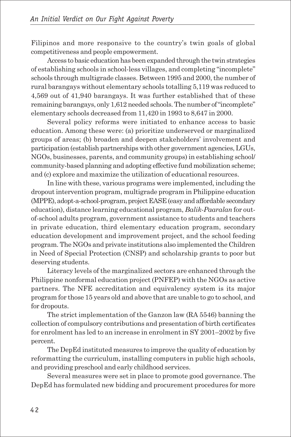Filipinos and more responsive to the country's twin goals of global competitiveness and people empowerment.

Access to basic education has been expanded through the twin strategies of establishing schools in school-less villages, and completing "incomplete" schools through multigrade classes. Between 1995 and 2000, the number of rural barangays without elementary schools totalling 5,119 was reduced to 4,569 out of 41,940 barangays. It was further established that of these remaining barangays, only 1,612 needed schools. The number of "incomplete" elementary schools decreased from 11,420 in 1993 to 8,647 in 2000.

Several policy reforms were initiated to enhance access to basic education. Among these were: (a) prioritize underserved or marginalized groups of areas; (b) broaden and deepen stakeholders' involvement and participation (establish partnerships with other government agencies, LGUs, NGOs, businesses, parents, and community groups) in establishing school/ community-based planning and adopting effective fund mobilization scheme; and (c) explore and maximize the utilization of educational resources.

In line with these, various programs were implemented, including the dropout intervention program, multigrade program in Philippine education (MPPE), adopt-a-school-program, project EASE (easy and affordable secondary education), distance learning educational program, *Balik-Paaralan* for outof-school adults program, government assistance to students and teachers in private education, third elementary education program, secondary education development and improvement project, and the school feeding program. The NGOs and private institutions also implemented the Children in Need of Special Protection (CNSP) and scholarship grants to poor but deserving students.

Literacy levels of the marginalized sectors are enhanced through the Philippine nonformal education project (PNFEP) with the NGOs as active partners. The NFE accreditation and equivalency system is its major program for those 15 years old and above that are unable to go to school, and for dropouts.

The strict implementation of the Ganzon law (RA 5546) banning the collection of compulsory contributions and presentation of birth certificates for enrolment has led to an increase in enrolment in SY 2001–2002 by five percent.

The DepEd instituted measures to improve the quality of education by reformatting the curriculum, installing computers in public high schools, and providing preschool and early childhood services.

Several measures were set in place to promote good governance. The DepEd has formulated new bidding and procurement procedures for more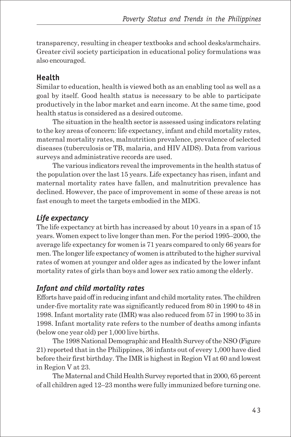transparency, resulting in cheaper textbooks and school desks/armchairs. Greater civil society participation in educational policy formulations was also encouraged.

### **Health**

Similar to education, health is viewed both as an enabling tool as well as a goal by itself. Good health status is necessary to be able to participate productively in the labor market and earn income. At the same time, good health status is considered as a desired outcome.

The situation in the health sector is assessed using indicators relating to the key areas of concern: life expectancy, infant and child mortality rates, maternal mortality rates, malnutrition prevalence, prevalence of selected diseases (tuberculosis or TB, malaria, and HIV AIDS). Data from various surveys and administrative records are used.

The various indicators reveal the improvements in the health status of the population over the last 15 years. Life expectancy has risen, infant and maternal mortality rates have fallen, and malnutrition prevalence has declined. However, the pace of improvement in some of these areas is not fast enough to meet the targets embodied in the MDG.

# *Life expectancy*

The life expectancy at birth has increased by about 10 years in a span of 15 years. Women expect to live longer than men. For the period 1995–2000, the average life expectancy for women is 71 years compared to only 66 years for men. The longer life expectancy of women is attributed to the higher survival rates of women at younger and older ages as indicated by the lower infant mortality rates of girls than boys and lower sex ratio among the elderly.

# *Infant and child mortality rates*

Efforts have paid off in reducing infant and child mortality rates. The children under-five mortality rate was significantly reduced from 80 in 1990 to 48 in 1998. Infant mortality rate (IMR) was also reduced from 57 in 1990 to 35 in 1998. Infant mortality rate refers to the number of deaths among infants (below one year old) per 1,000 live births.

The 1998 National Demographic and Health Survey of the NSO (Figure 21) reported that in the Philippines, 36 infants out of every 1,000 have died before their first birthday. The IMR is highest in Region VI at 60 and lowest in Region V at 23.

The Maternal and Child Health Survey reported that in 2000, 65 percent of all children aged 12–23 months were fully immunized before turning one.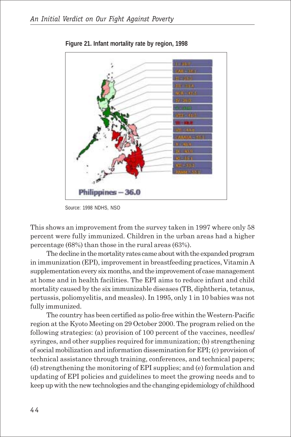

**Figure 21. Infant mortality rate by region, 1998**

Source: 1998 NDHS, NSO

This shows an improvement from the survey taken in 1997 where only 58 percent were fully immunized. Children in the urban areas had a higher percentage (68%) than those in the rural areas (63%).

The decline in the mortality rates came about with the expanded program in immunization (EPI), improvement in breastfeeding practices, Vitamin A supplementation every six months, and the improvement of case management at home and in health facilities. The EPI aims to reduce infant and child mortality caused by the six immunizable diseases (TB, diphtheria, tetanus, pertussis, poliomyelitis, and measles). In 1995, only 1 in 10 babies was not fully immunized.

The country has been certified as polio-free within the Western-Pacific region at the Kyoto Meeting on 29 October 2000. The program relied on the following strategies: (a) provision of 100 percent of the vaccines, needles/ syringes, and other supplies required for immunization; (b) strengthening of social mobilization and information dissemination for EPI; (c) provision of technical assistance through training, conferences, and technical papers; (d) strengthening the monitoring of EPI supplies; and (e) formulation and updating of EPI policies and guidelines to meet the growing needs and to keep up with the new technologies and the changing epidemiology of childhood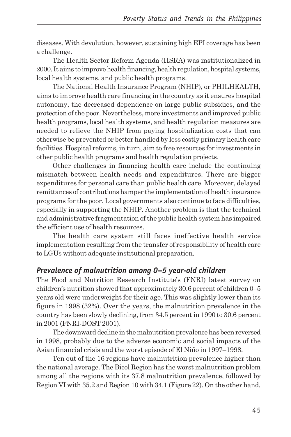diseases. With devolution, however, sustaining high EPI coverage has been a challenge.

The Health Sector Reform Agenda (HSRA) was institutionalized in 2000. It aims to improve health financing, health regulation, hospital systems, local health systems, and public health programs.

The National Health Insurance Program (NHIP), or PHILHEALTH, aims to improve health care financing in the country as it ensures hospital autonomy, the decreased dependence on large public subsidies, and the protection of the poor. Nevertheless, more investments and improved public health programs, local health systems, and health regulation measures are needed to relieve the NHIP from paying hospitalization costs that can otherwise be prevented or better handled by less costly primary health care facilities. Hospital reforms, in turn, aim to free resources for investments in other public health programs and health regulation projects.

Other challenges in financing health care include the continuing mismatch between health needs and expenditures. There are bigger expenditures for personal care than public health care. Moreover, delayed remittances of contributions hamper the implementation of health insurance programs for the poor. Local governments also continue to face difficulties, especially in supporting the NHIP. Another problem is that the technical and administrative fragmentation of the public health system has impaired the efficient use of health resources.

The health care system still faces ineffective health service implementation resulting from the transfer of responsibility of health care to LGUs without adequate institutional preparation.

## *Prevalence of malnutrition among 0–5 year-old children*

The Food and Nutrition Research Institute's (FNRI) latest survey on children's nutrition showed that approximately 30.6 percent of children 0–5 years old were underweight for their age. This was slightly lower than its figure in 1998 (32%). Over the years, the malnutrition prevalence in the country has been slowly declining, from 34.5 percent in 1990 to 30.6 percent in 2001 (FNRI-DOST 2001).

The downward decline in the malnutrition prevalence has been reversed in 1998, probably due to the adverse economic and social impacts of the Asian financial crisis and the worst episode of El Niño in 1997–1998.

Ten out of the 16 regions have malnutrition prevalence higher than the national average. The Bicol Region has the worst malnutrition problem among all the regions with its 37.8 malnutrition prevalence, followed by Region VI with 35.2 and Region 10 with 34.1 (Figure 22). On the other hand,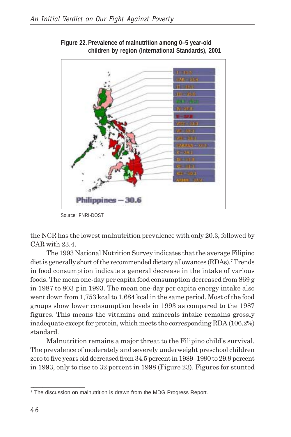

**Figure 22. Prevalence of malnutrition among 0–5 year-old children by region (International Standards), 2001**

Source: FNRI-DOST

the NCR has the lowest malnutrition prevalence with only 20.3, followed by CAR with 23.4.

The 1993 National Nutrition Survey indicates that the average Filipino diet is generally short of the recommended dietary allowances (RDAs).<sup>7</sup> Trends in food consumption indicate a general decrease in the intake of various foods. The mean one-day per capita food consumption decreased from 869 g in 1987 to 803 g in 1993. The mean one-day per capita energy intake also went down from 1,753 kcal to 1,684 kcal in the same period. Most of the food groups show lower consumption levels in 1993 as compared to the 1987 figures. This means the vitamins and minerals intake remains grossly inadequate except for protein, which meets the corresponding RDA (106.2%) standard.

Malnutrition remains a major threat to the Filipino child's survival. The prevalence of moderately and severely underweight preschool children zero to five years old decreased from 34.5 percent in 1989–1990 to 29.9 percent in 1993, only to rise to 32 percent in 1998 (Figure 23). Figures for stunted

\_\_\_\_\_\_\_\_\_\_\_\_\_\_\_\_\_\_

<sup>&</sup>lt;sup>7</sup> The discussion on malnutrition is drawn from the MDG Progress Report.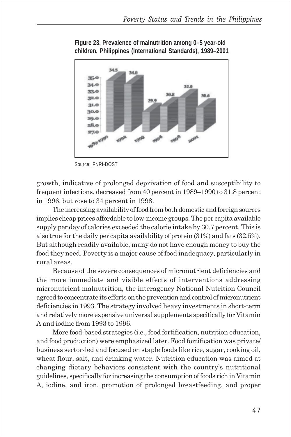

**Figure 23. Prevalence of malnutrition among 0–5 year-old children, Philippines (International Standards), 1989–2001**

Source: FNRI-DOST

growth, indicative of prolonged deprivation of food and susceptibility to frequent infections, decreased from 40 percent in 1989–1990 to 31.8 percent in 1996, but rose to 34 percent in 1998.

The increasing availability of food from both domestic and foreign sources implies cheap prices affordable to low-income groups. The per capita available supply per day of calories exceeded the calorie intake by 30.7 percent. This is also true for the daily per capita availability of protein (31%) and fats (32.5%). But although readily available, many do not have enough money to buy the food they need. Poverty is a major cause of food inadequacy, particularly in rural areas.

Because of the severe consequences of micronutrient deficiencies and the more immediate and visible effects of interventions addressing micronutrient malnutrition, the interagency National Nutrition Council agreed to concentrate its efforts on the prevention and control of micronutrient deficiencies in 1993. The strategy involved heavy investments in short-term and relatively more expensive universal supplements specifically for Vitamin A and iodine from 1993 to 1996.

More food-based strategies (i.e., food fortification, nutrition education, and food production) were emphasized later. Food fortification was private/ business sector-led and focused on staple foods like rice, sugar, cooking oil, wheat flour, salt, and drinking water. Nutrition education was aimed at changing dietary behaviors consistent with the country's nutritional guidelines, specifically for increasing the consumption of foods rich in Vitamin A, iodine, and iron, promotion of prolonged breastfeeding, and proper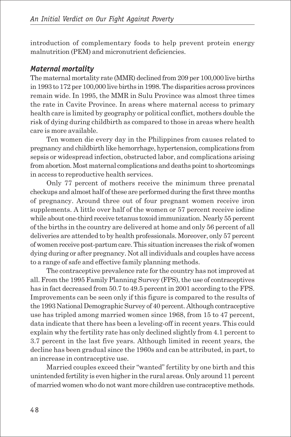introduction of complementary foods to help prevent protein energy malnutrition (PEM) and micronutrient deficiencies.

## *Maternal mortality*

The maternal mortality rate (MMR) declined from 209 per 100,000 live births in 1993 to 172 per 100,000 live births in 1998. The disparities across provinces remain wide. In 1995, the MMR in Sulu Province was almost three times the rate in Cavite Province. In areas where maternal access to primary health care is limited by geography or political conflict, mothers double the risk of dying during childbirth as compared to those in areas where health care is more available.

Ten women die every day in the Philippines from causes related to pregnancy and childbirth like hemorrhage, hypertension, complications from sepsis or widespread infection, obstructed labor, and complications arising from abortion. Most maternal complications and deaths point to shortcomings in access to reproductive health services.

Only 77 percent of mothers receive the minimum three prenatal checkups and almost half of these are performed during the first three months of pregnancy. Around three out of four pregnant women receive iron supplements. A little over half of the women or 57 percent receive iodine while about one-third receive tetanus toxoid immunization. Nearly 55 percent of the births in the country are delivered at home and only 56 percent of all deliveries are attended to by health professionals. Moreover, only 57 percent of women receive post-partum care. This situation increases the risk of women dying during or after pregnancy. Not all individuals and couples have access to a range of safe and effective family planning methods.

The contraceptive prevalence rate for the country has not improved at all. From the 1995 Family Planning Survey (FPS), the use of contraceptives has in fact decreased from 50.7 to 49.5 percent in 2001 according to the FPS. Improvements can be seen only if this figure is compared to the results of the 1993 National Demographic Survey of 40 percent. Although contraceptive use has tripled among married women since 1968, from 15 to 47 percent, data indicate that there has been a leveling-off in recent years. This could explain why the fertility rate has only declined slightly from 4.1 percent to 3.7 percent in the last five years. Although limited in recent years, the decline has been gradual since the 1960s and can be attributed, in part, to an increase in contraceptive use.

Married couples exceed their "wanted" fertility by one birth and this unintended fertility is even higher in the rural areas. Only around 11 percent of married women who do not want more children use contraceptive methods.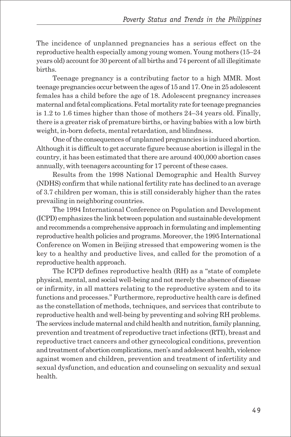The incidence of unplanned pregnancies has a serious effect on the reproductive health especially among young women. Young mothers (15–24 years old) account for 30 percent of all births and 74 percent of all illegitimate births.

Teenage pregnancy is a contributing factor to a high MMR. Most teenage pregnancies occur between the ages of 15 and 17. One in 25 adolescent females has a child before the age of 18. Adolescent pregnancy increases maternal and fetal complications. Fetal mortality rate for teenage pregnancies is 1.2 to 1.6 times higher than those of mothers 24–34 years old. Finally, there is a greater risk of premature births, or having babies with a low birth weight, in-born defects, mental retardation, and blindness.

One of the consequences of unplanned pregnancies is induced abortion. Although it is difficult to get accurate figure because abortion is illegal in the country, it has been estimated that there are around 400,000 abortion cases annually, with teenagers accounting for 17 percent of these cases.

Results from the 1998 National Demographic and Health Survey (NDHS) confirm that while national fertility rate has declined to an average of 3.7 children per woman, this is still considerably higher than the rates prevailing in neighboring countries.

The 1994 International Conference on Population and Development (ICPD) emphasizes the link between population and sustainable development and recommends a comprehensive approach in formulating and implementing reproductive health policies and programs. Moreover, the 1995 International Conference on Women in Beijing stressed that empowering women is the key to a healthy and productive lives, and called for the promotion of a reproductive health approach.

The ICPD defines reproductive health (RH) as a "state of complete physical, mental, and social well-being and not merely the absence of disease or infirmity, in all matters relating to the reproductive system and to its functions and processes." Furthermore, reproductive health care is defined as the constellation of methods, techniques, and services that contribute to reproductive health and well-being by preventing and solving RH problems. The services include maternal and child health and nutrition, family planning, prevention and treatment of reproductive tract infections (RTI), breast and reproductive tract cancers and other gynecological conditions, prevention and treatment of abortion complications, men's and adolescent health, violence against women and children, prevention and treatment of infertility and sexual dysfunction, and education and counseling on sexuality and sexual health.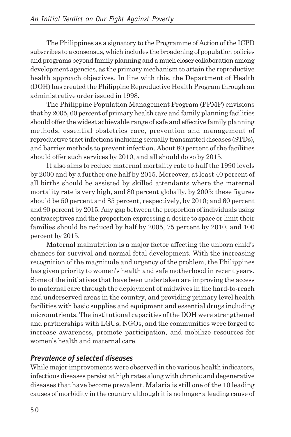The Philippines as a signatory to the Programme of Action of the ICPD subscribes to a consensus, which includes the broadening of population policies and programs beyond family planning and a much closer collaboration among development agencies, as the primary mechanism to attain the reproductive health approach objectives. In line with this, the Department of Health (DOH) has created the Philippine Reproductive Health Program through an administrative order issued in 1998.

The Philippine Population Management Program (PPMP) envisions that by 2005, 60 percent of primary health care and family planning facilities should offer the widest achievable range of safe and effective family planning methods, essential obstetrics care, prevention and management of reproductive tract infections including sexually transmitted diseases (STDs), and barrier methods to prevent infection. About 80 percent of the facilities should offer such services by 2010, and all should do so by 2015.

It also aims to reduce maternal mortality rate to half the 1990 levels by 2000 and by a further one half by 2015. Moreover, at least 40 percent of all births should be assisted by skilled attendants where the maternal mortality rate is very high, and 80 percent globally, by 2005: these figures should be 50 percent and 85 percent, respectively, by 2010; and 60 percent and 90 percent by 2015. Any gap between the proportion of individuals using contraceptives and the proportion expressing a desire to space or limit their families should be reduced by half by 2005, 75 percent by 2010, and 100 percent by 2015.

Maternal malnutrition is a major factor affecting the unborn child's chances for survival and normal fetal development. With the increasing recognition of the magnitude and urgency of the problem, the Philippines has given priority to women's health and safe motherhood in recent years. Some of the initiatives that have been undertaken are improving the access to maternal care through the deployment of midwives in the hard-to-reach and underserved areas in the country, and providing primary level health facilities with basic supplies and equipment and essential drugs including micronutrients. The institutional capacities of the DOH were strengthened and partnerships with LGUs, NGOs, and the communities were forged to increase awareness, promote participation, and mobilize resources for women's health and maternal care.

# *Prevalence of selected diseases*

While major improvements were observed in the various health indicators, infectious diseases persist at high rates along with chronic and degenerative diseases that have become prevalent. Malaria is still one of the 10 leading causes of morbidity in the country although it is no longer a leading cause of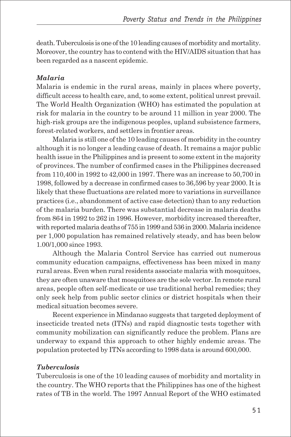death. Tuberculosis is one of the 10 leading causes of morbidity and mortality. Moreover, the country has to contend with the HIV/AIDS situation that has been regarded as a nascent epidemic.

#### *Malaria*

Malaria is endemic in the rural areas, mainly in places where poverty, difficult access to health care, and, to some extent, political unrest prevail. The World Health Organization (WHO) has estimated the population at risk for malaria in the country to be around 11 million in year 2000. The high-risk groups are the indigenous peoples, upland subsistence farmers, forest-related workers, and settlers in frontier areas.

Malaria is still one of the 10 leading causes of morbidity in the country although it is no longer a leading cause of death. It remains a major public health issue in the Philippines and is present to some extent in the majority of provinces. The number of confirmed cases in the Philippines decreased from 110,400 in 1992 to 42,000 in 1997. There was an increase to 50,700 in 1998, followed by a decrease in confirmed cases to 36,596 by year 2000. It is likely that these fluctuations are related more to variations in surveillance practices (i.e., abandonment of active case detection) than to any reduction of the malaria burden. There was substantial decrease in malaria deaths from 864 in 1992 to 262 in 1996. However, morbidity increased thereafter, with reported malaria deaths of 755 in 1999 and 536 in 2000. Malaria incidence per 1,000 population has remained relatively steady, and has been below 1.00/1,000 since 1993.

Although the Malaria Control Service has carried out numerous community education campaigns, effectiveness has been mixed in many rural areas. Even when rural residents associate malaria with mosquitoes, they are often unaware that mosquitoes are the sole vector. In remote rural areas, people often self-medicate or use traditional herbal remedies; they only seek help from public sector clinics or district hospitals when their medical situation becomes severe.

Recent experience in Mindanao suggests that targeted deployment of insecticide treated nets (ITNs) and rapid diagnostic tests together with community mobilization can significantly reduce the problem. Plans are underway to expand this approach to other highly endemic areas. The population protected by ITNs according to 1998 data is around 600,000.

### *Tuberculosis*

Tuberculosis is one of the 10 leading causes of morbidity and mortality in the country. The WHO reports that the Philippines has one of the highest rates of TB in the world. The 1997 Annual Report of the WHO estimated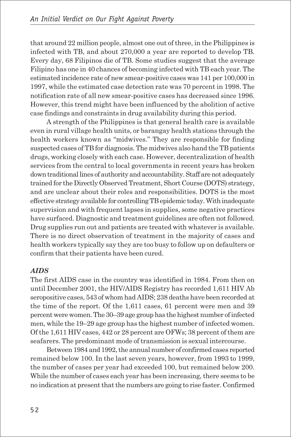that around 22 million people, almost one out of three, in the Philippines is infected with TB, and about 270,000 a year are reported to develop TB. Every day, 68 Filipinos die of TB. Some studies suggest that the average Filipino has one in 40 chances of becoming infected with TB each year. The estimated incidence rate of new smear-positive cases was 141 per 100,000 in 1997, while the estimated case detection rate was 70 percent in 1998. The notification rate of all new smear-positive cases has decreased since 1996. However, this trend might have been influenced by the abolition of active case findings and constraints in drug availability during this period.

A strength of the Philippines is that general health care is available even in rural village health units, or barangay health stations through the health workers known as "midwives." They are responsible for finding suspected cases of TB for diagnosis. The midwives also hand the TB patients drugs, working closely with each case. However, decentralization of health services from the central to local governments in recent years has broken down traditional lines of authority and accountability. Staff are not adequately trained for the Directly Observed Treatment, Short Course (DOTS) strategy, and are unclear about their roles and responsibilities. DOTS is the most effective strategy available for controlling TB epidemic today. With inadequate supervision and with frequent lapses in supplies, some negative practices have surfaced. Diagnostic and treatment guidelines are often not followed. Drug supplies run out and patients are treated with whatever is available. There is no direct observation of treatment in the majority of cases and health workers typically say they are too busy to follow up on defaulters or confirm that their patients have been cured.

#### *AIDS*

The first AIDS case in the country was identified in 1984. From then on until December 2001, the HIV/AIDS Registry has recorded 1,611 HIV Ab seropositive cases, 543 of whom had AIDS; 238 deaths have been recorded at the time of the report. Of the 1,611 cases, 61 percent were men and 39 percent were women. The 30–39 age group has the highest number of infected men, while the 19–29 age group has the highest number of infected women. Of the 1,611 HIV cases, 442 or 28 percent are OFWs; 38 percent of them are seafarers. The predominant mode of transmission is sexual intercourse.

Between 1984 and 1992, the annual number of confirmed cases reported remained below 100. In the last seven years, however, from 1993 to 1999, the number of cases per year had exceeded 100, but remained below 200. While the number of cases each year has been increasing, there seems to be no indication at present that the numbers are going to rise faster. Confirmed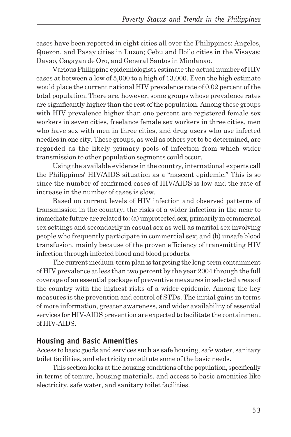cases have been reported in eight cities all over the Philippines: Angeles, Quezon, and Pasay cities in Luzon; Cebu and Iloilo cities in the Visayas; Davao, Cagayan de Oro, and General Santos in Mindanao.

Various Philippine epidemiologists estimate the actual number of HIV cases at between a low of 5,000 to a high of 13,000. Even the high estimate would place the current national HIV prevalence rate of 0.02 percent of the total population. There are, however, some groups whose prevalence rates are significantly higher than the rest of the population. Among these groups with HIV prevalence higher than one percent are registered female sex workers in seven cities, freelance female sex workers in three cities, men who have sex with men in three cities, and drug users who use infected needles in one city. These groups, as well as others yet to be determined, are regarded as the likely primary pools of infection from which wider transmission to other population segments could occur.

Using the available evidence in the country, international experts call the Philippines' HIV/AIDS situation as a "nascent epidemic." This is so since the number of confirmed cases of HIV/AIDS is low and the rate of increase in the number of cases is slow.

Based on current levels of HIV infection and observed patterns of transmission in the country, the risks of a wider infection in the near to immediate future are related to: (a) unprotected sex, primarily in commercial sex settings and secondarily in casual sex as well as marital sex involving people who frequently participate in commercial sex; and (b) unsafe blood transfusion, mainly because of the proven efficiency of transmitting HIV infection through infected blood and blood products.

The current medium-term plan is targeting the long-term containment of HIV prevalence at less than two percent by the year 2004 through the full coverage of an essential package of preventive measures in selected areas of the country with the highest risks of a wider epidemic. Among the key measures is the prevention and control of STDs. The initial gains in terms of more information, greater awareness, and wider availability of essential services for HIV-AIDS prevention are expected to facilitate the containment of HIV-AIDS.

### **Housing and Basic Amenities**

Access to basic goods and services such as safe housing, safe water, sanitary toilet facilities, and electricity constitute some of the basic needs.

This section looks at the housing conditions of the population, specifically in terms of tenure, housing materials, and access to basic amenities like electricity, safe water, and sanitary toilet facilities.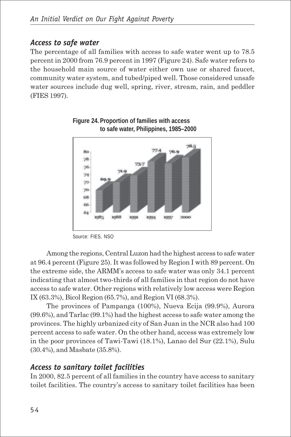## *Access to safe water*

The percentage of all families with access to safe water went up to 78.5 percent in 2000 from 76.9 percent in 1997 (Figure 24). Safe water refers to the household main source of water either own use or shared faucet, community water system, and tubed/piped well. Those considered unsafe water sources include dug well, spring, river, stream, rain, and peddler (FIES 1997).





Among the regions, Central Luzon had the highest access to safe water at 96.4 percent (Figure 25). It was followed by Region I with 89 percent. On the extreme side, the ARMM's access to safe water was only 34.1 percent indicating that almost two-thirds of all families in that region do not have access to safe water. Other regions with relatively low access were Region IX (63.3%), Bicol Region (65.7%), and Region VI (68.3%).

The provinces of Pampanga (100%), Nueva Ecija (99.9%), Aurora (99.6%), and Tarlac (99.1%) had the highest access to safe water among the provinces. The highly urbanized city of San Juan in the NCR also had 100 percent access to safe water. On the other hand, access was extremely low in the poor provinces of Tawi-Tawi (18.1%), Lanao del Sur (22.1%), Sulu (30.4%), and Masbate (35.8%).

## *Access to sanitary toilet facilities*

In 2000, 82.5 percent of all families in the country have access to sanitary toilet facilities. The country's access to sanitary toilet facilities has been

Source: FIES, NSO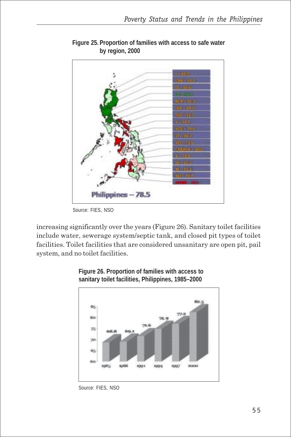

**Figure 25. Proportion of families with access to safe water by region, 2000**

increasing significantly over the years (Figure 26). Sanitary toilet facilities include water, sewerage system/septic tank, and closed pit types of toilet facilities. Toilet facilities that are considered unsanitary are open pit, pail system, and no toilet facilities.





Source: FIES, NSO

Source: FIES, NSO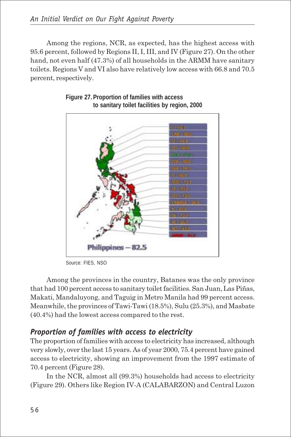Among the regions, NCR, as expected, has the highest access with 95.6 percent, followed by Regions II, I, III, and IV (Figure 27). On the other hand, not even half (47.3%) of all households in the ARMM have sanitary toilets. Regions V and VI also have relatively low access with 66.8 and 70.5 percent, respectively.



**Figure 27. Proportion of families with access to sanitary toilet facilities by region, 2000**

Source: FIES, NSO

Among the provinces in the country, Batanes was the only province that had 100 percent access to sanitary toilet facilities. San Juan, Las Piñas, Makati, Mandaluyong, and Taguig in Metro Manila had 99 percent access. Meanwhile, the provinces of Tawi-Tawi (18.5%), Sulu (25.3%), and Masbate (40.4%) had the lowest access compared to the rest.

## *Proportion of families with access to electricity*

The proportion of families with access to electricity has increased, although very slowly, over the last 15 years. As of year 2000, 75.4 percent have gained access to electricity, showing an improvement from the 1997 estimate of 70.4 percent (Figure 28).

In the NCR, almost all (99.3%) households had access to electricity (Figure 29). Others like Region IV-A (CALABARZON) and Central Luzon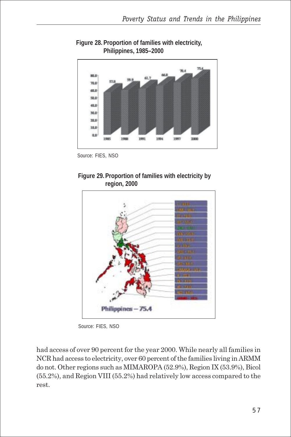

**Figure 28. Proportion of families with electricity, Philippines, 1985–2000**

Source: FIES, NSO





Source: FIES, NSO

had access of over 90 percent for the year 2000. While nearly all families in NCR had access to electricity, over 60 percent of the families living in ARMM do not. Other regions such as MIMAROPA (52.9%), Region IX (53.9%), Bicol (55.2%), and Region VIII (55.2%) had relatively low access compared to the rest.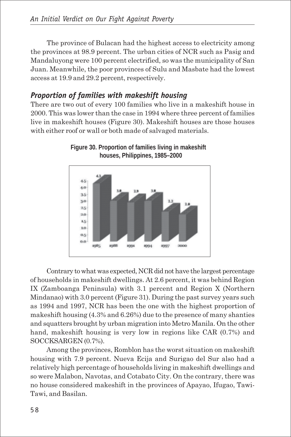The province of Bulacan had the highest access to electricity among the provinces at 98.9 percent. The urban cities of NCR such as Pasig and Mandaluyong were 100 percent electrified, so was the municipality of San Juan. Meanwhile, the poor provinces of Sulu and Masbate had the lowest access at 19.9 and 29.2 percent, respectively.

# *Proportion of families with makeshift housing*

There are two out of every 100 families who live in a makeshift house in 2000. This was lower than the case in 1994 where three percent of families live in makeshift houses (Figure 30). Makeshift houses are those houses with either roof or wall or both made of salvaged materials.



**Figure 30. Proportion of families living in makeshift houses, Philippines, 1985–2000**

Contrary to what was expected, NCR did not have the largest percentage of households in makeshift dwellings. At 2.6 percent, it was behind Region IX (Zamboanga Peninsula) with 3.1 percent and Region X (Northern Mindanao) with 3.0 percent (Figure 31). During the past survey years such as 1994 and 1997, NCR has been the one with the highest proportion of makeshift housing (4.3% and 6.26%) due to the presence of many shanties and squatters brought by urban migration into Metro Manila. On the other hand, makeshift housing is very low in regions like CAR (0.7%) and SOCCKSARGEN (0.7%).

Among the provinces, Romblon has the worst situation on makeshift housing with 7.9 percent. Nueva Ecija and Surigao del Sur also had a relatively high percentage of households living in makeshift dwellings and so were Malabon, Navotas, and Cotabato City. On the contrary, there was no house considered makeshift in the provinces of Apayao, Ifugao, Tawi-Tawi, and Basilan.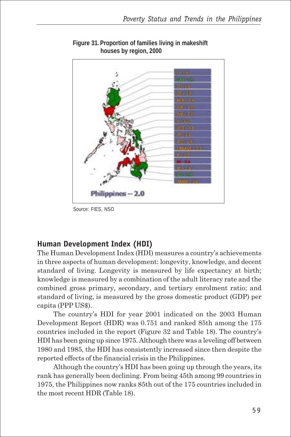

**Figure 31. Proportion of families living in makeshift houses by region, 2000**

Source: FIES, NSO

## **Human Development Index (HDI)**

The Human Development Index (HDI) measures a country's achievements in three aspects of human development: longevity, knowledge, and decent standard of living. Longevity is measured by life expectancy at birth; knowledge is measured by a combination of the adult literacy rate and the combined gross primary, secondary, and tertiary enrolment ratio; and standard of living, is measured by the gross domestic product (GDP) per capita (PPP US\$).

The country's HDI for year 2001 indicated on the 2003 Human Development Report (HDR) was 0.751 and ranked 85th among the 175 countries included in the report (Figure 32 and Table 18). The country's HDI has been going up since 1975. Although there was a leveling off between 1980 and 1985, the HDI has consistently increased since then despite the reported effects of the financial crisis in the Philippines.

Although the country's HDI has been going up through the years, its rank has generally been declining. From being 45th among 99 countries in 1975, the Philippines now ranks 85th out of the 175 countries included in the most recent HDR (Table 18).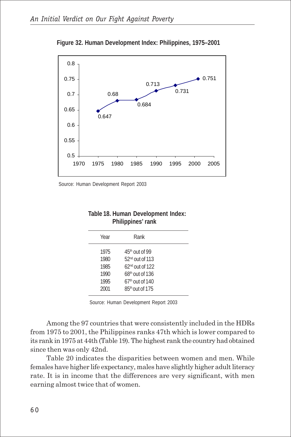

**Figure 32. Human Development Index: Philippines, 1975–2001**

Source: Human Development Report 2003

| Table 18. Human Development Index: |  |
|------------------------------------|--|
| Philippines' rank                  |  |

| Year                                         | Rank                                                                                                                    |  |
|----------------------------------------------|-------------------------------------------------------------------------------------------------------------------------|--|
| 1975<br>1980<br>1985<br>1990<br>1995<br>2001 | $45th$ Out of 99<br>$52nd$ Out of 113<br>$62nd$ Out of 122<br>$68th$ Out of 136<br>$67th$ Out of 140<br>85th out of 175 |  |
|                                              |                                                                                                                         |  |

Source: Human Development Report 2003

Among the 97 countries that were consistently included in the HDRs from 1975 to 2001, the Philippines ranks 47th which is lower compared to its rank in 1975 at 44th (Table 19). The highest rank the country had obtained since then was only 42nd.

Table 20 indicates the disparities between women and men. While females have higher life expectancy, males have slightly higher adult literacy rate. It is in income that the differences are very significant, with men earning almost twice that of women.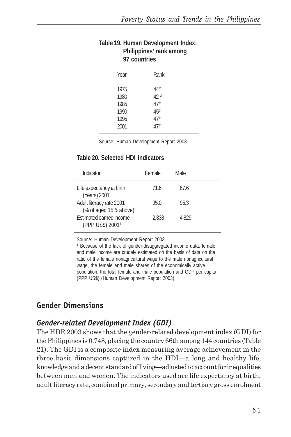| Philippines' rank among<br>97 countries      |                                                                                                          |  |  |
|----------------------------------------------|----------------------------------------------------------------------------------------------------------|--|--|
| Year                                         | Rank                                                                                                     |  |  |
| 1975<br>1980<br>1985<br>1990<br>1995<br>2001 | 44 <sup>th</sup><br>42nd<br>47 <sup>th</sup><br>45 <sup>th</sup><br>47 <sup>th</sup><br>47 <sup>th</sup> |  |  |

# **Table 19. Human Development Index: Philippines' rank among**

Source: Human Development Report 2003

#### **Table 20. Selected HDI indicators**

| Indicator                                               | Female | Male  |  |
|---------------------------------------------------------|--------|-------|--|
| Life expectancy at birth<br>(Years) 2001                | 71.6   | 67.6  |  |
| Adult literacy rate 2001<br>(% of aged 15 & above)      | 95.0   | 95.3  |  |
| Estimated earned income<br>(PPP US\$) 2001 <sup>1</sup> | 2.838  | 4.829 |  |

Source: Human Development Report 2003

<sup>1</sup> Because of the lack of gender-disaggregated income data, female and male income are crudely estimated on the basis of data on the ratio of the female nonagricultural wage to the male nonagricultural wage, the female and male shares of the economically active population, the total female and male population and GDP per capita (PPP US\$) (Human Development Report 2003)

# **Gender Dimensions**

# *Gender-related Development Index (GDI)*

The HDR 2003 shows that the gender-related development index (GDI) for the Philippines is 0.748, placing the country 66th among 144 countries (Table 21). The GDI is a composite index measuring average achievement in the three basic dimensions captured in the HDI—a long and healthy life, knowledge and a decent standard of living—adjusted to account for inequalities between men and women. The indicators used are life expectancy at birth, adult literacy rate, combined primary, secondary and tertiary gross enrolment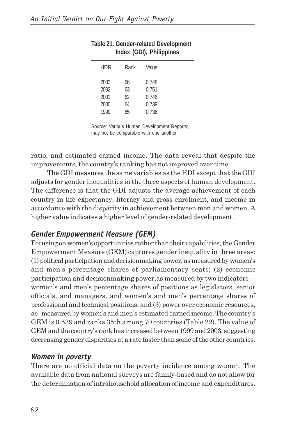| <b>HDR</b>           | Rank           | Value                   |  |
|----------------------|----------------|-------------------------|--|
| 2003<br>2002<br>2001 | 66<br>63<br>62 | 0.748<br>0.751<br>0.746 |  |
| 2000                 | 64             | 0.739                   |  |
| 1999                 | 65             | 0.736                   |  |
|                      |                |                         |  |

#### **Table 21. Gender-related Development Index (GDI), Philippines**

Source: Various Human Development Reports; may not be comparable with one another

ratio, and estimated earned income. The data reveal that despite the improvements, the country's ranking has not improved over time.

The GDI measures the same variables as the HDI except that the GDI adjusts for gender inequalities in the three aspects of human development. The difference is that the GDI adjusts the average achievement of each country in life expectancy, literacy and gross enrolment, and income in accordance with the disparity in achievement between men and women. A higher value indicates a higher level of gender-related development.

# *Gender Empowerment Measure (GEM)*

Focusing on women's opportunities rather than their capabilities, the Gender Empowerment Measure (GEM) captures gender inequality in three areas: (1) political participation and decisionmaking power, as measured by women's and men's percentage shares of parliamentary seats; (2) economic participation and decisionmaking power,as measured by two indicators women's and men's percentage shares of positions as legislators, senior officials, and managers, and women's and men's percentage shares of professional and technical positions; and (3) power over economic resources, as measured by women's and men's estimated earned income. The country's GEM is 0.539 and ranks 35th among 70 countries (Table 22). The value of GEM and the country's rank has increased between 1999 and 2003, suggesting decreasing gender disparities at a rate faster than some of the other countries.

## *Women in poverty*

There are no official data on the poverty incidence among women. The available data from national surveys are family-based and do not allow for the determination of intrahousehold allocation of income and expenditures.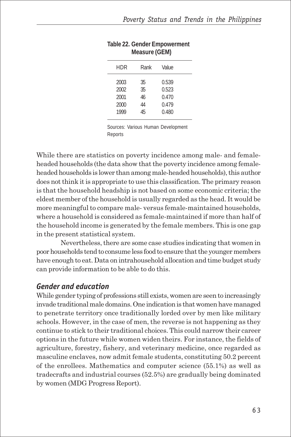| HDR                                  | Rank                       | Value                                     |  |
|--------------------------------------|----------------------------|-------------------------------------------|--|
| 2003<br>2002<br>2001<br>2000<br>1999 | 35<br>35<br>46<br>44<br>45 | 0.539<br>0.523<br>0.470<br>0.479<br>0.480 |  |

#### **Table 22. Gender Empowerment Measure (GEM)**

Sources: Various Human Development Reports

While there are statistics on poverty incidence among male- and femaleheaded households (the data show that the poverty incidence among femaleheaded households is lower than among male-headed households), this author does not think it is appropriate to use this classification. The primary reason is that the household headship is not based on some economic criteria; the eldest member of the household is usually regarded as the head. It would be more meaningful to compare male- versus female-maintained households, where a household is considered as female-maintained if more than half of the household income is generated by the female members. This is one gap in the present statistical system.

Nevertheless, there are some case studies indicating that women in poor households tend to consume less food to ensure that the younger members have enough to eat. Data on intrahousehold allocation and time budget study can provide information to be able to do this.

#### *Gender and education*

While gender typing of professions still exists, women are seen to increasingly invade traditional male domains. One indication is that women have managed to penetrate territory once traditionally lorded over by men like military schools. However, in the case of men, the reverse is not happening as they continue to stick to their traditional choices. This could narrow their career options in the future while women widen theirs. For instance, the fields of agriculture, forestry, fishery, and veterinary medicine, once regarded as masculine enclaves, now admit female students, constituting 50.2 percent of the enrollees. Mathematics and computer science (55.1%) as well as tradecrafts and industrial courses (52.5%) are gradually being dominated by women (MDG Progress Report).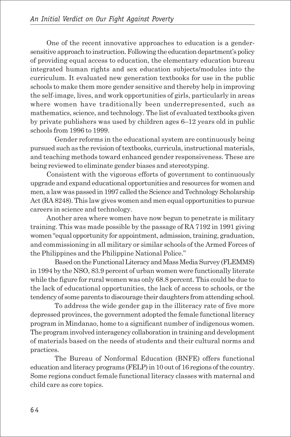One of the recent innovative approaches to education is a gendersensitive approach to instruction. Following the education department's policy of providing equal access to education, the elementary education bureau integrated human rights and sex education subjects/modules into the curriculum. It evaluated new generation textbooks for use in the public schools to make them more gender sensitive and thereby help in improving the self-image, lives, and work opportunities of girls, particularly in areas where women have traditionally been underrepresented, such as mathematics, science, and technology. The list of evaluated textbooks given by private publishers was used by children ages 6–12 years old in public schools from 1996 to 1999.

Gender reforms in the educational system are continuously being pursued such as the revision of textbooks, curricula, instructional materials, and teaching methods toward enhanced gender responsiveness. These are being reviewed to eliminate gender biases and stereotyping.

Consistent with the vigorous efforts of government to continuously upgrade and expand educational opportunities and resources for women and men, a law was passed in 1997 called the Science and Technology Scholarship Act (RA 8248). This law gives women and men equal opportunities to pursue careers in science and technology.

Another area where women have now begun to penetrate is military training. This was made possible by the passage of RA 7192 in 1991 giving women "equal opportunity for appointment, admission, training, graduation, and commissioning in all military or similar schools of the Armed Forces of the Philippines and the Philippine National Police."

Based on the Functional Literacy and Mass Media Survey (FLEMMS) in 1994 by the NSO, 83.9 percent of urban women were functionally literate while the figure for rural women was only 68.8 percent. This could be due to the lack of educational opportunities, the lack of access to schools, or the tendency of some parents to discourage their daughters from attending school.

To address the wide gender gap in the illiteracy rate of five more depressed provinces, the government adopted the female functional literacy program in Mindanao, home to a significant number of indigenous women. The program involved interagency collaboration in training and development of materials based on the needs of students and their cultural norms and practices.

The Bureau of Nonformal Education (BNFE) offers functional education and literacy programs (FELP) in 10 out of 16 regions of the country. Some regions conduct female functional literacy classes with maternal and child care as core topics.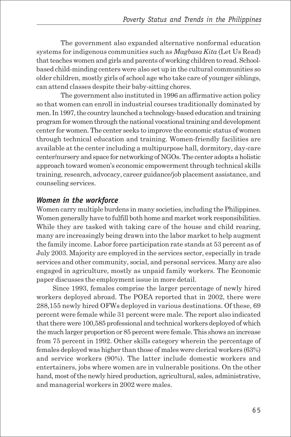The government also expanded alternative nonformal education systems for indigenous communities such as *Magbasa Kita* (Let Us Read) that teaches women and girls and parents of working children to read. Schoolbased child-minding centers were also set up in the cultural communities so older children, mostly girls of school age who take care of younger siblings, can attend classes despite their baby-sitting chores.

The government also instituted in 1996 an affirmative action policy so that women can enroll in industrial courses traditionally dominated by men. In 1997, the country launched a technology-based education and training program for women through the national vocational training and development center for women. The center seeks to improve the economic status of women through technical education and training. Women-friendly facilities are available at the center including a multipurpose hall, dormitory, day-care center/nursery and space for networking of NGOs. The center adopts a holistic approach toward women's economic empowerment through technical skills training, research, advocacy, career guidance/job placement assistance, and counseling services.

#### *Women in the workforce*

Women carry multiple burdens in many societies, including the Philippines. Women generally have to fulfill both home and market work responsibilities. While they are tasked with taking care of the house and child rearing, many are increasingly being drawn into the labor market to help augment the family income. Labor force participation rate stands at 53 percent as of July 2003. Majority are employed in the services sector, especially in trade services and other community, social, and personal services. Many are also engaged in agriculture, mostly as unpaid family workers. The Economic paper discusses the employment issue in more detail.

Since 1993, females comprise the larger percentage of newly hired workers deployed abroad. The POEA reported that in 2002, there were 288,155 newly hired OFWs deployed in various destinations. Of these, 69 percent were female while 31 percent were male. The report also indicated that there were 100,585 professional and technical workers deployed of which the much larger proportion or 85 percent were female. This shows an increase from 75 percent in 1992. Other skills category wherein the percentage of females deployed was higher than those of males were clerical workers (63%) and service workers (90%). The latter include domestic workers and entertainers, jobs where women are in vulnerable positions. On the other hand, most of the newly hired production, agricultural, sales, administrative, and managerial workers in 2002 were males.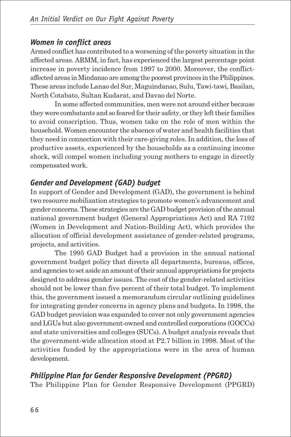#### *Women in conflict areas*

Armed conflict has contributed to a worsening of the poverty situation in the affected areas. ARMM, in fact, has experienced the largest percentage point increase in poverty incidence from 1997 to 2000. Moreover, the conflictaffected areas in Mindanao are among the poorest provinces in the Philippines. These areas include Lanao del Sur, Maguindanao, Sulu, Tawi-tawi, Basilan, North Cotabato, Sultan Kudarat, and Davao del Norte.

In some affected communities, men were not around either because they were combatants and so feared for their safety, or they left their families to avoid conscription. Thus, women take on the role of men within the household. Women encounter the absence of water and health facilities that they need in connection with their care-giving roles. In addition, the loss of productive assets, experienced by the households as a continuing income shock, will compel women including young mothers to engage in directly compensated work.

## *Gender and Development (GAD) budget*

In support of Gender and Development (GAD), the government is behind two resource mobilization strategies to promote women's advancement and gender concerns. These strategies are the GAD budget provision of the annual national government budget (General Appropriations Act) and RA 7192 (Women in Development and Nation-Building Act), which provides the allocation of official development assistance of gender-related programs, projects, and activities.

The 1995 GAD Budget had a provision in the annual national government budget policy that directs all departments, bureaus, offices, and agencies to set aside an amount of their annual appropriations for projects designed to address gender issues. The cost of the gender-related activities should not be lower than five percent of their total budget. To implement this, the government issued a memorandum circular outlining guidelines for integrating gender concerns in agency plans and budgets. In 1998, the GAD budget provision was expanded to cover not only government agencies and LGUs but also government-owned and controlled corporations (GOCCs) and state universities and colleges (SUCs). A budget analysis reveals that the government-wide allocation stood at P2.7 billion in 1998. Most of the activities funded by the appropriations were in the area of human development.

## *Philippine Plan for Gender Responsive Development (PPGRD)*

The Philippine Plan for Gender Responsive Development (PPGRD)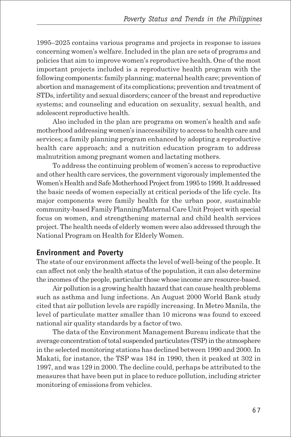1995–2025 contains various programs and projects in response to issues concerning women's welfare. Included in the plan are sets of programs and policies that aim to improve women's reproductive health. One of the most important projects included is a reproductive health program with the following components: family planning; maternal health care; prevention of abortion and management of its complications; prevention and treatment of STDs, infertility and sexual disorders; cancer of the breast and reproductive systems; and counseling and education on sexuality, sexual health, and adolescent reproductive health.

Also included in the plan are programs on women's health and safe motherhood addressing women's inaccessibility to access to health care and services; a family planning program enhanced by adopting a reproductive health care approach; and a nutrition education program to address malnutrition among pregnant women and lactating mothers.

To address the continuing problem of women's access to reproductive and other health care services, the government vigorously implemented the Women's Health and Safe Motherhood Project from 1995 to 1999. It addressed the basic needs of women especially at critical periods of the life cycle. Its major components were family health for the urban poor, sustainable community-based Family Planning/Maternal Care Unit Project with special focus on women, and strengthening maternal and child health services project. The health needs of elderly women were also addressed through the National Program on Health for Elderly Women.

#### **Environment and Poverty**

The state of our environment affects the level of well-being of the people. It can affect not only the health status of the population, it can also determine the incomes of the people, particular those whose income are resource-based.

Air pollution is a growing health hazard that can cause health problems such as asthma and lung infections. An August 2000 World Bank study cited that air pollution levels are rapidly increasing. In Metro Manila, the level of particulate matter smaller than 10 microns was found to exceed national air quality standards by a factor of two.

The data of the Environment Management Bureau indicate that the average concentration of total suspended particulates (TSP) in the atmosphere in the selected monitoring stations has declined between 1990 and 2000. In Makati, for instance, the TSP was 184 in 1990, then it peaked at 302 in 1997, and was 129 in 2000. The decline could, perhaps be attributed to the measures that have been put in place to reduce pollution, including stricter monitoring of emissions from vehicles.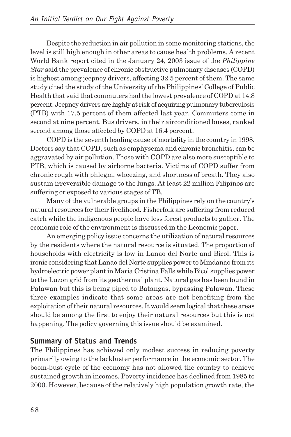Despite the reduction in air pollution in some monitoring stations, the level is still high enough in other areas to cause health problems. A recent World Bank report cited in the January 24, 2003 issue of the *Philippine Star* said the prevalence of chronic obstructive pulmonary diseases (COPD) is highest among jeepney drivers, affecting 32.5 percent of them. The same study cited the study of the University of the Philippines' College of Public Health that said that commuters had the lowest prevalence of COPD at 14.8 percent. Jeepney drivers are highly at risk of acquiring pulmonary tuberculosis (PTB) with 17.5 percent of them affected last year. Commuters come in second at nine percent. Bus drivers, in their airconditioned buses, ranked second among those affected by COPD at 16.4 percent.

COPD is the seventh leading cause of mortality in the country in 1998. Doctors say that COPD, such as emphysema and chronic bronchitis, can be aggravated by air pollution. Those with COPD are also more susceptible to PTB, which is caused by airborne bacteria. Victims of COPD suffer from chronic cough with phlegm, wheezing, and shortness of breath. They also sustain irreversible damage to the lungs. At least 22 million Filipinos are suffering or exposed to various stages of TB.

Many of the vulnerable groups in the Philippines rely on the country's natural resources for their livelihood. Fisherfolk are suffering from reduced catch while the indigenous people have less forest products to gather. The economic role of the environment is discussed in the Economic paper.

An emerging policy issue concerns the utilization of natural resources by the residents where the natural resource is situated. The proportion of households with electricity is low in Lanao del Norte and Bicol. This is ironic considering that Lanao del Norte supplies power to Mindanao from its hydroelectric power plant in Maria Cristina Falls while Bicol supplies power to the Luzon grid from its geothermal plant. Natural gas has been found in Palawan but this is being piped to Batangas, bypassing Palawan. These three examples indicate that some areas are not benefiting from the exploitation of their natural resources. It would seem logical that these areas should be among the first to enjoy their natural resources but this is not happening. The policy governing this issue should be examined.

#### **Summary of Status and Trends**

The Philippines has achieved only modest success in reducing poverty primarily owing to the lackluster performance in the economic sector. The boom-bust cycle of the economy has not allowed the country to achieve sustained growth in incomes. Poverty incidence has declined from 1985 to 2000. However, because of the relatively high population growth rate, the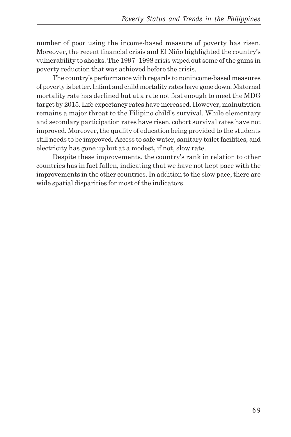number of poor using the income-based measure of poverty has risen. Moreover, the recent financial crisis and El Niño highlighted the country's vulnerability to shocks. The 1997–1998 crisis wiped out some of the gains in poverty reduction that was achieved before the crisis.

The country's performance with regards to nonincome-based measures of poverty is better. Infant and child mortality rates have gone down. Maternal mortality rate has declined but at a rate not fast enough to meet the MDG target by 2015. Life expectancy rates have increased. However, malnutrition remains a major threat to the Filipino child's survival. While elementary and secondary participation rates have risen, cohort survival rates have not improved. Moreover, the quality of education being provided to the students still needs to be improved. Access to safe water, sanitary toilet facilities, and electricity has gone up but at a modest, if not, slow rate.

Despite these improvements, the country's rank in relation to other countries has in fact fallen, indicating that we have not kept pace with the improvements in the other countries. In addition to the slow pace, there are wide spatial disparities for most of the indicators.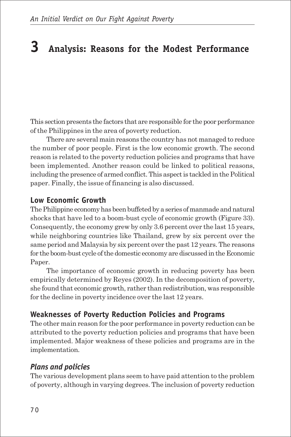## **3 Analysis: Reasons for the Modest Performance**

This section presents the factors that are responsible for the poor performance of the Philippines in the area of poverty reduction.

There are several main reasons the country has not managed to reduce the number of poor people. First is the low economic growth. The second reason is related to the poverty reduction policies and programs that have been implemented. Another reason could be linked to political reasons, including the presence of armed conflict. This aspect is tackled in the Political paper. Finally, the issue of financing is also discussed.

#### **Low Economic Growth**

The Philippine economy has been buffeted by a series of manmade and natural shocks that have led to a boom-bust cycle of economic growth (Figure 33). Consequently, the economy grew by only 3.6 percent over the last 15 years, while neighboring countries like Thailand, grew by six percent over the same period and Malaysia by six percent over the past 12 years. The reasons for the boom-bust cycle of the domestic economy are discussed in the Economic Paper.

The importance of economic growth in reducing poverty has been empirically determined by Reyes (2002). In the decomposition of poverty, she found that economic growth, rather than redistribution, was responsible for the decline in poverty incidence over the last 12 years.

#### **Weaknesses of Poverty Reduction Policies and Programs**

The other main reason for the poor performance in poverty reduction can be attributed to the poverty reduction policies and programs that have been implemented. Major weakness of these policies and programs are in the implementation.

#### *Plans and policies*

The various development plans seem to have paid attention to the problem of poverty, although in varying degrees. The inclusion of poverty reduction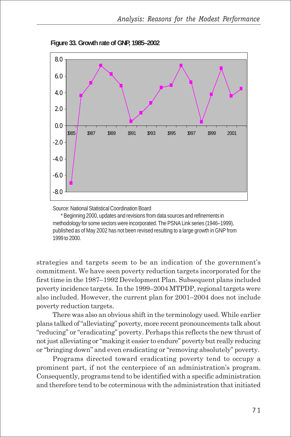

**Figure 33. Growth rate of GNP, 1985–2002**

Source: National Statistical Coordination Board

\* Beginning 2000, updates and revisions from data sources and refinements in methodology for some sectors were incorporated. The PSNA Link series (1946–1999), published as of May 2002 has not been revised resulting to a large growth in GNP from 1999 to 2000.

strategies and targets seem to be an indication of the government's commitment. We have seen poverty reduction targets incorporated for the first time in the 1987–1992 Development Plan. Subsequent plans included poverty incidence targets. In the 1999–2004 MTPDP, regional targets were also included. However, the current plan for 2001–2004 does not include poverty reduction targets.

There was also an obvious shift in the terminology used. While earlier plans talked of "alleviating" poverty, more recent pronouncements talk about "reducing" or "eradicating" poverty. Perhaps this reflects the new thrust of not just alleviating or "making it easier to endure" poverty but really reducing or "bringing down" and even eradicating or "removing absolutely" poverty.

Programs directed toward eradicating poverty tend to occupy a prominent part, if not the centerpiece of an administration's program. Consequently, programs tend to be identified with a specific administration and therefore tend to be coterminous with the administration that initiated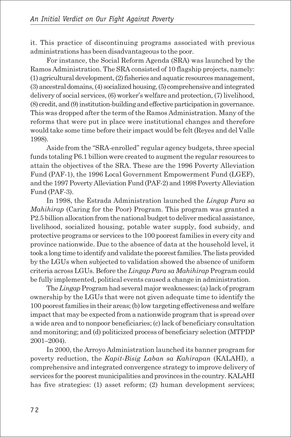it. This practice of discontinuing programs associated with previous administrations has been disadvantageous to the poor.

For instance, the Social Reform Agenda (SRA) was launched by the Ramos Administration. The SRA consisted of 10 flagship projects, namely: (1) agricultural development, (2) fisheries and aquatic resources management, (3) ancestral domains, (4) socialized housing, (5) comprehensive and integrated delivery of social services, (6) worker's welfare and protection, (7) livelihood, (8) credit, and (9) institution-building and effective participation in governance. This was dropped after the term of the Ramos Administration. Many of the reforms that were put in place were institutional changes and therefore would take some time before their impact would be felt (Reyes and del Valle 1998).

Aside from the "SRA-enrolled" regular agency budgets, three special funds totaling P6.1 billion were created to augment the regular resources to attain the objectives of the SRA. These are the 1996 Poverty Alleviation Fund (PAF-1), the 1996 Local Government Empowerment Fund (LGEF), and the 1997 Poverty Alleviation Fund (PAF-2) and 1998 Poverty Alleviation Fund (PAF-3).

In 1998, the Estrada Administration launched the *Lingap Para sa Mahihirap* (Caring for the Poor) Program. This program was granted a P2.5 billion allocation from the national budget to deliver medical assistance, livelihood, socialized housing, potable water supply, food subsidy, and protective programs or services to the 100 poorest families in every city and province nationwide. Due to the absence of data at the household level, it took a long time to identify and validate the poorest families. The lists provided by the LGUs when subjected to validation showed the absence of uniform criteria across LGUs. Before the *Lingap Para sa Mahihirap* Program could be fully implemented, political events caused a change in administration.

The *Lingap* Program had several major weaknesses: (a) lack of program ownership by the LGUs that were not given adequate time to identify the 100 poorest families in their areas; (b) low targeting effectiveness and welfare impact that may be expected from a nationwide program that is spread over a wide area and to nonpoor beneficiaries; (c) lack of beneficiary consultation and monitoring; and (d) politicized process of beneficiary selection (MTPDP 2001–2004).

In 2000, the Arroyo Administration launched its banner program for poverty reduction, the *Kapit-Bisig Laban sa Kahirapan* (KALAHI), a comprehensive and integrated convergence strategy to improve delivery of services for the poorest municipalities and provinces in the country. KALAHI has five strategies: (1) asset reform; (2) human development services;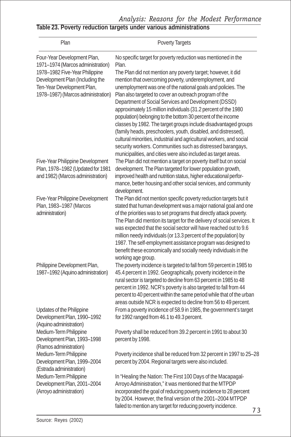*Analysis: Reasons for the Modest Performance*

#### **Table 23. Poverty reduction targets under various administrations**

| Plan                                                                                                                                                                                                      | <b>Poverty Targets</b>                                                                                                                                                                                                                                                                                                                                                                                                                                                                                                                                                                                                                                                                                                                                                                          |  |  |  |  |
|-----------------------------------------------------------------------------------------------------------------------------------------------------------------------------------------------------------|-------------------------------------------------------------------------------------------------------------------------------------------------------------------------------------------------------------------------------------------------------------------------------------------------------------------------------------------------------------------------------------------------------------------------------------------------------------------------------------------------------------------------------------------------------------------------------------------------------------------------------------------------------------------------------------------------------------------------------------------------------------------------------------------------|--|--|--|--|
| Four-Year Development Plan,<br>1971-1974 (Marcos administration)<br>1978-1982 Five-Year Philippine<br>Development Plan (Including the<br>Ten-Year Development Plan,<br>1978-1987) (Marcos administration) | No specific target for poverty reduction was mentioned in the<br>Plan.<br>The Plan did not mention any poverty target; however, it did<br>mention that overcoming poverty, underemployment, and<br>unemployment was one of the national goals and policies. The<br>Plan also targeted to cover an outreach program of the<br>Department of Social Services and Development (DSSD)<br>approximately 15 million individuals (31.2 percent of the 1980<br>population) belonging to the bottom 30 percent of the income<br>classes by 1982. The target groups include disadvantaged groups<br>(family heads, preschoolers, youth, disabled, and distressed),<br>cultural minorities, industrial and agricultural workers, and social<br>security workers. Communities such as distressed barangays, |  |  |  |  |
| Five-Year Philippine Development<br>Plan, 1978-1982 (Updated for 1981<br>and 1982) (Marcos administration)                                                                                                | municipalities, and cities were also included as target areas.<br>The Plan did not mention a target on poverty itself but on social<br>development. The Plan targeted for lower population growth,<br>improved health and nutrition status, higher educational perfor-<br>mance, better housing and other social services, and community<br>development.                                                                                                                                                                                                                                                                                                                                                                                                                                        |  |  |  |  |
| Five-Year Philippine Development<br>Plan, 1983-1987 (Marcos<br>administration)                                                                                                                            | The Plan did not mention specific poverty reduction targets but it<br>stated that human development was a major national goal and one<br>of the priorities was to set programs that directly attack poverty.<br>The Plan did mention its target for the delivery of social services. It<br>was expected that the social sector will have reached out to 9.6<br>million needy individuals (or 13.3 percent of the population) by<br>1987. The self-employment assistance program was designed to<br>benefit these economically and socially needy individuals in the<br>working age group.                                                                                                                                                                                                       |  |  |  |  |
| Philippine Development Plan,<br>1987-1992 (Aquino administration)                                                                                                                                         | The poverty incidence is targeted to fall from 59 percent in 1985 to<br>45.4 percent in 1992. Geographically, poverty incidence in the<br>rural sector is targeted to decline from 63 percent in 1985 to 48<br>percent in 1992. NCR's poverty is also targeted to fall from 44<br>percent to 40 percent within the same period while that of the urban<br>areas outside NCR is expected to decline from 56 to 49 percent.                                                                                                                                                                                                                                                                                                                                                                       |  |  |  |  |
| Updates of the Philippine<br>Development Plan, 1990-1992<br>(Aquino administration)                                                                                                                       | From a poverty incidence of 58.9 in 1985, the government's target<br>for 1992 ranged from 46.1 to 49.3 percent.                                                                                                                                                                                                                                                                                                                                                                                                                                                                                                                                                                                                                                                                                 |  |  |  |  |
| Medium-Term Philippine<br>Development Plan, 1993-1998<br>(Ramos administration)                                                                                                                           | Poverty shall be reduced from 39.2 percent in 1991 to about 30<br>percent by 1998.                                                                                                                                                                                                                                                                                                                                                                                                                                                                                                                                                                                                                                                                                                              |  |  |  |  |
| Medium-Term Philippine<br>Development Plan, 1999-2004<br>(Estrada administration)                                                                                                                         | Poverty incidence shall be reduced from 32 percent in 1997 to 25-28<br>percent by 2004. Regional targets were also included.                                                                                                                                                                                                                                                                                                                                                                                                                                                                                                                                                                                                                                                                    |  |  |  |  |
| Medium-Term Philippine<br>Development Plan, 2001-2004<br>(Arroyo administration)                                                                                                                          | In "Healing the Nation: The First 100 Days of the Macapagal-<br>Arroyo Administration," it was mentioned that the MTPDP<br>incorporated the goal of reducing poverty incidence to 28 percent<br>by 2004. However, the final version of the 2001-2004 MTPDP<br>failed to mention any target for reducing poverty incidence.<br>72                                                                                                                                                                                                                                                                                                                                                                                                                                                                |  |  |  |  |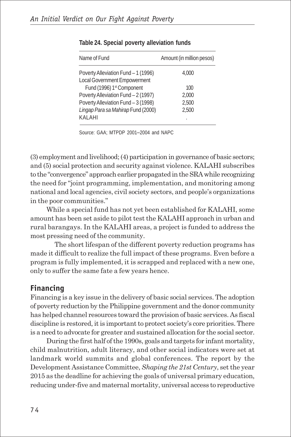| Name of Fund                        | Amount (in million pesos) |
|-------------------------------------|---------------------------|
| Poverty Alleviation Fund - 1 (1996) | 4.000                     |
| Local Government Empowerment        |                           |
| Fund (1996) 1st Component           | 100                       |
| Poverty Alleviation Fund - 2 (1997) | 2,000                     |
| Poverty Alleviation Fund - 3 (1998) | 2.500                     |
| Lingap Para sa Mahirap Fund (2000)  | 2.500                     |
| KALAHI                              | ٠                         |

#### **Table 24. Special poverty alleviation funds**

Source: GAA; MTPDP 2001–2004 and NAPC

(3) employment and livelihood; (4) participation in governance of basic sectors; and (5) social protection and security against violence. KALAHI subscribes to the "convergence" approach earlier propagated in the SRA while recognizing the need for "joint programming, implementation, and monitoring among national and local agencies, civil society sectors, and people's organizations in the poor communities."

While a special fund has not yet been established for KALAHI, some amount has been set aside to pilot test the KALAHI approach in urban and rural barangays. In the KALAHI areas, a project is funded to address the most pressing need of the community.

The short lifespan of the different poverty reduction programs has made it difficult to realize the full impact of these programs. Even before a program is fully implemented, it is scrapped and replaced with a new one, only to suffer the same fate a few years hence.

#### **Financing**

Financing is a key issue in the delivery of basic social services. The adoption of poverty reduction by the Philippine government and the donor community has helped channel resources toward the provision of basic services. As fiscal discipline is restored, it is important to protect society's core priorities. There is a need to advocate for greater and sustained allocation for the social sector.

During the first half of the 1990s, goals and targets for infant mortality, child malnutrition, adult literacy, and other social indicators were set at landmark world summits and global conferences. The report by the Development Assistance Committee, *Shaping the 21st Century*, set the year 2015 as the deadline for achieving the goals of universal primary education, reducing under-five and maternal mortality, universal access to reproductive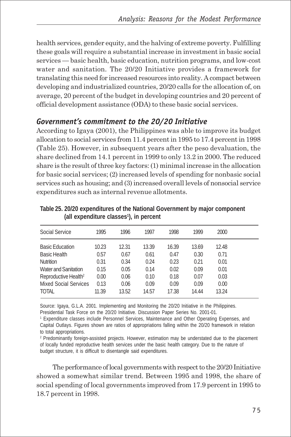health services, gender equity, and the halving of extreme poverty. Fulfilling these goals will require a substantial increase in investment in basic social services — basic health, basic education, nutrition programs, and low-cost water and sanitation. The 20/20 Initiative provides a framework for translating this need for increased resources into reality. A compact between developing and industrialized countries, 20/20 calls for the allocation of, on average, 20 percent of the budget in developing countries and 20 percent of official development assistance (ODA) to these basic social services.

### *Government's commitment to the 20/20 Initiative*

According to Igaya (2001), the Philippines was able to improve its budget allocation to social services from 11.4 percent in 1995 to 17.4 percent in 1998 (Table 25). However, in subsequent years after the peso devaluation, the share declined from 14.1 percent in 1999 to only 13.2 in 2000. The reduced share is the result of three key factors: (1) minimal increase in the allocation for basic social services; (2) increased levels of spending for nonbasic social services such as housing; and (3) increased overall levels of nonsocial service expenditures such as internal revenue allotments.

| Social Service                   | 1995  | 1996  | 1997  | 1998  | 1999  | 2000  |
|----------------------------------|-------|-------|-------|-------|-------|-------|
| <b>Basic Education</b>           | 10.23 | 12.31 | 13.39 | 16.39 | 13.69 | 12.48 |
| <b>Basic Health</b>              | 0.57  | 0.67  | 0.61  | 0.47  | 0.30  | 0.71  |
| <b>Nutrition</b>                 | 0.31  | 0.34  | 0.24  | 0.23  | 0.21  | 0.01  |
| Water and Sanitation             | 0.15  | 0.05  | 0.14  | 0.02  | 0.09  | 0.01  |
| Reproductive Health <sup>2</sup> | 0.00  | 0.06  | 0.10  | 0.18  | 0.07  | 0.03  |
| <b>Mixed Social Services</b>     | 0.13  | 0.06  | 0.09  | 0.09  | 0.09  | 0.00  |
| <b>TOTAL</b>                     | 11.39 | 13.52 | 14.57 | 17.38 | 14.44 | 13.24 |
|                                  |       |       |       |       |       |       |

**Table 25. 20/20 expenditures of the National Government by major component (all expenditure classes1 ), in percent**

Source: Igaya, G.L.A. 2001. Implementing and Monitoring the 20/20 Initiative in the Philippines. Presidential Task Force on the 20/20 Initiative. Discussion Paper Series No. 2001-01.

1 Expenditure classes include Personnel Services, Maintenance and Other Operating Expenses, and Capital Outlays. Figures shown are ratios of appropriations falling within the 20/20 framework in relation to total appropriations.

2 Predominantly foreign-assisted projects. However, estimation may be understated due to the placement of locally funded reproductive health services under the basic health category. Due to the nature of budget structure, it is difficult to disentangle said expenditures.

The performance of local governments with respect to the 20/20 Initiative showed a somewhat similar trend. Between 1995 and 1998, the share of social spending of local governments improved from 17.9 percent in 1995 to 18.7 percent in 1998.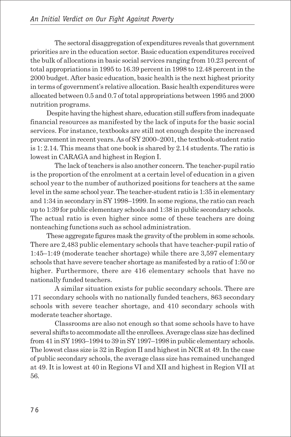The sectoral disaggregation of expenditures reveals that government priorities are in the education sector. Basic education expenditures received the bulk of allocations in basic social services ranging from 10.23 percent of total appropriations in 1995 to 16.39 percent in 1998 to 12.48 percent in the 2000 budget. After basic education, basic health is the next highest priority in terms of government's relative allocation. Basic health expenditures were allocated between 0.5 and 0.7 of total appropriations between 1995 and 2000 nutrition programs.

Despite having the highest share, education still suffers from inadequate financial resources as manifested by the lack of inputs for the basic social services. For instance, textbooks are still not enough despite the increased procurement in recent years. As of SY 2000–2001, the textbook-student ratio is 1: 2.14. This means that one book is shared by 2.14 students. The ratio is lowest in CARAGA and highest in Region I.

The lack of teachers is also another concern. The teacher-pupil ratio is the proportion of the enrolment at a certain level of education in a given school year to the number of authorized positions for teachers at the same level in the same school year. The teacher-student ratio is 1:35 in elementary and 1:34 in secondary in SY 1998–1999. In some regions, the ratio can reach up to 1:39 for public elementary schools and 1:38 in public secondary schools. The actual ratio is even higher since some of these teachers are doing nonteaching functions such as school administration.

These aggregate figures mask the gravity of the problem in some schools. There are 2,483 public elementary schools that have teacher-pupil ratio of 1:45–1:49 (moderate teacher shortage) while there are 3,597 elementary schools that have severe teacher shortage as manifested by a ratio of 1:50 or higher. Furthermore, there are 416 elementary schools that have no nationally funded teachers.

A similar situation exists for public secondary schools. There are 171 secondary schools with no nationally funded teachers, 863 secondary schools with severe teacher shortage, and 410 secondary schools with moderate teacher shortage.

Classrooms are also not enough so that some schools have to have several shifts to accommodate all the enrollees. Average class size has declined from 41 in SY 1993–1994 to 39 in SY 1997–1998 in public elementary schools. The lowest class size is 32 in Region II and highest in NCR at 49. In the case of public secondary schools, the average class size has remained unchanged at 49. It is lowest at 40 in Regions VI and XII and highest in Region VII at 56.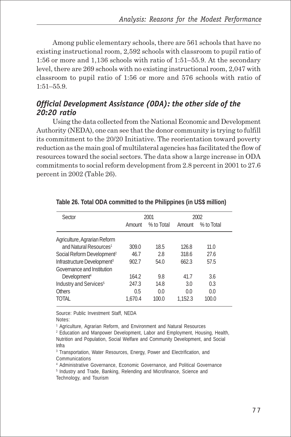Among public elementary schools, there are 561 schools that have no existing instructional room, 2,592 schools with classroom to pupil ratio of 1:56 or more and 1,136 schools with ratio of 1:51–55.9. At the secondary level, there are 269 schools with no existing instructional room, 2,047 with classroom to pupil ratio of 1:56 or more and 576 schools with ratio of 1:51–55.9.

#### *Official Development Assistance (ODA): the other side of the 20:20 ratio*

Using the data collected from the National Economic and Development Authority (NEDA), one can see that the donor community is trying to fulfill its commitment to the 20/20 Initiative. The reorientation toward poverty reduction as the main goal of multilateral agencies has facilitated the flow of resources toward the social sectors. The data show a large increase in ODA commitments to social reform development from 2.8 percent in 2001 to 27.6 percent in 2002 (Table 26).

| Sector                                  | 2001<br>2002 |            |         |            |
|-----------------------------------------|--------------|------------|---------|------------|
|                                         | Amount       | % to Total | Amount  | % to Total |
| Agriculture, Agrarian Reform            |              |            |         |            |
| and Natural Resources <sup>1</sup>      | 309.0        | 18.5       | 126.8   | 11.0       |
| Social Reform Development <sup>2</sup>  | 46.7         | 2.8        | 318.6   | 27.6       |
| Infrastructure Development <sup>3</sup> | 902.7        | 54.0       | 662.3   | 57.5       |
| Governance and Institution              |              |            |         |            |
| Development <sup>4</sup>                | 164.2        | 9.8        | 41.7    | 3.6        |
| Industry and Services <sup>5</sup>      | 247.3        | 14.8       | 3.0     | 0.3        |
| Others                                  | 0.5          | 0.0        | 0.0     | 0.0        |
| TOTAL                                   | 1.670.4      | 100.0      | 1.152.3 | 100.0      |

**Table 26. Total ODA committed to the Philippines (in US\$ million)**

Source: Public Investment Staff, NEDA

Notes:

<sup>1</sup> Agriculture, Agrarian Reform, and Environment and Natural Resources

2 Education and Manpower Development, Labor and Employment, Housing, Health, Nutrition and Population, Social Welfare and Community Development, and Social Infra

<sup>3</sup> Transportation, Water Resources, Energy, Power and Electrification, and Communications

4 Administrative Governance, Economic Governance, and Political Governance

<sup>5</sup> Industry and Trade, Banking, Relending and Microfinance, Science and Technology, and Tourism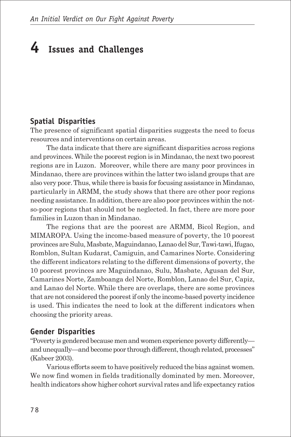# **4 Issues and Challenges**

#### **Spatial Disparities**

The presence of significant spatial disparities suggests the need to focus resources and interventions on certain areas.

The data indicate that there are significant disparities across regions and provinces. While the poorest region is in Mindanao, the next two poorest regions are in Luzon. Moreover, while there are many poor provinces in Mindanao, there are provinces within the latter two island groups that are also very poor. Thus, while there is basis for focusing assistance in Mindanao, particularly in ARMM, the study shows that there are other poor regions needing assistance. In addition, there are also poor provinces within the notso-poor regions that should not be neglected. In fact, there are more poor families in Luzon than in Mindanao.

The regions that are the poorest are ARMM, Bicol Region, and MIMAROPA. Using the income-based measure of poverty, the 10 poorest provinces are Sulu, Masbate, Maguindanao, Lanao del Sur, Tawi-tawi, Ifugao, Romblon, Sultan Kudarat, Camiguin, and Camarines Norte. Considering the different indicators relating to the different dimensions of poverty, the 10 poorest provinces are Maguindanao, Sulu, Masbate, Agusan del Sur, Camarines Norte, Zamboanga del Norte, Romblon, Lanao del Sur, Capiz, and Lanao del Norte. While there are overlaps, there are some provinces that are not considered the poorest if only the income-based poverty incidence is used. This indicates the need to look at the different indicators when choosing the priority areas.

#### **Gender Disparities**

"Poverty is gendered because men and women experience poverty differently and unequally—and become poor through different, though related, processes" (Kabeer 2003).

Various efforts seem to have positively reduced the bias against women. We now find women in fields traditionally dominated by men. Moreover, health indicators show higher cohort survival rates and life expectancy ratios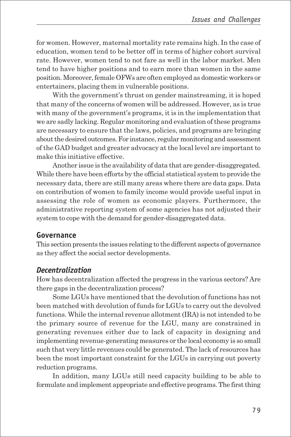for women. However, maternal mortality rate remains high. In the case of education, women tend to be better off in terms of higher cohort survival rate. However, women tend to not fare as well in the labor market. Men tend to have higher positions and to earn more than women in the same position. Moreover, female OFWs are often employed as domestic workers or entertainers, placing them in vulnerable positions.

With the government's thrust on gender mainstreaming, it is hoped that many of the concerns of women will be addressed. However, as is true with many of the government's programs, it is in the implementation that we are sadly lacking. Regular monitoring and evaluation of these programs are necessary to ensure that the laws, policies, and programs are bringing about the desired outcomes. For instance, regular monitoring and assessment of the GAD budget and greater advocacy at the local level are important to make this initiative effective.

Another issue is the availability of data that are gender-disaggregated. While there have been efforts by the official statistical system to provide the necessary data, there are still many areas where there are data gaps. Data on contribution of women to family income would provide useful input in assessing the role of women as economic players. Furthermore, the administrative reporting system of some agencies has not adjusted their system to cope with the demand for gender-disaggregated data.

#### **Governance**

This section presents the issues relating to the different aspects of governance as they affect the social sector developments.

#### *Decentralization*

How has decentralization affected the progress in the various sectors? Are there gaps in the decentralization process?

Some LGUs have mentioned that the devolution of functions has not been matched with devolution of funds for LGUs to carry out the devolved functions. While the internal revenue allotment (IRA) is not intended to be the primary source of revenue for the LGU, many are constrained in generating revenues either due to lack of capacity in designing and implementing revenue-generating measures or the local economy is so small such that very little revenues could be generated. The lack of resources has been the most important constraint for the LGUs in carrying out poverty reduction programs.

In addition, many LGUs still need capacity building to be able to formulate and implement appropriate and effective programs. The first thing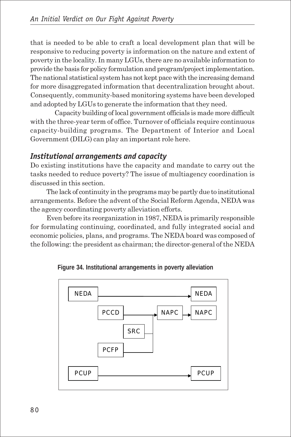that is needed to be able to craft a local development plan that will be responsive to reducing poverty is information on the nature and extent of poverty in the locality. In many LGUs, there are no available information to provide the basis for policy formulation and program/project implementation. The national statistical system has not kept pace with the increasing demand for more disaggregated information that decentralization brought about. Consequently, community-based monitoring systems have been developed and adopted by LGUs to generate the information that they need.

Capacity building of local government officials is made more difficult with the three-year term of office. Turnover of officials require continuous capacity-building programs. The Department of Interior and Local Government (DILG) can play an important role here.

#### *Institutional arrangements and capacity*

Do existing institutions have the capacity and mandate to carry out the tasks needed to reduce poverty? The issue of multiagency coordination is discussed in this section.

The lack of continuity in the programs may be partly due to institutional arrangements. Before the advent of the Social Reform Agenda, NEDA was the agency coordinating poverty alleviation efforts.

Even before its reorganization in 1987, NEDA is primarily responsible for formulating continuing, coordinated, and fully integrated social and economic policies, plans, and programs. The NEDA board was composed of the following: the president as chairman; the director-general of the NEDA



**Figure 34. Institutional arrangements in poverty alleviation**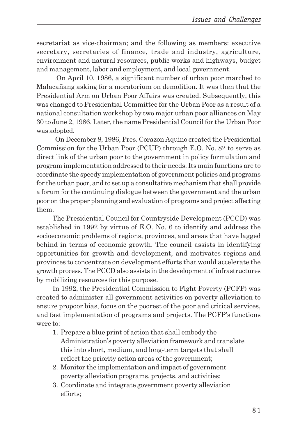secretariat as vice-chairman; and the following as members: executive secretary, secretaries of finance, trade and industry, agriculture, environment and natural resources, public works and highways, budget and management, labor and employment, and local government.

 On April 10, 1986, a significant number of urban poor marched to Malacañang asking for a moratorium on demolition. It was then that the Presidential Arm on Urban Poor Affairs was created. Subsequently, this was changed to Presidential Committee for the Urban Poor as a result of a national consultation workshop by two major urban poor alliances on May 30 to June 2, 1986. Later, the name Presidential Council for the Urban Poor was adopted.

 On December 8, 1986, Pres. Corazon Aquino created the Presidential Commission for the Urban Poor (PCUP) through E.O. No. 82 to serve as direct link of the urban poor to the government in policy formulation and program implementation addressed to their needs. Its main functions are to coordinate the speedy implementation of government policies and programs for the urban poor, and to set up a consultative mechanism that shall provide a forum for the continuing dialogue between the government and the urban poor on the proper planning and evaluation of programs and project affecting them.

The Presidential Council for Countryside Development (PCCD) was established in 1992 by virtue of E.O. No. 6 to identify and address the socioeconomic problems of regions, provinces, and areas that have lagged behind in terms of economic growth. The council assists in identifying opportunities for growth and development, and motivates regions and provinces to concentrate on development efforts that would accelerate the growth process. The PCCD also assists in the development of infrastructures by mobilizing resources for this purpose.

In 1992, the Presidential Commission to Fight Poverty (PCFP) was created to administer all government activities on poverty alleviation to ensure propoor bias, focus on the poorest of the poor and critical services, and fast implementation of programs and projects. The PCFP's functions were to:

- 1. Prepare a blue print of action that shall embody the Administration's poverty alleviation framework and translate this into short, medium, and long-term targets that shall reflect the priority action areas of the government;
- 2. Monitor the implementation and impact of government poverty alleviation programs, projects, and activities;
- 3. Coordinate and integrate government poverty alleviation efforts;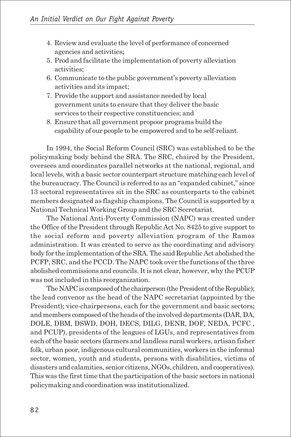- 4. Review and evaluate the level of performance of concerned agencies and activities;
- 5. Prod and facilitate the implementation of poverty alleviation activities;
- 6. Communicate to the public government's poverty alleviation activities and its impact;
- 7. Provide the support and assistance needed by local government units to ensure that they deliver the basic services to their respective constituencies; and
- 8. Ensure that all government propoor programs build the capability of our people to be empowered and to be self-reliant.

In 1994, the Social Reform Council (SRC) was established to be the policymaking body behind the SRA. The SRC, chaired by the President, oversees and coordinates parallel networks at the national, regional, and local levels, with a basic sector counterpart structure matching each level of the bureaucracy. The Council is referred to as an "expanded cabinet," since 13 sectoral representatives sit in the SRC as counterparts to the cabinet members designated as flagship champions. The Council is supported by a National Technical Working Group and the SRC Secretariat.

The National Anti-Poverty Commission (NAPC) was created under the Office of the President through Republic Act No. 8425 to give support to the social reform and poverty alleviation program of the Ramos administration. It was created to serve as the coordinating and advisory body for the implementation of the SRA. The said Republic Act abolished the PCFP, SRC, and the PCCD. The NAPC took over the functions of the three abolished commissions and councils. It is not clear, however, why the PCUP was not included in this reorganization.

The NAPC is composed of the chairperson (the President of the Republic); the lead convenor as the head of the NAPC secretariat (appointed by the President); vice-chairpersons, each for the government and basic sectors; and members composed of the heads of the involved departments (DAR, DA, DOLE, DBM, DSWD, DOH, DECS, DILG, DENR, DOF, NEDA, PCFC , and PCUP), presidents of the leagues of LGUs, and representatives from each of the basic sectors (farmers and landless rural workers, artisan fisher folk, urban poor, indigenous cultural communities, workers in the informal sector, women, youth and students, persons with disabilities, victims of disasters and calamities, senior citizens, NGOs, children, and cooperatives). This was the first time that the participation of the basic sectors in national policymaking and coordination was institutionalized.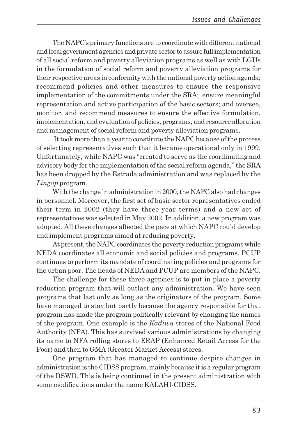The NAPC's primary functions are to coordinate with different national and local government agencies and private sector to assure full implementation of all social reform and poverty alleviation programs as well as with LGUs in the formulation of social reform and poverty alleviation programs for their respective areas in conformity with the national poverty action agenda; recommend policies and other measures to ensure the responsive implementation of the commitments under the SRA; ensure meaningful representation and active participation of the basic sectors; and oversee, monitor, and recommend measures to ensure the effective formulation, implementation, and evaluation of policies, programs, and resource allocation and management of social reform and poverty alleviation programs.

 It took more than a year to constitute the NAPC because of the process of selecting representatives such that it became operational only in 1999. Unfortunately, while NAPC was "created to serve as the coordinating and advisory body for the implementation of the social reform agenda," the SRA has been dropped by the Estrada administration and was replaced by the *Lingap* program.

With the change in administration in 2000, the NAPC also had changes in personnel. Moreover, the first set of basic sector representatives ended their term in 2002 (they have three-year terms) and a new set of representatives was selected in May 2002. In addition, a new program was adopted. All these changes affected the pace at which NAPC could develop and implement programs aimed at reducing poverty.

At present, the NAPC coordinates the poverty reduction programs while NEDA coordinates all economic and social policies and programs. PCUP continues to perform its mandate of coordinating policies and programs for the urban poor. The heads of NEDA and PCUP are members of the NAPC.

The challenge for these three agencies is to put in place a poverty reduction program that will outlast any administration. We have seen programs that last only as long as the originators of the program. Some have managed to stay but partly because the agency responsible for that program has made the program politically relevant by changing the names of the program. One example is the *Kadiwa* stores of the National Food Authority (NFA). This has survived various administrations by changing its name to NFA rolling stores to ERAP (Enhanced Retail Access for the Poor) and then to GMA (Greater Market Access) stores.

One program that has managed to continue despite changes in administration is the CIDSS program, mainly because it is a regular program of the DSWD. This is being continued in the present administration with some modifications under the name KALAHI-CIDSS.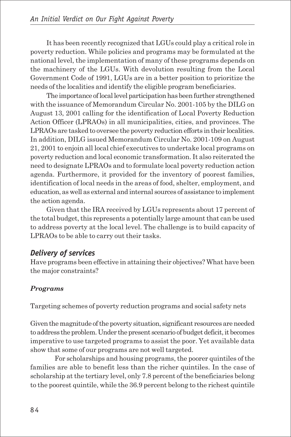It has been recently recognized that LGUs could play a critical role in poverty reduction. While policies and programs may be formulated at the national level, the implementation of many of these programs depends on the machinery of the LGUs. With devolution resulting from the Local Government Code of 1991, LGUs are in a better position to prioritize the needs of the localities and identify the eligible program beneficiaries.

The importance of local level participation has been further strengthened with the issuance of Memorandum Circular No. 2001-105 by the DILG on August 13, 2001 calling for the identification of Local Poverty Reduction Action Officer (LPRAOs) in all municipalities, cities, and provinces. The LPRAOs are tasked to oversee the poverty reduction efforts in their localities. In addition, DILG issued Memorandum Circular No. 2001-109 on August 21, 2001 to enjoin all local chief executives to undertake local programs on poverty reduction and local economic transformation. It also reiterated the need to designate LPRAOs and to formulate local poverty reduction action agenda. Furthermore, it provided for the inventory of poorest families, identification of local needs in the areas of food, shelter, employment, and education, as well as external and internal sources of assistance to implement the action agenda.

Given that the IRA received by LGUs represents about 17 percent of the total budget, this represents a potentially large amount that can be used to address poverty at the local level. The challenge is to build capacity of LPRAOs to be able to carry out their tasks.

#### *Delivery of services*

Have programs been effective in attaining their objectives? What have been the major constraints?

## *Programs*

Targeting schemes of poverty reduction programs and social safety nets

Given the magnitude of the poverty situation, significant resources are needed to address the problem. Under the present scenario of budget deficit, it becomes imperative to use targeted programs to assist the poor. Yet available data show that some of our programs are not well targeted.

For scholarships and housing programs, the poorer quintiles of the families are able to benefit less than the richer quintiles. In the case of scholarship at the tertiary level, only 7.8 percent of the beneficiaries belong to the poorest quintile, while the 36.9 percent belong to the richest quintile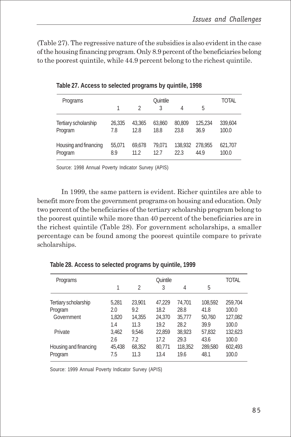(Table 27). The regressive nature of the subsidies is also evident in the case of the housing financing program. Only 8.9 percent of the beneficiaries belong to the poorest quintile, while 44.9 percent belong to the richest quintile.

| Programs                         | 1             | $\mathcal{D}$  | Quintile       |                |                         | TOTAL            |
|----------------------------------|---------------|----------------|----------------|----------------|-------------------------|------------------|
|                                  |               |                | 3              | 4              | 5                       |                  |
| Tertiary scholarship<br>Program  | 26,335<br>7.8 | 43.365<br>12.8 | 63.860<br>18.8 | 80,809<br>23.8 | 125.234<br>36.9         | 339,604<br>100.0 |
| Housing and financing<br>Program | 55,071<br>8.9 | 69.678<br>11.2 | 79.071<br>12.7 | 22.3           | 138,932 278,955<br>44.9 | 621,707<br>100.0 |

**Table 27. Access to selected programs by quintile, 1998**

Source: 1998 Annual Poverty Indicator Survey (APIS)

In 1999, the same pattern is evident. Richer quintiles are able to benefit more from the government programs on housing and education. Only two percent of the beneficiaries of the tertiary scholarship program belong to the poorest quintile while more than 40 percent of the beneficiaries are in the richest quintile (Table 28). For government scholarships, a smaller percentage can be found among the poorest quintile compare to private scholarships.

| Programs              | <b>Ouintile</b> |        |        |         |         | <b>TOTAL</b> |
|-----------------------|-----------------|--------|--------|---------|---------|--------------|
|                       |                 | 2      | 3      | 4       | 5       |              |
| Tertiary scholarship  | 5,281           | 23,901 | 47,229 | 74,701  | 108,592 | 259,704      |
| Program               | 2.0             | 9.2    | 18.2   | 28.8    | 41.8    | 100.0        |
| Government            | 1.820           | 14,355 | 24,370 | 35,777  | 50,760  | 127,082      |
|                       | 1.4             | 11.3   | 19.2   | 28.2    | 39.9    | 100.0        |
| Private               | 3.462           | 9.546  | 22,859 | 38,923  | 57,832  | 132,623      |
|                       | 2.6             | 7.2    | 17.2   | 29.3    | 43.6    | 100.0        |
| Housing and financing | 45,438          | 68,352 | 80,771 | 118,352 | 289,580 | 602,493      |
| Program               | 7.5             | 11.3   | 13.4   | 19.6    | 48.1    | 100.0        |

**Table 28. Access to selected programs by quintile, 1999**

Source: 1999 Annual Poverty Indicator Survey (APIS)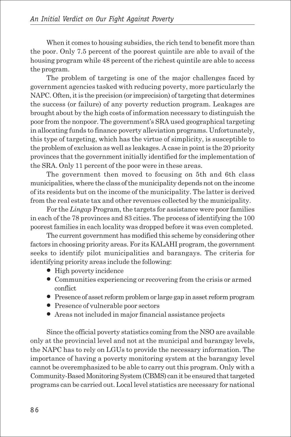When it comes to housing subsidies, the rich tend to benefit more than the poor. Only 7.5 percent of the poorest quintile are able to avail of the housing program while 48 percent of the richest quintile are able to access the program.

The problem of targeting is one of the major challenges faced by government agencies tasked with reducing poverty, more particularly the NAPC. Often, it is the precision (or imprecision) of targeting that determines the success (or failure) of any poverty reduction program. Leakages are brought about by the high costs of information necessary to distinguish the poor from the nonpoor. The government's SRA used geographical targeting in allocating funds to finance poverty alleviation programs. Unfortunately, this type of targeting, which has the virtue of simplicity, is susceptible to the problem of exclusion as well as leakages. A case in point is the 20 priority provinces that the government initially identified for the implementation of the SRA. Only 11 percent of the poor were in these areas.

The government then moved to focusing on 5th and 6th class municipalities, where the class of the municipality depends not on the income of its residents but on the income of the municipality. The latter is derived from the real estate tax and other revenues collected by the municipality.

For the *Lingap* Program, the targets for assistance were poor families in each of the 78 provinces and 83 cities. The process of identifying the 100 poorest families in each locality was dropped before it was even completed.

The current government has modified this scheme by considering other factors in choosing priority areas. For its KALAHI program, the government seeks to identify pilot municipalities and barangays. The criteria for identifying priority areas include the following:

- High poverty incidence
- Communities experiencing or recovering from the crisis or armed conflict
- Presence of asset reform problem or large gap in asset reform program
- Presence of vulnerable poor sectors
- Areas not included in major financial assistance projects

Since the official poverty statistics coming from the NSO are available only at the provincial level and not at the municipal and barangay levels, the NAPC has to rely on LGUs to provide the necessary information. The importance of having a poverty monitoring system at the barangay level cannot be overemphasized to be able to carry out this program. Only with a Community-Based Monitoring System (CBMS) can it be ensured that targeted programs can be carried out. Local level statistics are necessary for national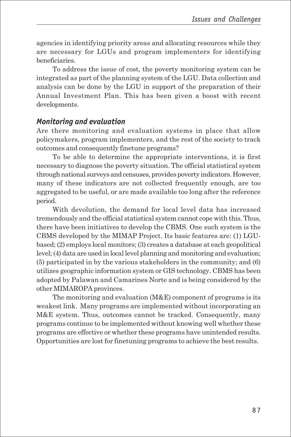agencies in identifying priority areas and allocating resources while they are necessary for LGUs and program implementers for identifying beneficiaries.

To address the issue of cost, the poverty monitoring system can be integrated as part of the planning system of the LGU. Data collection and analysis can be done by the LGU in support of the preparation of their Annual Investment Plan. This has been given a boost with recent developments.

#### *Monitoring and evaluation*

Are there monitoring and evaluation systems in place that allow policymakers, program implementers, and the rest of the society to track outcomes and consequently finetune programs?

To be able to determine the appropriate interventions, it is first necessary to diagnose the poverty situation. The official statistical system through national surveys and censuses, provides poverty indicators. However, many of these indicators are not collected frequently enough, are too aggregated to be useful, or are made available too long after the reference period.

With devolution, the demand for local level data has increased tremendously and the official statistical system cannot cope with this. Thus, there have been initiatives to develop the CBMS. One such system is the CBMS developed by the MIMAP Project. Its basic features are: (1) LGUbased; (2) employs local monitors; (3) creates a database at each geopolitical level; (4) data are used in local level planning and monitoring and evaluation; (5) participated in by the various stakeholders in the community; and (6) utilizes geographic information system or GIS technology. CBMS has been adopted by Palawan and Camarines Norte and is being considered by the other MIMAROPA provinces.

The monitoring and evaluation (M&E) component of programs is its weakest link. Many programs are implemented without incorporating an M&E system. Thus, outcomes cannot be tracked. Consequently, many programs continue to be implemented without knowing well whether these programs are effective or whether these programs have unintended results. Opportunities are lost for finetuning programs to achieve the best results.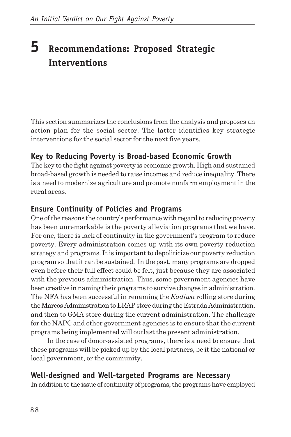## **5 Recommendations: Proposed Strategic Interventions**

This section summarizes the conclusions from the analysis and proposes an action plan for the social sector. The latter identifies key strategic interventions for the social sector for the next five years.

## **Key to Reducing Poverty is Broad-based Economic Growth**

The key to the fight against poverty is economic growth. High and sustained broad-based growth is needed to raise incomes and reduce inequality. There is a need to modernize agriculture and promote nonfarm employment in the rural areas.

### **Ensure Continuity of Policies and Programs**

One of the reasons the country's performance with regard to reducing poverty has been unremarkable is the poverty alleviation programs that we have. For one, there is lack of continuity in the government's program to reduce poverty. Every administration comes up with its own poverty reduction strategy and programs. It is important to depoliticize our poverty reduction program so that it can be sustained. In the past, many programs are dropped even before their full effect could be felt, just because they are associated with the previous administration. Thus, some government agencies have been creative in naming their programs to survive changes in administration. The NFA has been successful in renaming the *Kadiwa* rolling store during the Marcos Administration to ERAP store during the Estrada Administration, and then to GMA store during the current administration. The challenge for the NAPC and other government agencies is to ensure that the current programs being implemented will outlast the present administration.

In the case of donor-assisted programs, there is a need to ensure that these programs will be picked up by the local partners, be it the national or local government, or the community.

#### **Well-designed and Well-targeted Programs are Necessary**

In addition to the issue of continuity of programs, the programs have employed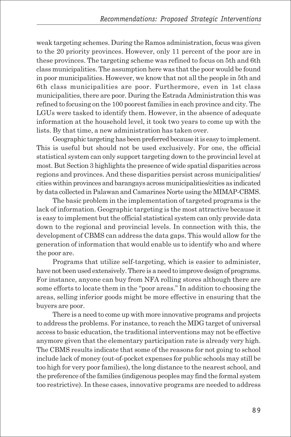weak targeting schemes. During the Ramos administration, focus was given to the 20 priority provinces. However, only 11 percent of the poor are in these provinces. The targeting scheme was refined to focus on 5th and 6th class municipalities. The assumption here was that the poor would be found in poor municipalities. However, we know that not all the people in 5th and 6th class municipalities are poor. Furthermore, even in 1st class municipalities, there are poor. During the Estrada Administration this was refined to focusing on the 100 poorest families in each province and city. The LGUs were tasked to identify them. However, in the absence of adequate information at the household level, it took two years to come up with the lists. By that time, a new administration has taken over.

Geographic targeting has been preferred because it is easy to implement. This is useful but should not be used exclusively. For one, the official statistical system can only support targeting down to the provincial level at most. But Section 3 highlights the presence of wide spatial disparities across regions and provinces. And these disparities persist across municipalities/ cities within provinces and barangays across municipalities/cities as indicated by data collected in Palawan and Camarines Norte using the MIMAP-CBMS.

The basic problem in the implementation of targeted programs is the lack of information. Geographic targeting is the most attractive because it is easy to implement but the official statistical system can only provide data down to the regional and provincial levels. In connection with this, the development of CBMS can address the data gaps. This would allow for the generation of information that would enable us to identify who and where the poor are.

Programs that utilize self-targeting, which is easier to administer, have not been used extensively. There is a need to improve design of programs. For instance, anyone can buy from NFA rolling stores although there are some efforts to locate them in the "poor areas." In addition to choosing the areas, selling inferior goods might be more effective in ensuring that the buyers are poor.

There is a need to come up with more innovative programs and projects to address the problems. For instance, to reach the MDG target of universal access to basic education, the traditional interventions may not be effective anymore given that the elementary participation rate is already very high. The CBMS results indicate that some of the reasons for not going to school include lack of money (out-of-pocket expenses for public schools may still be too high for very poor families), the long distance to the nearest school, and the preference of the families (indigenous peoples may find the formal system too restrictive). In these cases, innovative programs are needed to address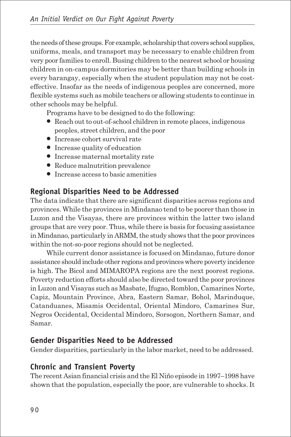the needs of these groups. For example, scholarship that covers school supplies, uniforms, meals, and transport may be necessary to enable children from very poor families to enroll. Busing children to the nearest school or housing children in on-campus dormitories may be better than building schools in every barangay, especially when the student population may not be costeffective. Insofar as the needs of indigenous peoples are concerned, more flexible systems such as mobile teachers or allowing students to continue in other schools may be helpful.

Programs have to be designed to do the following:

- Reach out to out-of-school children in remote places, indigenous peoples, street children, and the poor
- Increase cohort survival rate
- Increase quality of education
- Increase maternal mortality rate
- Reduce malnutrition prevalence
- Increase access to basic amenities

## **Regional Disparities Need to be Addressed**

The data indicate that there are significant disparities across regions and provinces. While the provinces in Mindanao tend to be poorer than those in Luzon and the Visayas, there are provinces within the latter two island groups that are very poor. Thus, while there is basis for focusing assistance in Mindanao, particularly in ARMM, the study shows that the poor provinces within the not-so-poor regions should not be neglected.

While current donor assistance is focused on Mindanao, future donor assistance should include other regions and provinces where poverty incidence is high. The Bicol and MIMAROPA regions are the next poorest regions. Poverty reduction efforts should also be directed toward the poor provinces in Luzon and Visayas such as Masbate, Ifugao, Romblon, Camarines Norte, Capiz, Mountain Province, Abra, Eastern Samar, Bohol, Marinduque, Catanduanes, Misamis Occidental, Oriental Mindoro, Camarines Sur, Negros Occidental, Occidental Mindoro, Sorsogon, Northern Samar, and Samar.

## **Gender Disparities Need to be Addressed**

Gender disparities, particularly in the labor market, need to be addressed.

## **Chronic and Transient Poverty**

The recent Asian financial crisis and the El Niño episode in 1997–1998 have shown that the population, especially the poor, are vulnerable to shocks. It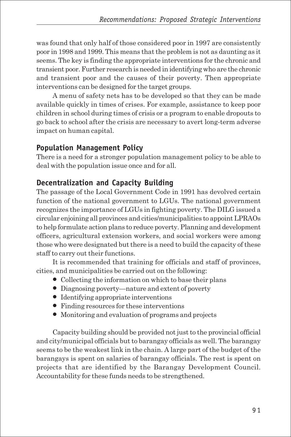was found that only half of those considered poor in 1997 are consistently poor in 1998 and 1999. This means that the problem is not as daunting as it seems. The key is finding the appropriate interventions for the chronic and transient poor. Further research is needed in identifying who are the chronic and transient poor and the causes of their poverty. Then appropriate interventions can be designed for the target groups.

A menu of safety nets has to be developed so that they can be made available quickly in times of crises. For example, assistance to keep poor children in school during times of crisis or a program to enable dropouts to go back to school after the crisis are necessary to avert long-term adverse impact on human capital.

## **Population Management Policy**

There is a need for a stronger population management policy to be able to deal with the population issue once and for all.

## **Decentralization and Capacity Building**

The passage of the Local Government Code in 1991 has devolved certain function of the national government to LGUs. The national government recognizes the importance of LGUs in fighting poverty. The DILG issued a circular enjoining all provinces and cities/municipalities to appoint LPRAOs to help formulate action plans to reduce poverty. Planning and development officers, agricultural extension workers, and social workers were among those who were designated but there is a need to build the capacity of these staff to carry out their functions.

It is recommended that training for officials and staff of provinces, cities, and municipalities be carried out on the following:

- Collecting the information on which to base their plans
- Diagnosing poverty—nature and extent of poverty
- Identifying appropriate interventions
- Finding resources for these interventions
- Monitoring and evaluation of programs and projects

Capacity building should be provided not just to the provincial official and city/municipal officials but to barangay officials as well. The barangay seems to be the weakest link in the chain. A large part of the budget of the barangays is spent on salaries of barangay officials. The rest is spent on projects that are identified by the Barangay Development Council. Accountability for these funds needs to be strengthened.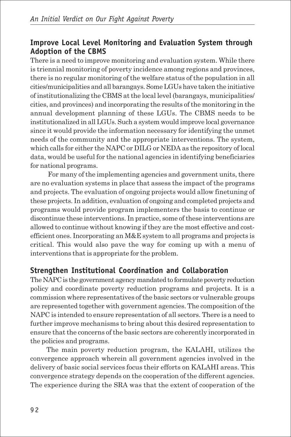#### **Improve Local Level Monitoring and Evaluation System through Adoption of the CBMS**

There is a need to improve monitoring and evaluation system. While there is triennial monitoring of poverty incidence among regions and provinces, there is no regular monitoring of the welfare status of the population in all cities/municipalities and all barangays. Some LGUs have taken the initiative of institutionalizing the CBMS at the local level (barangays, municipalities/ cities, and provinces) and incorporating the results of the monitoring in the annual development planning of these LGUs. The CBMS needs to be institutionalized in all LGUs. Such a system would improve local governance since it would provide the information necessary for identifying the unmet needs of the community and the appropriate interventions. The system, which calls for either the NAPC or DILG or NEDA as the repository of local data, would be useful for the national agencies in identifying beneficiaries for national programs.

 For many of the implementing agencies and government units, there are no evaluation systems in place that assess the impact of the programs and projects. The evaluation of ongoing projects would allow finetuning of these projects. In addition, evaluation of ongoing and completed projects and programs would provide program implementers the basis to continue or discontinue these interventions. In practice, some of these interventions are allowed to continue without knowing if they are the most effective and costefficient ones. Incorporating an M&E system to all programs and projects is critical. This would also pave the way for coming up with a menu of interventions that is appropriate for the problem.

## **Strengthen Institutional Coordination and Collaboration**

The NAPC is the government agency mandated to formulate poverty reduction policy and coordinate poverty reduction programs and projects. It is a commission where representatives of the basic sectors or vulnerable groups are represented together with government agencies. The composition of the NAPC is intended to ensure representation of all sectors. There is a need to further improve mechanisms to bring about this desired representation to ensure that the concerns of the basic sectors are coherently incorporated in the policies and programs.

The main poverty reduction program, the KALAHI, utilizes the convergence approach wherein all government agencies involved in the delivery of basic social services focus their efforts on KALAHI areas. This convergence strategy depends on the cooperation of the different agencies. The experience during the SRA was that the extent of cooperation of the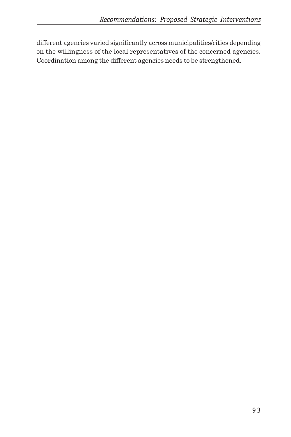different agencies varied significantly across municipalities/cities depending on the willingness of the local representatives of the concerned agencies. Coordination among the different agencies needs to be strengthened.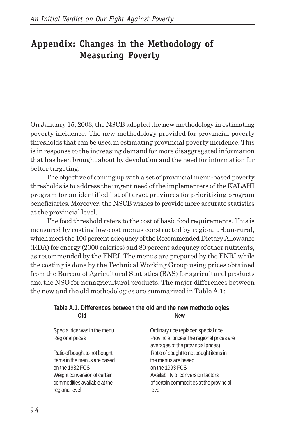## **Appendix: Changes in the Methodology of Measuring Poverty**

On January 15, 2003, the NSCB adopted the new methodology in estimating poverty incidence. The new methodology provided for provincial poverty thresholds that can be used in estimating provincial poverty incidence. This is in response to the increasing demand for more disaggregated information that has been brought about by devolution and the need for information for better targeting.

The objective of coming up with a set of provincial menu-based poverty thresholds is to address the urgent need of the implementers of the KALAHI program for an identified list of target provinces for prioritizing program beneficiaries. Moreover, the NSCB wishes to provide more accurate statistics at the provincial level.

The food threshold refers to the cost of basic food requirements. This is measured by costing low-cost menus constructed by region, urban-rural, which meet the 100 percent adequacy of the Recommended Dietary Allowance (RDA) for energy (2000 calories) and 80 percent adequacy of other nutrients, as recommended by the FNRI. The menus are prepared by the FNRI while the costing is done by the Technical Working Group using prices obtained from the Bureau of Agricultural Statistics (BAS) for agricultural products and the NSO for nonagricultural products. The major differences between the new and the old methodologies are summarized in Table A.1:

| Table A.T. Differences between the old and the new methodologies |                                           |  |  |  |  |
|------------------------------------------------------------------|-------------------------------------------|--|--|--|--|
| Old                                                              | <b>New</b>                                |  |  |  |  |
|                                                                  |                                           |  |  |  |  |
| Special rice was in the menu                                     | Ordinary rice replaced special rice       |  |  |  |  |
| Regional prices                                                  | Provincial prices(The regional prices are |  |  |  |  |
|                                                                  | averages of the provincial prices)        |  |  |  |  |
| Ratio of bought to not bought                                    | Ratio of bought to not bought items in    |  |  |  |  |
| items in the menus are based                                     | the menus are based                       |  |  |  |  |
| on the 1982 FCS                                                  | on the 1993 FCS                           |  |  |  |  |
| Weight conversion of certain                                     | Availability of conversion factors        |  |  |  |  |
| commodities available at the                                     | of certain commodities at the provincial  |  |  |  |  |
| regional level                                                   | level                                     |  |  |  |  |

|             | Table A.1. Differences between the old and the new methodologies |
|-------------|------------------------------------------------------------------|
| <b>DI</b> Q | New                                                              |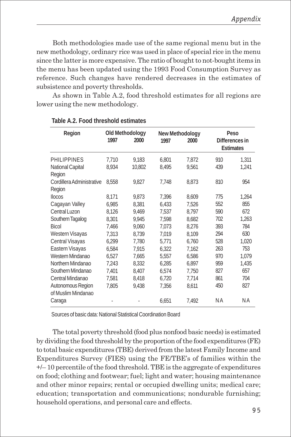Both methodologies made use of the same regional menu but in the new methodology, ordinary rice was used in place of special rice in the menu since the latter is more expensive. The ratio of bought to not-bought items in the menu has been updated using the 1993 Food Consumption Survey as reference. Such changes have rendered decreases in the estimates of subsistence and poverty thresholds.

As shown in Table A.2, food threshold estimates for all regions are lower using the new methodology.

| Region                     | 1997  | Old Methodology<br>2000 | New Methodology<br>2000<br>1997 |       | Peso<br>Differences in<br><b>Estimates</b> |       |
|----------------------------|-------|-------------------------|---------------------------------|-------|--------------------------------------------|-------|
| PHILIPPINES                | 7,710 | 9,183                   | 6,801                           | 7,872 | 910                                        | 1,311 |
| National Capital<br>Region | 8,934 | 10,802                  | 8.495                           | 9.561 | 439                                        | 1,241 |
| Cordillera Administrative  | 8,558 | 9,827                   | 7,748                           | 8,873 | 810                                        | 954   |
| Region                     |       |                         |                                 |       |                                            |       |
| <b>Ilocos</b>              | 8.171 | 9,873                   | 7,396                           | 8,609 | 775                                        | 1,264 |
| Cagayan Valley             | 6,985 | 8,381                   | 6,433                           | 7,526 | 552                                        | 855   |
| Central Luzon              | 8,126 | 9,469                   | 7.537                           | 8,797 | 590                                        | 672   |
| Southern Tagalog           | 8,301 | 9.945                   | 7,598                           | 8,682 | 702                                        | 1,263 |
| <b>Bicol</b>               | 7,466 | 9,060                   | 7,073                           | 8,276 | 393                                        | 784   |
| Western Visayas            | 7,313 | 8,739                   | 7,019                           | 8,109 | 294                                        | 630   |
| Central Visayas            | 6,299 | 7,780                   | 5,771                           | 6,760 | 528                                        | 1,020 |
| Eastern Visayas            | 6,584 | 7,915                   | 6,322                           | 7,162 | 263                                        | 753   |
| Western Mindanao           | 6,527 | 7,665                   | 5,557                           | 6,586 | 970                                        | 1,079 |
| Northern Mindanao          | 7,243 | 8,332                   | 6,285                           | 6,897 | 959                                        | 1,435 |
| Southern Mindanao          | 7,401 | 8.407                   | 6,574                           | 7,750 | 827                                        | 657   |
| Central Mindanao           | 7,581 | 8,418                   | 6,720                           | 7,714 | 861                                        | 704   |
| Autonomous Region          | 7,805 | 9,438                   | 7,356                           | 8,611 | 450                                        | 827   |
| of Muslim Mindanao         |       |                         |                                 |       |                                            |       |
| Caraga                     |       |                         | 6,651                           | 7,492 | ΝA                                         | ΝA    |

#### **Table A.2. Food threshold estimates**

Sources of basic data: National Statistical Coordination Board

The total poverty threshold (food plus nonfood basic needs) is estimated by dividing the food threshold by the proportion of the food expenditures (FE) to total basic expenditures (TBE) derived from the latest Family Income and Expenditures Survey (FIES) using the FE/TBE's of families within the +/– 10 percentile of the food threshold. TBE is the aggregate of expenditures on food; clothing and footwear; fuel; light and water; housing maintenance and other minor repairs; rental or occupied dwelling units; medical care; education; transportation and communications; nondurable furnishing; household operations, and personal care and effects.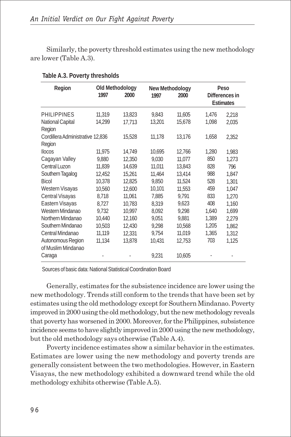Similarly, the poverty threshold estimates using the new methodology are lower (Table A.3).

| Region                                     | 1997   | Old Methodology<br>2000 | New Methodology<br>1997<br>2000 |        | Peso<br>Differences in<br><b>Estimates</b> |       |  |
|--------------------------------------------|--------|-------------------------|---------------------------------|--------|--------------------------------------------|-------|--|
| <b>PHILIPPINES</b>                         | 11,319 | 13,823                  | 9.843                           | 11,605 | 1,476                                      | 2,218 |  |
| National Capital<br>Region                 | 14,299 | 17,713                  | 13,201                          | 15,678 | 1,098                                      | 2,035 |  |
| Cordillera Administrative 12,836<br>Region |        | 15,528                  | 11,178                          | 13,176 | 1,658                                      | 2,352 |  |
| <b>Ilocos</b>                              | 11,975 | 14,749                  | 10,695                          | 12,766 | 1,280                                      | 1,983 |  |
| Cagayan Valley                             | 9,880  | 12,350                  | 9,030                           | 11,077 | 850                                        | 1,273 |  |
| Central Luzon                              | 11,839 | 14,639                  | 11,011                          | 13,843 | 828                                        | 796   |  |
| Southern Tagalog                           | 12,452 | 15,261                  | 11,464                          | 13,414 | 988                                        | 1,847 |  |
| <b>Bicol</b>                               | 10,378 | 12,825                  | 9,850                           | 11,524 | 528                                        | 1,301 |  |
| Western Visayas                            | 10,560 | 12,600                  | 10,101                          | 11,553 | 459                                        | 1,047 |  |
| Central Visayas                            | 8,718  | 11,061                  | 7,885                           | 9,791  | 833                                        | 1,270 |  |
| Eastern Visayas                            | 8,727  | 10,783                  | 8,319                           | 9,623  | 408                                        | 1,160 |  |
| Western Mindanao                           | 9,732  | 10,997                  | 8,092                           | 9,298  | 1,640                                      | 1,699 |  |
| Northern Mindanao                          | 10.440 | 12,160                  | 9.051                           | 9.881  | 1,389                                      | 2,279 |  |
| Southern Mindanao                          | 10,503 | 12,430                  | 9,298                           | 10,568 | 1,205                                      | 1,862 |  |
| Central Mindanao                           | 11.119 | 12,331                  | 9.754                           | 11,019 | 1,365                                      | 1,312 |  |
| Autonomous Region                          | 11,134 | 13,878                  | 10,431                          | 12,753 | 703                                        | 1,125 |  |
| of Muslim Mindanao                         |        |                         |                                 |        |                                            |       |  |
| Caraga                                     |        |                         | 9,231                           | 10,605 |                                            |       |  |

**Table A.3. Poverty thresholds**

Sources of basic data: National Statistical Coordination Board

Generally, estimates for the subsistence incidence are lower using the new methodology. Trends still conform to the trends that have been set by estimates using the old methodology except for Southern Mindanao. Poverty improved in 2000 using the old methodology, but the new methodology reveals that poverty has worsened in 2000. Moreover, for the Philippines, subsistence incidence seems to have slightly improved in 2000 using the new methodology, but the old methodology says otherwise (Table A.4).

Poverty incidence estimates show a similar behavior in the estimates. Estimates are lower using the new methodology and poverty trends are generally consistent between the two methodologies. However, in Eastern Visayas, the new methodology exhibited a downward trend while the old methodology exhibits otherwise (Table A.5).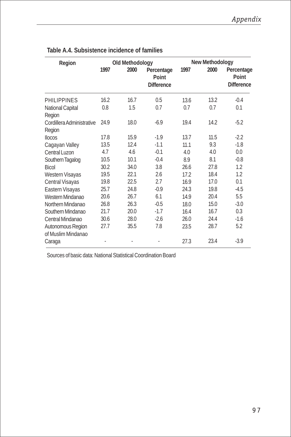| Region                              |      | Old Methodology |                                          | New Methodology |      |                                   |  |
|-------------------------------------|------|-----------------|------------------------------------------|-----------------|------|-----------------------------------|--|
|                                     | 1997 | 2000            | Percentage<br>Point<br><b>Difference</b> | 1997            | 2000 | Percentage<br>Point<br>Difference |  |
| <b>PHILIPPINES</b>                  | 16.2 | 16.7            | 0.5                                      | 13.6            | 13.2 | $-0.4$                            |  |
| National Capital<br>Region          | 0.8  | 1.5             | 0.7                                      | 0.7             | 0.7  | 0.1                               |  |
| Cordillera Administrative<br>Region | 24.9 | 18.0            | $-6.9$                                   | 19.4            | 14.2 | $-5.2$                            |  |
| <b>Ilocos</b>                       | 17.8 | 15.9            | $-1.9$                                   | 13.7            | 11.5 | $-2.2$                            |  |
| Cagayan Valley                      | 13.5 | 12.4            | $-1.1$                                   | 11.1            | 9.3  | $-1.8$                            |  |
| Central Luzon                       | 4.7  | 4.6             | $-0.1$                                   | 4.0             | 4.0  | 0.0                               |  |
| Southern Tagalog                    | 10.5 | 10.1            | $-0.4$                                   | 8.9             | 8.1  | $-0.8$                            |  |
| <b>Bicol</b>                        | 30.2 | 34.0            | 3.8                                      | 26.6            | 27.8 | 1.2                               |  |
| Western Visayas                     | 19.5 | 22.1            | 2.6                                      | 17.2            | 18.4 | 1.2                               |  |
| Central Visayas                     | 19.8 | 22.5            | 2.7                                      | 16.9            | 17.0 | 0.1                               |  |
| Eastern Visayas                     | 25.7 | 24.8            | $-0.9$                                   | 24.3            | 19.8 | $-4.5$                            |  |
| Western Mindanao                    | 20.6 | 26.7            | 6.1                                      | 14.9            | 20.4 | 5.5                               |  |
| Northern Mindanao                   | 26.8 | 26.3            | $-0.5$                                   | 18.0            | 15.0 | $-3.0$                            |  |
| Southern Mindanao                   | 21.7 | 20.0            | $-1.7$                                   | 16.4            | 16.7 | 0.3                               |  |
| Central Mindanao                    | 30.6 | 28.0            | $-2.6$                                   | 26.0            | 24.4 | $-1.6$                            |  |
| Autonomous Region                   | 27.7 | 35.5            | 7.8                                      | 23.5            | 28.7 | 5.2                               |  |
| of Muslim Mindanao                  |      |                 |                                          |                 |      |                                   |  |
| Caraga                              |      |                 |                                          | 27.3            | 23.4 | $-3.9$                            |  |

#### **Table A.4. Subsistence incidence of families**

Sources of basic data: National Statistical Coordination Board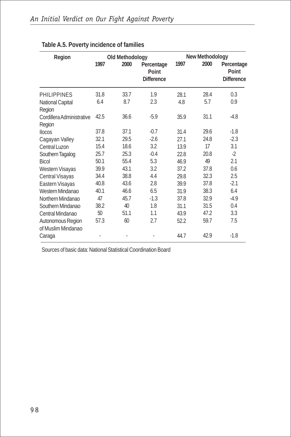| Region                              | Old Methodology |      |                                          | New Methodology |      |                                          |
|-------------------------------------|-----------------|------|------------------------------------------|-----------------|------|------------------------------------------|
|                                     | 1997            | 2000 | Percentage<br>Point<br><b>Difference</b> | 1997            | 2000 | Percentage<br>Point<br><b>Difference</b> |
| <b>PHILIPPINES</b>                  | 31.8            | 33.7 | 1.9                                      | 28.1            | 28.4 | 0.3                                      |
| National Capital<br>Region          | 6.4             | 8.7  | 2.3                                      | 4.8             | 5.7  | 0.9                                      |
| Cordillera Administrative<br>Region | 42.5            | 36.6 | $-5.9$                                   | 35.9            | 31.1 | $-4.8$                                   |
| <b>Ilocos</b>                       | 37.8            | 37.1 | $-0.7$                                   | 31.4            | 29.6 | $-1.8$                                   |
| Cagayan Valley                      | 32.1            | 29.5 | $-2.6$                                   | 27.1            | 24.8 | $-2.3$                                   |
| Central Luzon                       | 15.4            | 18.6 | 3.2                                      | 13.9            | 17   | 3.1                                      |
| Southern Tagalog                    | 25.7            | 25.3 | $-0.4$                                   | 22.8            | 20.8 | $-2$                                     |
| <b>Bicol</b>                        | 50.1            | 55.4 | 5.3                                      | 46.9            | 49   | 2.1                                      |
| Western Visayas                     | 39.9            | 43.1 | 3.2                                      | 37.2            | 37.8 | 0.6                                      |
| Central Visayas                     | 34.4            | 38.8 | 4.4                                      | 29.8            | 32.3 | 2.5                                      |
| Eastern Visayas                     | 40.8            | 43.6 | 2.8                                      | 39.9            | 37.8 | $-2.1$                                   |
| Western Mindanao                    | 40.1            | 46.6 | 6.5                                      | 31.9            | 38.3 | 6.4                                      |
| Northern Mindanao                   | 47              | 45.7 | $-1.3$                                   | 37.8            | 32.9 | $-4.9$                                   |
| Southern Mindanao                   | 38.2            | 40   | 1.8                                      | 31.1            | 31.5 | 0.4                                      |
| Central Mindanao                    | 50              | 51.1 | 1.1                                      | 43.9            | 47.2 | 3.3                                      |
| Autonomous Region                   | 57.3            | 60   | 2.7                                      | 52.2            | 59.7 | 7.5                                      |
| of Muslim Mindanao                  |                 |      |                                          |                 |      |                                          |
| Caraga                              |                 |      |                                          | 44.7            | 42.9 | $-1.8$                                   |

#### **Table A.5. Poverty incidence of families**

Sources of basic data: National Statistical Coordination Board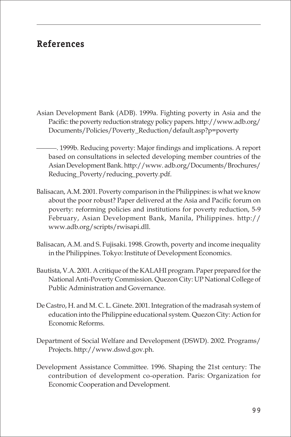## **References**

- Asian Development Bank (ADB). 1999a. Fighting poverty in Asia and the Pacific: the poverty reduction strategy policy papers. http://www.adb.org/ Documents/Policies/Poverty\_Reduction/default.asp?p=poverty
- ———. 1999b. Reducing poverty: Major findings and implications. A report based on consultations in selected developing member countries of the Asian Development Bank. http://www. adb.org/Documents/Brochures/ Reducing\_Poverty/reducing\_poverty.pdf.
- Balisacan, A.M. 2001. Poverty comparison in the Philippines: is what we know about the poor robust? Paper delivered at the Asia and Pacific forum on poverty: reforming policies and institutions for poverty reduction, 5-9 February, Asian Development Bank, Manila, Philippines. http:// www.adb.org/scripts/rwisapi.dll.
- Balisacan, A.M. and S. Fujisaki. 1998. Growth, poverty and income inequality in the Philippines. Tokyo: Institute of Development Economics.
- Bautista, V.A. 2001. A critique of the KALAHI program. Paper prepared for the National Anti-Poverty Commission. Quezon City: UP National College of Public Administration and Governance.
- De Castro, H. and M. C. L. Ginete. 2001. Integration of the madrasah system of education into the Philippine educational system. Quezon City: Action for Economic Reforms.
- Department of Social Welfare and Development (DSWD). 2002. Programs/ Projects. http://www.dswd.gov.ph.
- Development Assistance Committee. 1996. Shaping the 21st century: The contribution of development co-operation. Paris: Organization for Economic Cooperation and Development.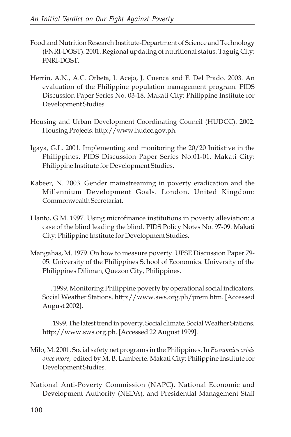- Food and Nutrition Research Institute-Department of Science and Technology (FNRI-DOST). 2001. Regional updating of nutritional status. Taguig City: FNRI-DOST.
- Herrin, A.N., A.C. Orbeta, I. Acejo, J. Cuenca and F. Del Prado. 2003. An evaluation of the Philippine population management program. PIDS Discussion Paper Series No. 03-18. Makati City: Philippine Institute for Development Studies.
- Housing and Urban Development Coordinating Council (HUDCC). 2002. Housing Projects. http://www.hudcc.gov.ph.
- Igaya, G.L. 2001. Implementing and monitoring the 20/20 Initiative in the Philippines. PIDS Discussion Paper Series No.01-01. Makati City: Philippine Institute for Development Studies.
- Kabeer, N. 2003. Gender mainstreaming in poverty eradication and the Millennium Development Goals. London, United Kingdom: Commonwealth Secretariat.
- Llanto, G.M. 1997. Using microfinance institutions in poverty alleviation: a case of the blind leading the blind. PIDS Policy Notes No. 97-09. Makati City: Philippine Institute for Development Studies.
- Mangahas, M. 1979. On how to measure poverty. UPSE Discussion Paper 79- 05. University of the Philippines School of Economics. University of the Philippines Diliman, Quezon City, Philippines.
	- ———. 1999. Monitoring Philippine poverty by operational social indicators. Social Weather Stations. http://www.sws.org.ph/prem.htm. [Accessed August 2002].

———. 1999. The latest trend in poverty. Social climate, Social Weather Stations. http://www.sws.org.ph. [Accessed 22 August 1999].

- Milo, M. 2001. Social safety net programs in the Philippines. In *Economics crisis once more*, edited by M. B. Lamberte. Makati City: Philippine Institute for Development Studies.
- National Anti-Poverty Commission (NAPC), National Economic and Development Authority (NEDA), and Presidential Management Staff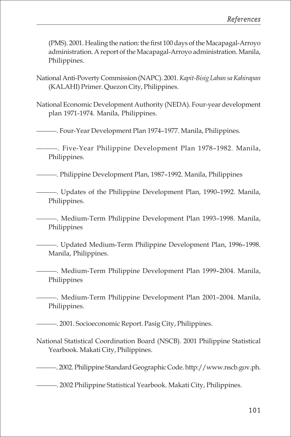(PMS). 2001. Healing the nation: the first 100 days of the Macapagal-Arroyo administration. A report of the Macapagal-Arroyo administration. Manila, Philippines.

- National Anti-Poverty Commission (NAPC). 2001. *Kapit-Bisig Laban sa Kahirapan* (KALAHI) Primer. Quezon City, Philippines.
- National Economic Development Authority (NEDA). Four-year development plan 1971-1974. Manila, Philippines.

———. Four-Year Development Plan 1974–1977. Manila, Philippines.

———. Five-Year Philippine Development Plan 1978–1982. Manila, Philippines.

———. Philippine Development Plan, 1987–1992. Manila, Philippines

———. Updates of the Philippine Development Plan, 1990–1992. Manila, Philippines.

———. Medium-Term Philippine Development Plan 1993–1998. Manila, Philippines

———. Updated Medium-Term Philippine Development Plan, 1996–1998. Manila, Philippines.

———. Medium-Term Philippine Development Plan 1999–2004. Manila, Philippines

———. Medium-Term Philippine Development Plan 2001–2004. Manila, Philippines.

———. 2001. Socioeconomic Report. Pasig City, Philippines.

National Statistical Coordination Board (NSCB). 2001 Philippine Statistical Yearbook. Makati City, Philippines.

———. 2002. Philippine Standard Geographic Code. http://www.nscb.gov.ph.

———. 2002 Philippine Statistical Yearbook. Makati City, Philippines.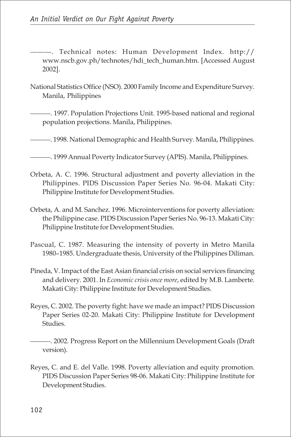———. Technical notes: Human Development Index. http:// www.nscb.gov.ph/technotes/hdi\_tech\_human.htm. [Accessed August 2002].

National Statistics Office (NSO). 2000 Family Income and Expenditure Survey. Manila, Philippines

———. 1997. Population Projections Unit. 1995-based national and regional population projections. Manila, Philippines.

———. 1998. National Demographic and Health Survey. Manila, Philippines.

———. 1999 Annual Poverty Indicator Survey (APIS). Manila, Philippines.

- Orbeta, A. C. 1996. Structural adjustment and poverty alleviation in the Philippines. PIDS Discussion Paper Series No. 96-04. Makati City: Philippine Institute for Development Studies.
- Orbeta, A. and M. Sanchez. 1996. Microinterventions for poverty alleviation: the Philippine case. PIDS Discussion Paper Series No. 96-13. Makati City: Philippine Institute for Development Studies.
- Pascual, C. 1987. Measuring the intensity of poverty in Metro Manila 1980–1985. Undergraduate thesis, University of the Philippines Diliman.
- Pineda, V. Impact of the East Asian financial crisis on social services financing and delivery. 2001. In *Economic crisis once more*, edited by M.B. Lamberte. Makati City: Philippine Institute for Development Studies.
- Reyes, C. 2002. The poverty fight: have we made an impact? PIDS Discussion Paper Series 02-20. Makati City: Philippine Institute for Development Studies.

———. 2002. Progress Report on the Millennium Development Goals (Draft version).

Reyes, C. and E. del Valle. 1998. Poverty alleviation and equity promotion. PIDS Discussion Paper Series 98-06. Makati City: Philippine Institute for Development Studies.